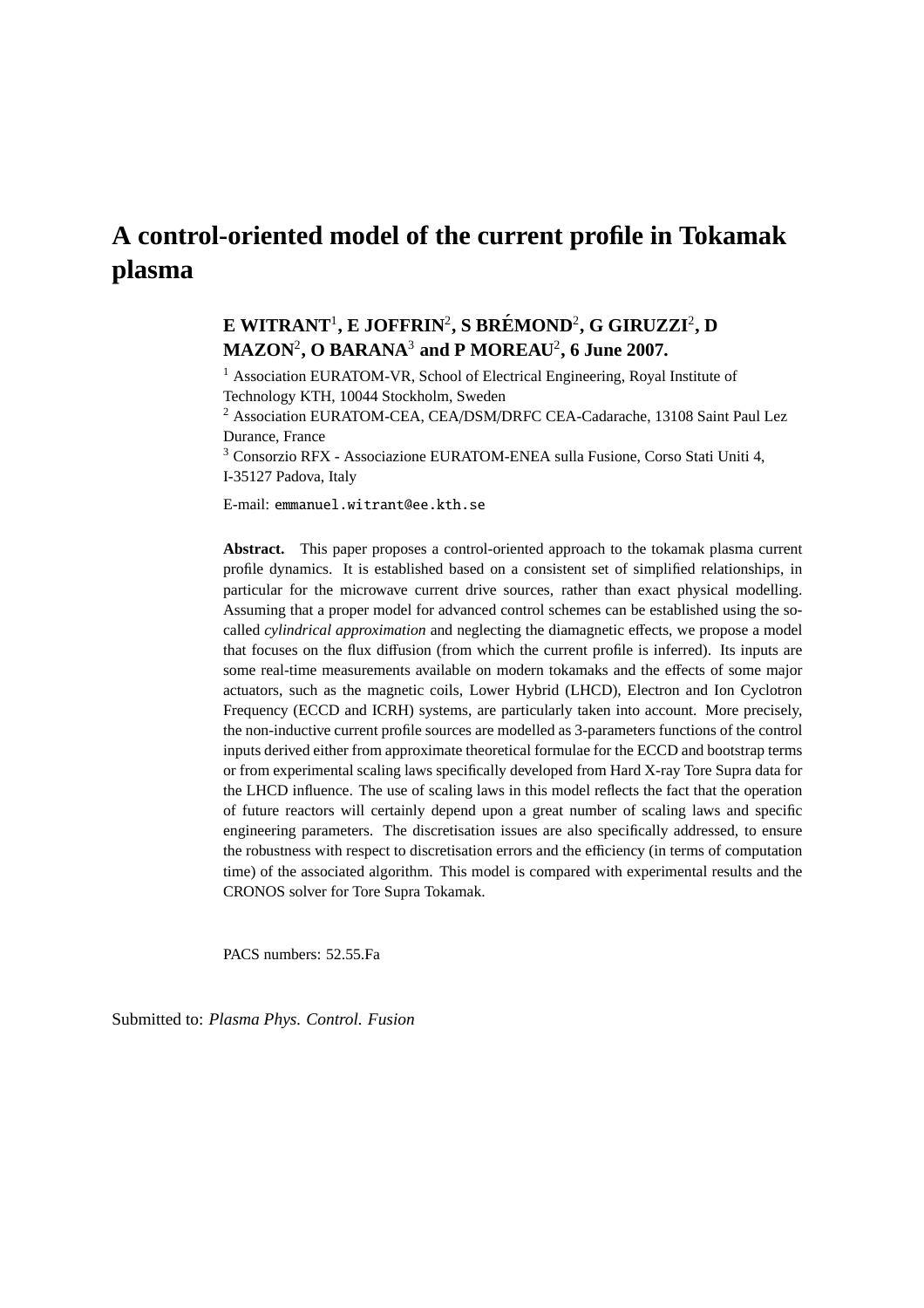# **A control-oriented model of the current profile in Tokamak plasma**

## $\mathbf{E}$  WITRANT<sup>1</sup>, **E** JOFFRIN<sup>2</sup>, S BRÉMOND<sup>2</sup>, G GIRUZZI<sup>2</sup>, D **MAZON**<sup>2</sup> **, O BARANA**<sup>3</sup> **and P MOREAU**<sup>2</sup> **, 6 June 2007.**

<sup>1</sup> Association EURATOM-VR, School of Electrical Engineering, Royal Institute of Technology KTH, 10044 Stockholm, Sweden

<sup>2</sup> Association EURATOM-CEA, CEA/DSM/DRFC CEA-Cadarache, 13108 Saint Paul Lez Durance, France

<sup>3</sup> Consorzio RFX - Associazione EURATOM-ENEA sulla Fusione, Corso Stati Uniti 4, I-35127 Padova, Italy

E-mail: emmanuel.witrant@ee.kth.se

**Abstract.** This paper proposes a control-oriented approach to the tokamak plasma current profile dynamics. It is established based on a consistent set of simplified relationships, in particular for the microwave current drive sources, rather than exact physical modelling. Assuming that a proper model for advanced control schemes can be established using the socalled *cylindrical approximation* and neglecting the diamagnetic effects, we propose a model that focuses on the flux diffusion (from which the current profile is inferred). Its inputs are some real-time measurements available on modern tokamaks and the effects of some major actuators, such as the magnetic coils, Lower Hybrid (LHCD), Electron and Ion Cyclotron Frequency (ECCD and ICRH) systems, are particularly taken into account. More precisely, the non-inductive current profile sources are modelled as 3-parameters functions of the control inputs derived either from approximate theoretical formulae for the ECCD and bootstrap terms or from experimental scaling laws specifically developed from Hard X-ray Tore Supra data for the LHCD influence. The use of scaling laws in this model reflects the fact that the operation of future reactors will certainly depend upon a great number of scaling laws and specific engineering parameters. The discretisation issues are also specifically addressed, to ensure the robustness with respect to discretisation errors and the efficiency (in terms of computation time) of the associated algorithm. This model is compared with experimental results and the CRONOS solver for Tore Supra Tokamak.

PACS numbers: 52.55.Fa

Submitted to: *Plasma Phys. Control. Fusion*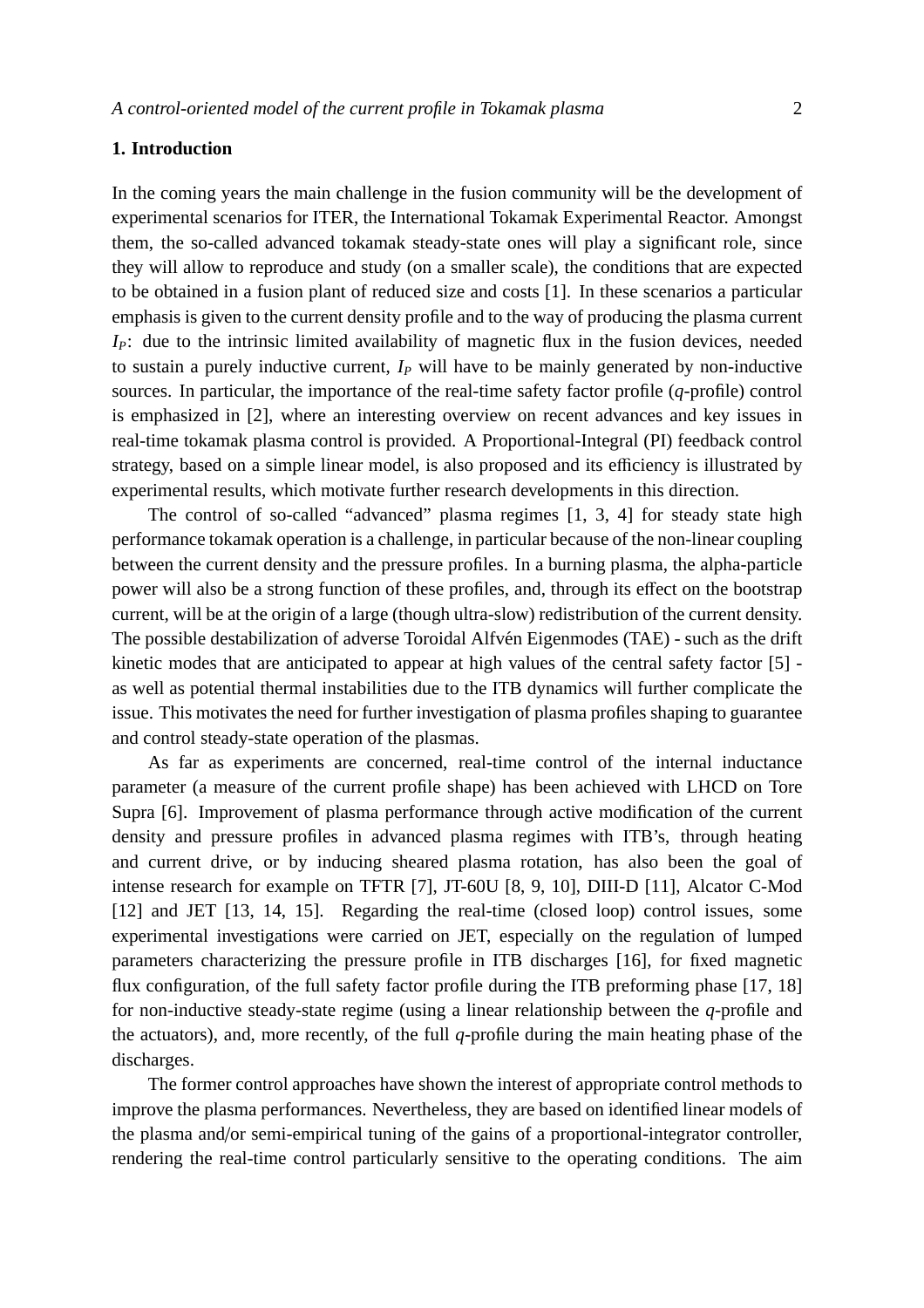## **1. Introduction**

In the coming years the main challenge in the fusion community will be the development of experimental scenarios for ITER, the International Tokamak Experimental Reactor. Amongst them, the so-called advanced tokamak steady-state ones will play a significant role, since they will allow to reproduce and study (on a smaller scale), the conditions that are expected to be obtained in a fusion plant of reduced size and costs [1]. In these scenarios a particular emphasis is given to the current density profile and to the way of producing the plasma current *IP*: due to the intrinsic limited availability of magnetic flux in the fusion devices, needed to sustain a purely inductive current, *I<sup>P</sup>* will have to be mainly generated by non-inductive sources. In particular, the importance of the real-time safety factor profile (*q*-profile) control is emphasized in [2], where an interesting overview on recent advances and key issues in real-time tokamak plasma control is provided. A Proportional-Integral (PI) feedback control strategy, based on a simple linear model, is also proposed and its efficiency is illustrated by experimental results, which motivate further research developments in this direction.

The control of so-called "advanced" plasma regimes [1, 3, 4] for steady state high performance tokamak operation is a challenge, in particular because of the non-linear coupling between the current density and the pressure profiles. In a burning plasma, the alpha-particle power will also be a strong function of these profiles, and, through its effect on the bootstrap current, will be at the origin of a large (though ultra-slow) redistribution of the current density. The possible destabilization of adverse Toroidal Alfvén Eigenmodes (TAE) - such as the drift kinetic modes that are anticipated to appear at high values of the central safety factor [5] as well as potential thermal instabilities due to the ITB dynamics will further complicate the issue. This motivates the need for further investigation of plasma profiles shaping to guarantee and control steady-state operation of the plasmas.

As far as experiments are concerned, real-time control of the internal inductance parameter (a measure of the current profile shape) has been achieved with LHCD on Tore Supra [6]. Improvement of plasma performance through active modification of the current density and pressure profiles in advanced plasma regimes with ITB's, through heating and current drive, or by inducing sheared plasma rotation, has also been the goal of intense research for example on TFTR [7], JT-60U [8, 9, 10], DIII-D [11], Alcator C-Mod [12] and JET [13, 14, 15]. Regarding the real-time (closed loop) control issues, some experimental investigations were carried on JET, especially on the regulation of lumped parameters characterizing the pressure profile in ITB discharges [16], for fixed magnetic flux configuration, of the full safety factor profile during the ITB preforming phase [17, 18] for non-inductive steady-state regime (using a linear relationship between the *q*-profile and the actuators), and, more recently, of the full *q*-profile during the main heating phase of the discharges.

The former control approaches have shown the interest of appropriate control methods to improve the plasma performances. Nevertheless, they are based on identified linear models of the plasma and/or semi-empirical tuning of the gains of a proportional-integrator controller, rendering the real-time control particularly sensitive to the operating conditions. The aim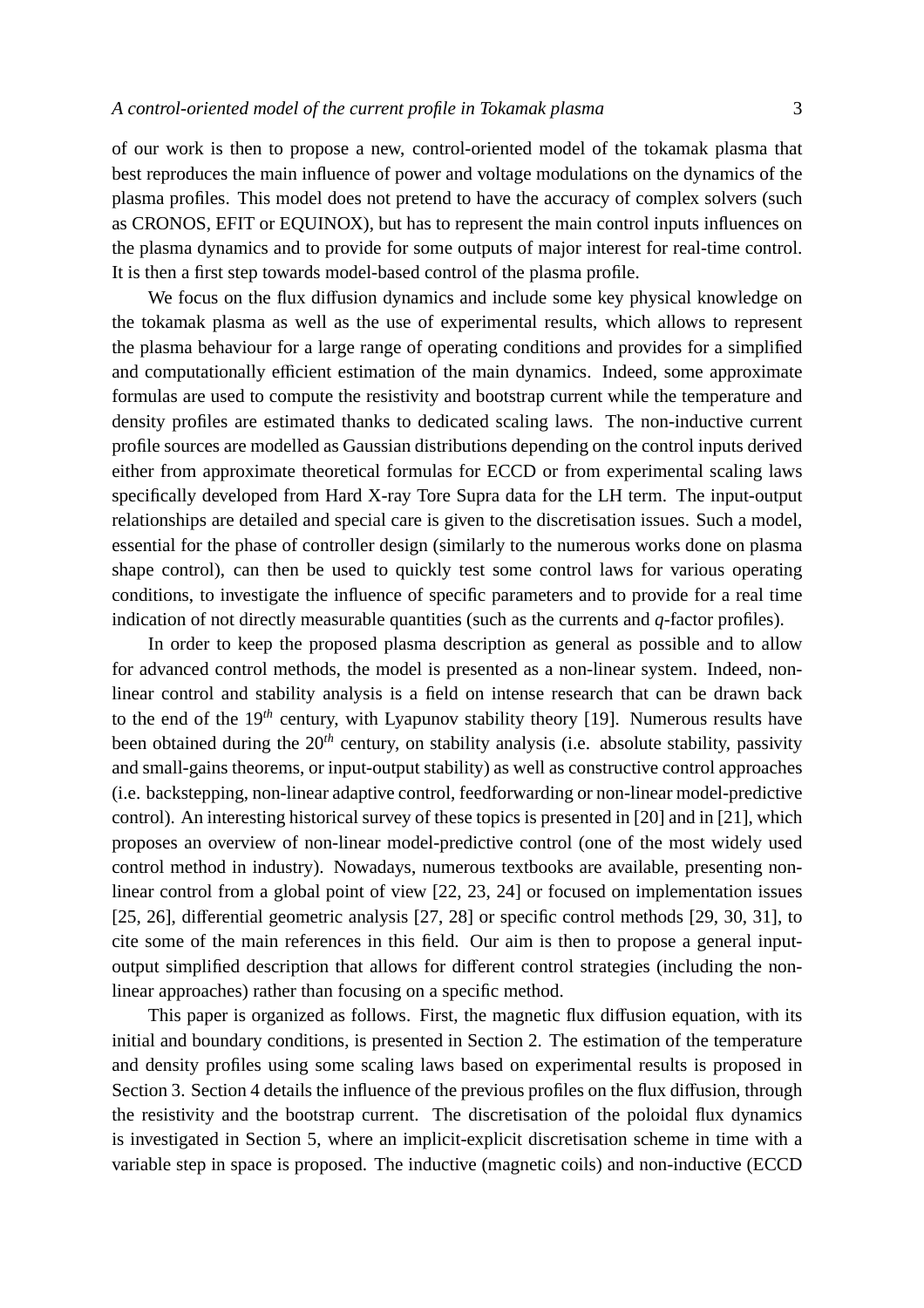of our work is then to propose a new, control-oriented model of the tokamak plasma that best reproduces the main influence of power and voltage modulations on the dynamics of the plasma profiles. This model does not pretend to have the accuracy of complex solvers (such as CRONOS, EFIT or EQUINOX), but has to represent the main control inputs influences on the plasma dynamics and to provide for some outputs of major interest for real-time control. It is then a first step towards model-based control of the plasma profile.

We focus on the flux diffusion dynamics and include some key physical knowledge on the tokamak plasma as well as the use of experimental results, which allows to represent the plasma behaviour for a large range of operating conditions and provides for a simplified and computationally efficient estimation of the main dynamics. Indeed, some approximate formulas are used to compute the resistivity and bootstrap current while the temperature and density profiles are estimated thanks to dedicated scaling laws. The non-inductive current profile sources are modelled as Gaussian distributions depending on the control inputs derived either from approximate theoretical formulas for ECCD or from experimental scaling laws specifically developed from Hard X-ray Tore Supra data for the LH term. The input-output relationships are detailed and special care is given to the discretisation issues. Such a model, essential for the phase of controller design (similarly to the numerous works done on plasma shape control), can then be used to quickly test some control laws for various operating conditions, to investigate the influence of specific parameters and to provide for a real time indication of not directly measurable quantities (such as the currents and *q*-factor profiles).

In order to keep the proposed plasma description as general as possible and to allow for advanced control methods, the model is presented as a non-linear system. Indeed, nonlinear control and stability analysis is a field on intense research that can be drawn back to the end of the 19*th* century, with Lyapunov stability theory [19]. Numerous results have been obtained during the 20*th* century, on stability analysis (i.e. absolute stability, passivity and small-gains theorems, or input-output stability) as well as constructive control approaches (i.e. backstepping, non-linear adaptive control, feedforwarding or non-linear model-predictive control). An interesting historical survey of these topics is presented in [20] and in [21], which proposes an overview of non-linear model-predictive control (one of the most widely used control method in industry). Nowadays, numerous textbooks are available, presenting nonlinear control from a global point of view [22, 23, 24] or focused on implementation issues [25, 26], differential geometric analysis [27, 28] or specific control methods [29, 30, 31], to cite some of the main references in this field. Our aim is then to propose a general inputoutput simplified description that allows for different control strategies (including the nonlinear approaches) rather than focusing on a specific method.

This paper is organized as follows. First, the magnetic flux diffusion equation, with its initial and boundary conditions, is presented in Section 2. The estimation of the temperature and density profiles using some scaling laws based on experimental results is proposed in Section 3. Section 4 details the influence of the previous profiles on the flux diffusion, through the resistivity and the bootstrap current. The discretisation of the poloidal flux dynamics is investigated in Section 5, where an implicit-explicit discretisation scheme in time with a variable step in space is proposed. The inductive (magnetic coils) and non-inductive (ECCD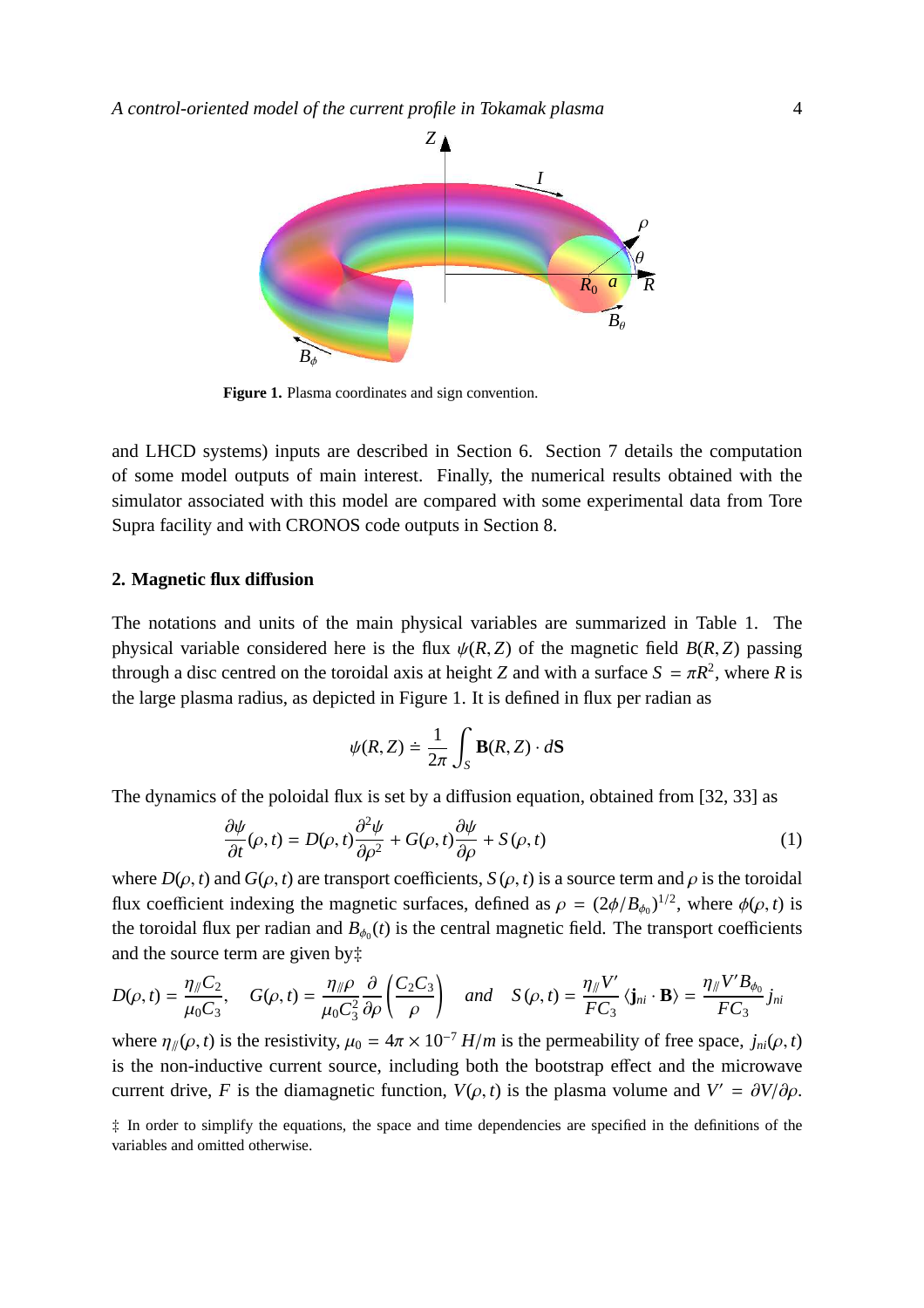

**Figure 1.** Plasma coordinates and sign convention.

and LHCD systems) inputs are described in Section 6. Section 7 details the computation of some model outputs of main interest. Finally, the numerical results obtained with the simulator associated with this model are compared with some experimental data from Tore Supra facility and with CRONOS code outputs in Section 8.

#### **2. Magnetic flux di**ff**usion**

The notations and units of the main physical variables are summarized in Table 1. The physical variable considered here is the flux  $\psi(R, Z)$  of the magnetic field  $B(R, Z)$  passing through a disc centred on the toroidal axis at height *Z* and with a surface  $S = \pi R^2$ , where *R* is the large plasma radius, as depicted in Figure 1. It is defined in flux per radian as

$$
\psi(R, Z) \doteq \frac{1}{2\pi} \int_{S} \mathbf{B}(R, Z) \cdot d\mathbf{S}
$$

The dynamics of the poloidal flux is set by a diffusion equation, obtained from [32, 33] as

$$
\frac{\partial \psi}{\partial t}(\rho, t) = D(\rho, t) \frac{\partial^2 \psi}{\partial \rho^2} + G(\rho, t) \frac{\partial \psi}{\partial \rho} + S(\rho, t)
$$
(1)

where  $D(\rho, t)$  and  $G(\rho, t)$  are transport coefficients,  $S(\rho, t)$  is a source term and  $\rho$  is the toroidal flux coefficient indexing the magnetic surfaces, defined as  $\rho = (2\phi/B_{\phi_0})^{1/2}$ , where  $\phi(\rho, t)$  is the toroidal flux per radian and  $B_{\phi_0}(t)$  is the central magnetic field. The transport coefficients and the source term are given by‡

$$
D(\rho, t) = \frac{\eta_{\parallel} C_2}{\mu_0 C_3}, \quad G(\rho, t) = \frac{\eta_{\parallel} \rho}{\mu_0 C_3^2} \frac{\partial}{\partial \rho} \left( \frac{C_2 C_3}{\rho} \right) \quad \text{and} \quad S(\rho, t) = \frac{\eta_{\parallel} V'}{FC_3} \langle \mathbf{j}_{ni} \cdot \mathbf{B} \rangle = \frac{\eta_{\parallel} V' B_{\phi_0}}{FC_3} j_{ni}
$$

where  $\eta_{\psi}(\rho, t)$  is the resistivity,  $\mu_0 = 4\pi \times 10^{-7}$  *H/m* is the permeability of free space,  $j_{ni}(\rho, t)$ is the non-inductive current source, including both the bootstrap effect and the microwave current drive, *F* is the diamagnetic function,  $V(\rho, t)$  is the plasma volume and  $V' = \frac{\partial V}{\partial \rho}$ .

‡ In order to simplify the equations, the space and time dependencies are specified in the definitions of the variables and omitted otherwise.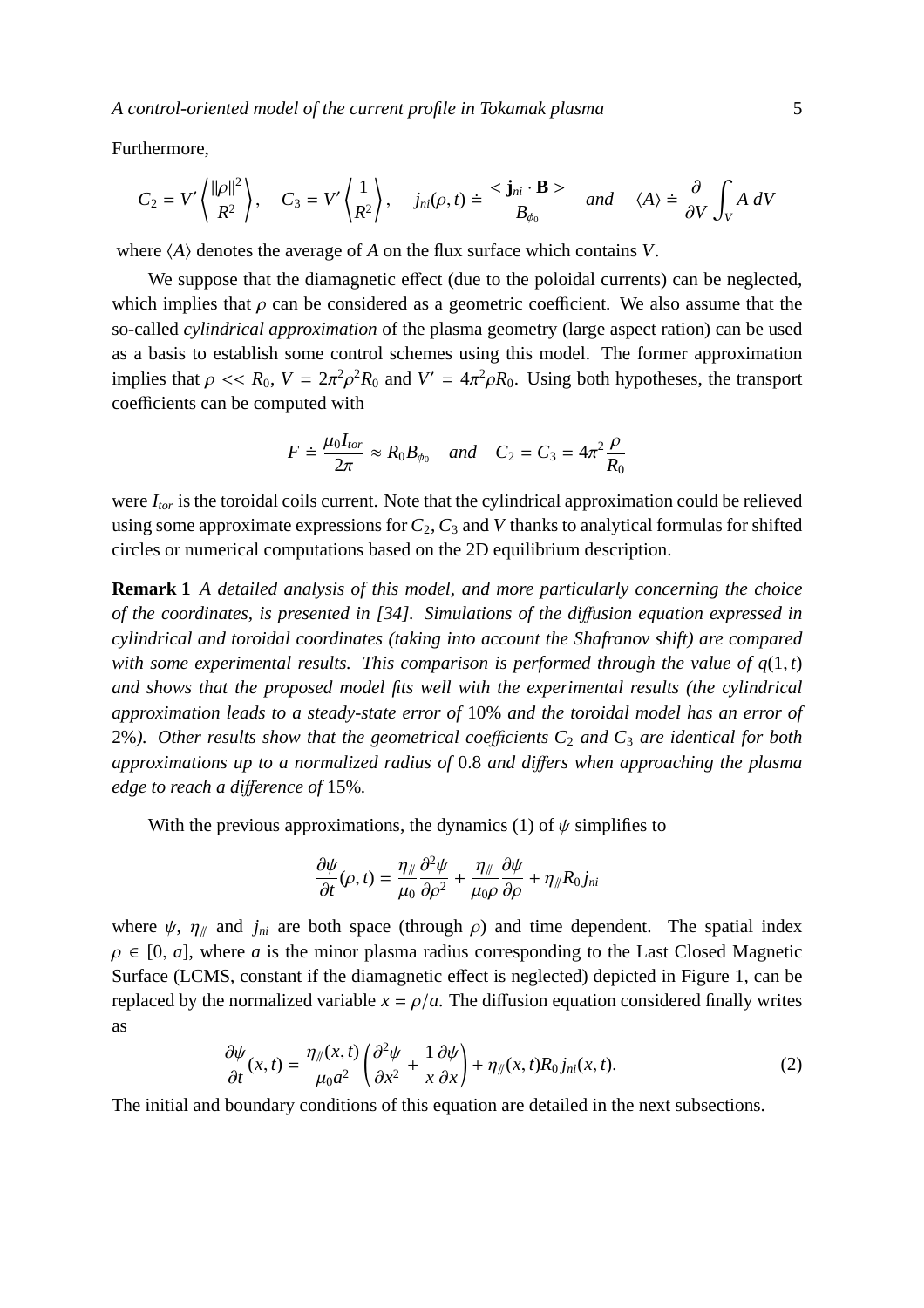Furthermore,

$$
C_2 = V' \left\langle \frac{\|\rho\|^2}{R^2} \right\rangle, \quad C_3 = V' \left\langle \frac{1}{R^2} \right\rangle, \quad j_{ni}(\rho, t) \doteq \frac{<\mathbf{j}_{ni} \cdot \mathbf{B}>}{B_{\phi_0}} \quad \text{and} \quad \langle A \rangle \doteq \frac{\partial}{\partial V} \int_V A \, dV
$$

where  $\langle A \rangle$  denotes the average of *A* on the flux surface which contains *V*.

We suppose that the diamagnetic effect (due to the poloidal currents) can be neglected, which implies that  $\rho$  can be considered as a geometric coefficient. We also assume that the so-called *cylindrical approximation* of the plasma geometry (large aspect ration) can be used as a basis to establish some control schemes using this model. The former approximation implies that  $\rho \ll R_0$ ,  $V = 2\pi^2 \rho^2 R_0$  and  $V' = 4\pi^2 \rho R_0$ . Using both hypotheses, the transport coefficients can be computed with

$$
F \doteq \frac{\mu_0 I_{tor}}{2\pi} \approx R_0 B_{\phi_0} \quad and \quad C_2 = C_3 = 4\pi^2 \frac{\rho}{R_0}
$$

were *Itor* is the toroidal coils current. Note that the cylindrical approximation could be relieved using some approximate expressions for  $C_2$ ,  $C_3$  and  $V$  thanks to analytical formulas for shifted circles or numerical computations based on the 2D equilibrium description.

**Remark 1** *A detailed analysis of this model, and more particularly concerning the choice of the coordinates, is presented in [34]. Simulations of the di*ff*usion equation expressed in cylindrical and toroidal coordinates (taking into account the Shafranov shift) are compared with some experimental results. This comparison is performed through the value of*  $q(1, t)$ *and shows that the proposed model fits well with the experimental results (the cylindrical approximation leads to a steady-state error of* 10% *and the toroidal model has an error of* 2%*). Other results show that the geometrical coe*ffi*cients C*<sup>2</sup> *and C*<sup>3</sup> *are identical for both approximations up to a normalized radius of* 0.8 *and di*ff*ers when approaching the plasma edge to reach a di*ff*erence of* 15%*.*

With the previous approximations, the dynamics (1) of  $\psi$  simplifies to

$$
\frac{\partial \psi}{\partial t}(\rho, t) = \frac{\eta_{\parallel}}{\mu_0} \frac{\partial^2 \psi}{\partial \rho^2} + \frac{\eta_{\parallel}}{\mu_0 \rho} \frac{\partial \psi}{\partial \rho} + \eta_{\parallel} R_0 j_{ni}
$$

where  $\psi$ ,  $\eta_{\parallel}$  and  $j_{ni}$  are both space (through  $\rho$ ) and time dependent. The spatial index  $\rho \in [0, a]$ , where *a* is the minor plasma radius corresponding to the Last Closed Magnetic Surface (LCMS, constant if the diamagnetic effect is neglected) depicted in Figure 1, can be replaced by the normalized variable  $x = \rho/a$ . The diffusion equation considered finally writes as

$$
\frac{\partial \psi}{\partial t}(x,t) = \frac{\eta_{\parallel}(x,t)}{\mu_0 a^2} \left( \frac{\partial^2 \psi}{\partial x^2} + \frac{1}{x} \frac{\partial \psi}{\partial x} \right) + \eta_{\parallel}(x,t) R_0 j_{ni}(x,t). \tag{2}
$$

The initial and boundary conditions of this equation are detailed in the next subsections.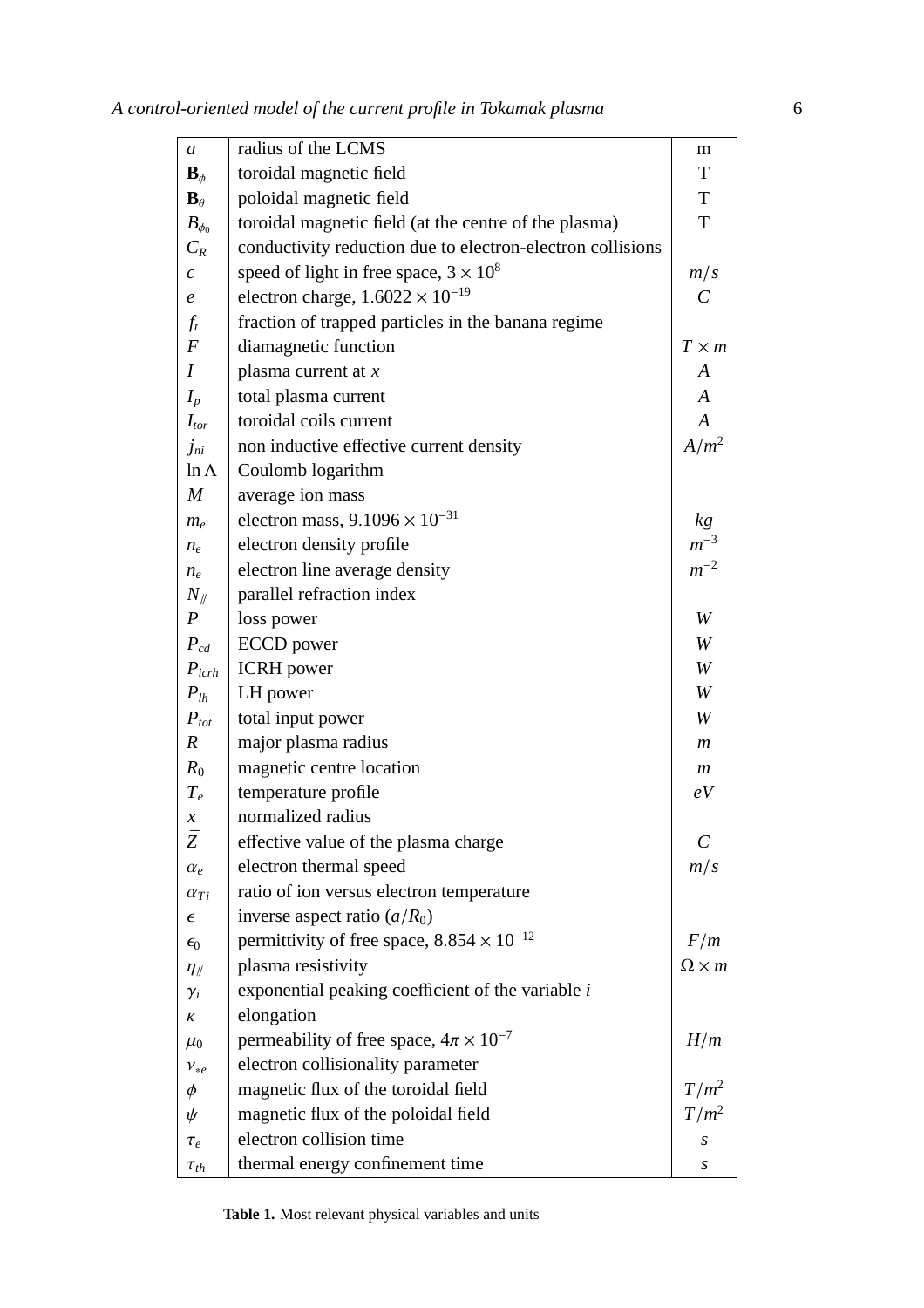| $\boldsymbol{a}$           | radius of the LCMS                                         | m                       |
|----------------------------|------------------------------------------------------------|-------------------------|
| $\mathbf{B}_{\phi}$        | toroidal magnetic field                                    | T                       |
| $\mathbf{B}_{\theta}$      | poloidal magnetic field                                    | T                       |
| $B_{\phi_0}$               | toroidal magnetic field (at the centre of the plasma)      | T                       |
| $C_R$                      | conductivity reduction due to electron-electron collisions |                         |
| $\mathcal{C}_{0}$          | speed of light in free space, $3 \times 10^8$              | m/s                     |
| e                          | electron charge, $1.6022 \times 10^{-19}$                  | $\mathcal{C}_{0}^{(n)}$ |
| $f_t$                      | fraction of trapped particles in the banana regime         |                         |
| $\boldsymbol{F}$           | diamagnetic function                                       | $T \times m$            |
| $\overline{I}$             | plasma current at $x$                                      | A                       |
| $I_p$                      | total plasma current                                       | A                       |
| $I_{tor}$                  | toroidal coils current                                     | $\boldsymbol{A}$        |
| $j_{ni}$                   | non inductive effective current density                    | $A/m^2$                 |
| $ln \Lambda$               | Coulomb logarithm                                          |                         |
| $\boldsymbol{M}$           | average ion mass                                           |                         |
| $m_e$                      | electron mass, $9.1096 \times 10^{-31}$                    | kg                      |
| $n_e$                      | electron density profile                                   | $m^{-3}$                |
| $\bar{n}_e$                | electron line average density                              | $m^{-2}$                |
| $N_{\parallel}$            | parallel refraction index                                  |                         |
| $\boldsymbol{P}$           | loss power                                                 | W                       |
| $P_{cd}$                   | <b>ECCD</b> power                                          | W                       |
| $P_{icrh}$                 | <b>ICRH</b> power                                          | W                       |
| $P_{lh}$                   | LH power                                                   | W                       |
| $P_{tot}$                  | total input power                                          | W                       |
| $\boldsymbol{R}$           | major plasma radius                                        | m                       |
| $R_0$                      | magnetic centre location                                   | $\boldsymbol{m}$        |
| $T_e$                      | temperature profile                                        | eV                      |
| $\boldsymbol{\mathcal{X}}$ | normalized radius                                          |                         |
| Ž                          | effective value of the plasma charge                       | $\mathcal C$            |
| $\alpha_e$                 | electron thermal speed                                     | m/s                     |
| $\alpha_{Ti}$              | ratio of ion versus electron temperature                   |                         |
| $\epsilon$                 | inverse aspect ratio $(a/R_0)$                             |                         |
| $\epsilon_0$               | permittivity of free space, $8.854 \times 10^{-12}$        | F/m                     |
| $\eta_{\parallel}$         | plasma resistivity                                         | $\Omega \times m$       |
| $\gamma_i$                 | exponential peaking coefficient of the variable $i$        |                         |
| K                          | elongation                                                 |                         |
| $\mu_0$                    | permeability of free space, $4\pi \times 10^{-7}$          | H/m                     |
| $v_{*e}$                   | electron collisionality parameter                          |                         |
| $\phi$                     | magnetic flux of the toroidal field                        | $T/m^2$                 |
| ψ                          | magnetic flux of the poloidal field                        | $T/m^2$                 |
| $\tau_e$                   | electron collision time                                    | S                       |
| $\tau_{th}$                | thermal energy confinement time                            | S                       |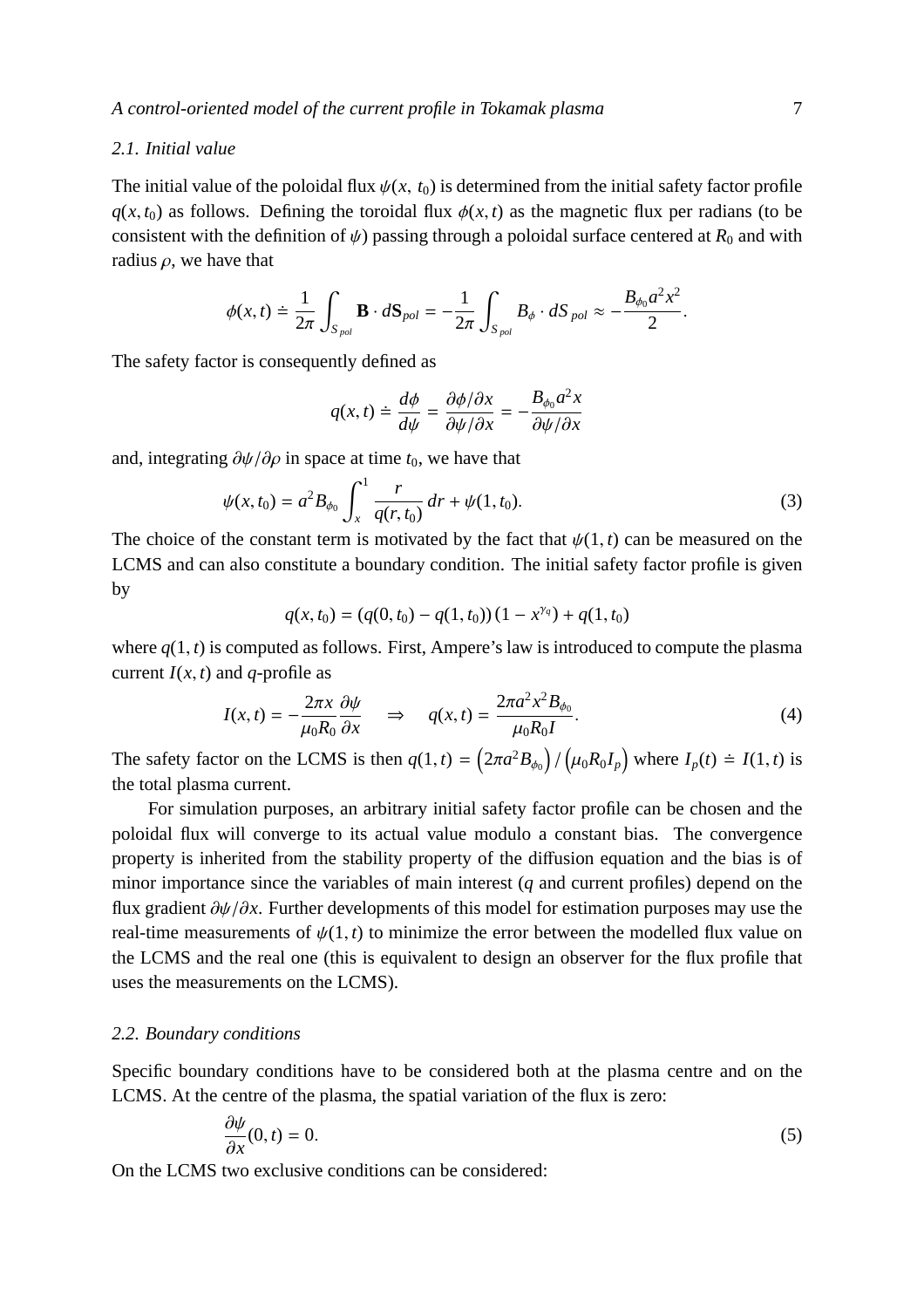## *2.1. Initial value*

The initial value of the poloidal flux  $\psi(x, t_0)$  is determined from the initial safety factor profile  $q(x, t_0)$  as follows. Defining the toroidal flux  $\phi(x, t)$  as the magnetic flux per radians (to be consistent with the definition of  $\psi$ ) passing through a poloidal surface centered at  $R_0$  and with radius  $\rho$ , we have that

$$
\phi(x,t)\doteq \frac{1}{2\pi}\int_{S_{pol}} \mathbf{B}\cdot d\mathbf{S}_{pol}=-\frac{1}{2\pi}\int_{S_{pol}} B_{\phi}\cdot dS_{pol}\approx -\frac{B_{\phi_0}a^2x^2}{2}.
$$

The safety factor is consequently defined as

$$
q(x,t) \doteq \frac{d\phi}{d\psi} = \frac{\partial\phi/\partial x}{\partial\psi/\partial x} = -\frac{B_{\phi_0}a^2x}{\partial\psi/\partial x}
$$

and, integrating  $\partial \psi / \partial \rho$  in space at time  $t_0$ , we have that

$$
\psi(x, t_0) = a^2 B_{\phi_0} \int_x^1 \frac{r}{q(r, t_0)} dr + \psi(1, t_0).
$$
\n(3)

The choice of the constant term is motivated by the fact that  $\psi(1, t)$  can be measured on the LCMS and can also constitute a boundary condition. The initial safety factor profile is given by

$$
q(x, t_0) = (q(0, t_0) - q(1, t_0)) (1 - x^{\gamma_q}) + q(1, t_0)
$$

where  $q(1, t)$  is computed as follows. First, Ampere's law is introduced to compute the plasma current  $I(x, t)$  and *q*-profile as

$$
I(x,t) = -\frac{2\pi x}{\mu_0 R_0} \frac{\partial \psi}{\partial x} \quad \Rightarrow \quad q(x,t) = \frac{2\pi a^2 x^2 B_{\phi_0}}{\mu_0 R_0 I}.
$$
 (4)

The safety factor on the LCMS is then  $q(1, t) = (2\pi a^2 B_{\phi_0})/(\mu_0 R_0 I_p)$  where  $I_p(t) \doteq I(1, t)$  is the total plasma current.

For simulation purposes, an arbitrary initial safety factor profile can be chosen and the poloidal flux will converge to its actual value modulo a constant bias. The convergence property is inherited from the stability property of the diffusion equation and the bias is of minor importance since the variables of main interest (*q* and current profiles) depend on the flux gradient ∂ψ/∂*x*. Further developments of this model for estimation purposes may use the real-time measurements of  $\psi(1,t)$  to minimize the error between the modelled flux value on the LCMS and the real one (this is equivalent to design an observer for the flux profile that uses the measurements on the LCMS).

## *2.2. Boundary conditions*

Specific boundary conditions have to be considered both at the plasma centre and on the LCMS. At the centre of the plasma, the spatial variation of the flux is zero:

$$
\frac{\partial \psi}{\partial x}(0,t) = 0. \tag{5}
$$

On the LCMS two exclusive conditions can be considered: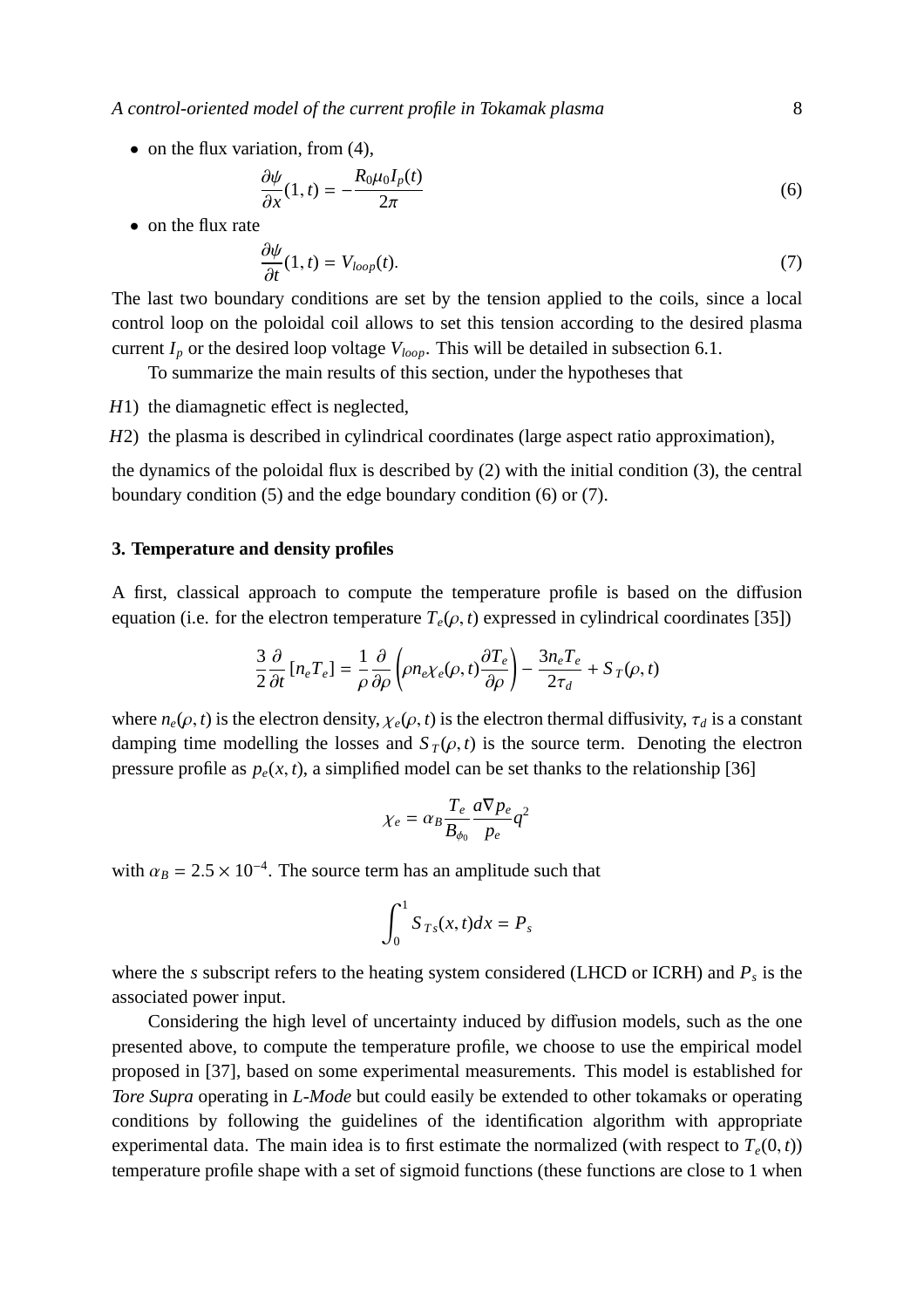*A control-oriented model of the current profile in Tokamak plasma* 8

• on the flux variation, from  $(4)$ ,

$$
\frac{\partial \psi}{\partial x}(1,t) = -\frac{R_0 \mu_0 I_p(t)}{2\pi} \tag{6}
$$

• on the flux rate

$$
\frac{\partial \psi}{\partial t}(1,t) = V_{loop}(t). \tag{7}
$$

The last two boundary conditions are set by the tension applied to the coils, since a local control loop on the poloidal coil allows to set this tension according to the desired plasma current  $I_p$  or the desired loop voltage  $V_{loop}$ . This will be detailed in subsection 6.1.

To summarize the main results of this section, under the hypotheses that

*H*1) the diamagnetic effect is neglected.

*H2*) the plasma is described in cylindrical coordinates (large aspect ratio approximation),

the dynamics of the poloidal flux is described by (2) with the initial condition (3), the central boundary condition (5) and the edge boundary condition (6) or (7).

#### **3. Temperature and density profiles**

A first, classical approach to compute the temperature profile is based on the diffusion equation (i.e. for the electron temperature  $T_e(\rho, t)$  expressed in cylindrical coordinates [35])

$$
\frac{3}{2}\frac{\partial}{\partial t}\left[n_e T_e\right] = \frac{1}{\rho}\frac{\partial}{\partial \rho}\left(\rho n_e \chi_e(\rho, t)\frac{\partial T_e}{\partial \rho}\right) - \frac{3n_e T_e}{2\tau_d} + S_T(\rho, t)
$$

where  $n_e(\rho, t)$  is the electron density,  $\chi_e(\rho, t)$  is the electron thermal diffusivity,  $\tau_d$  is a constant damping time modelling the losses and  $S_T(\rho, t)$  is the source term. Denoting the electron pressure profile as  $p_e(x, t)$ , a simplified model can be set thanks to the relationship [36]

$$
\chi_e = \alpha_B \frac{T_e}{B_{\phi_0}} \frac{a \nabla p_e}{p_e} q^2
$$

with  $\alpha_B = 2.5 \times 10^{-4}$ . The source term has an amplitude such that

$$
\int_0^1 S_{Ts}(x,t)dx = P_s
$$

where the *s* subscript refers to the heating system considered (LHCD or ICRH) and *P<sup>s</sup>* is the associated power input.

Considering the high level of uncertainty induced by diffusion models, such as the one presented above, to compute the temperature profile, we choose to use the empirical model proposed in [37], based on some experimental measurements. This model is established for *Tore Supra* operating in *L-Mode* but could easily be extended to other tokamaks or operating conditions by following the guidelines of the identification algorithm with appropriate experimental data. The main idea is to first estimate the normalized (with respect to  $T_e(0, t)$ ) temperature profile shape with a set of sigmoid functions (these functions are close to 1 when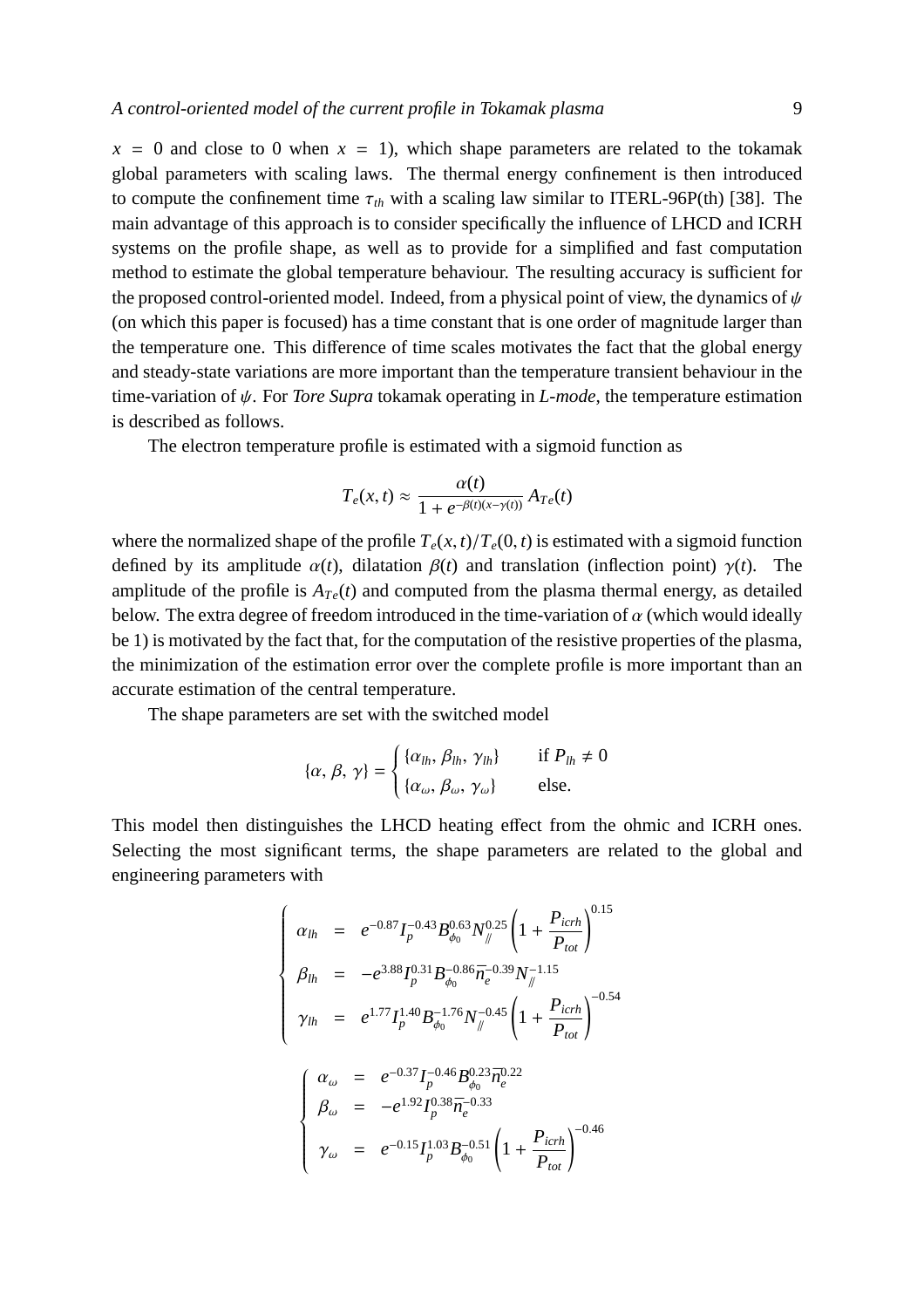$x = 0$  and close to 0 when  $x = 1$ ), which shape parameters are related to the tokamak global parameters with scaling laws. The thermal energy confinement is then introduced to compute the confinement time  $\tau_{th}$  with a scaling law similar to ITERL-96P(th) [38]. The main advantage of this approach is to consider specifically the influence of LHCD and ICRH systems on the profile shape, as well as to provide for a simplified and fast computation method to estimate the global temperature behaviour. The resulting accuracy is sufficient for the proposed control-oriented model. Indeed, from a physical point of view, the dynamics of  $\psi$ (on which this paper is focused) has a time constant that is one order of magnitude larger than the temperature one. This difference of time scales motivates the fact that the global energy and steady-state variations are more important than the temperature transient behaviour in the time-variation of ψ. For *Tore Supra* tokamak operating in *L-mode*, the temperature estimation is described as follows.

The electron temperature profile is estimated with a sigmoid function as

$$
T_e(x,t) \approx \frac{\alpha(t)}{1 + e^{-\beta(t)(x - \gamma(t))}} A_{Te}(t)
$$

where the normalized shape of the profile  $T_e(x, t)/T_e(0, t)$  is estimated with a sigmoid function defined by its amplitude  $\alpha(t)$ , dilatation  $\beta(t)$  and translation (inflection point)  $\gamma(t)$ . The amplitude of the profile is  $A_{Te}(t)$  and computed from the plasma thermal energy, as detailed below. The extra degree of freedom introduced in the time-variation of  $\alpha$  (which would ideally be 1) is motivated by the fact that, for the computation of the resistive properties of the plasma, the minimization of the estimation error over the complete profile is more important than an accurate estimation of the central temperature.

The shape parameters are set with the switched model

$$
\{\alpha, \beta, \gamma\} = \begin{cases} \{\alpha_{lh}, \beta_{lh}, \gamma_{lh}\} & \text{if } P_{lh} \neq 0 \\ \{\alpha_{\omega}, \beta_{\omega}, \gamma_{\omega}\} & \text{else.} \end{cases}
$$

This model then distinguishes the LHCD heating effect from the ohmic and ICRH ones. Selecting the most significant terms, the shape parameters are related to the global and engineering parameters with

$$
\begin{cases}\n\alpha_{lh} = e^{-0.87} I_p^{-0.43} B_{\phi_0}^{0.63} N_{\#}^{0.25} \left( 1 + \frac{P_{icrh}}{P_{tot}} \right)^{0.15} \\
\beta_{lh} = -e^{3.88} I_p^{0.31} B_{\phi_0}^{-0.86} \bar{n}_e^{-0.39} N_{\#}^{-1.15} \\
\gamma_{lh} = e^{1.77} I_p^{1.40} B_{\phi_0}^{-1.76} N_{\#}^{-0.45} \left( 1 + \frac{P_{icrh}}{P_{tot}} \right)^{-0.54} \\
\left( \alpha_{\omega} = e^{-0.37} I_p^{-0.46} B_{\phi_0}^{0.23} \bar{n}_e^{-0.22} \right) \\
\beta_{\omega} = -e^{1.92} I_p^{0.38} \bar{n}_e^{-0.33} \\
\gamma_{\omega} = e^{-0.15} I_p^{1.03} B_{\phi_0}^{-0.51} \left( 1 + \frac{P_{icrh}}{P_{tot}} \right)^{-0.46}\n\end{cases}
$$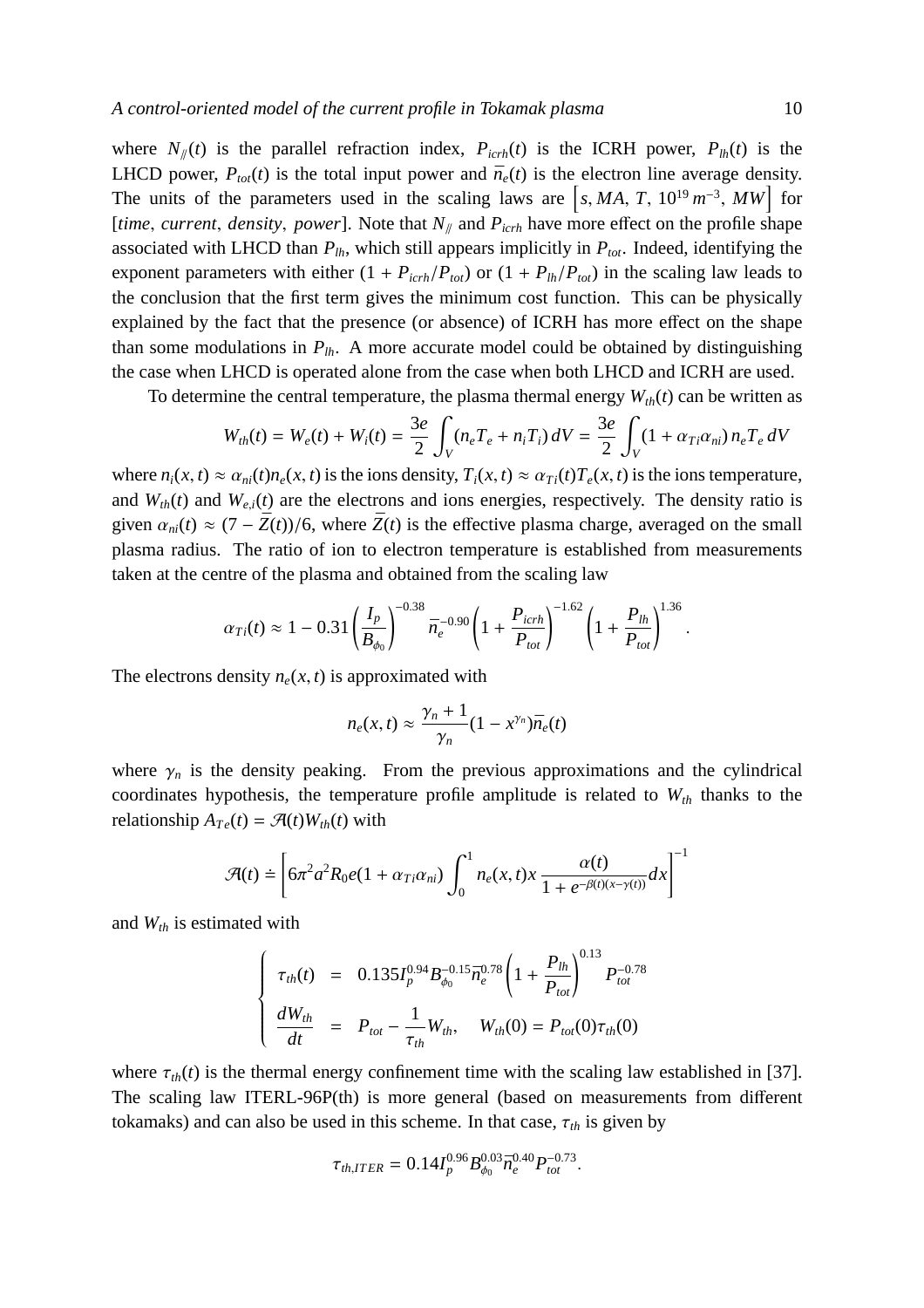where  $N_{\ell}(t)$  is the parallel refraction index,  $P_{icrh}(t)$  is the ICRH power,  $P_{lh}(t)$  is the LHCD power,  $P_{tot}(t)$  is the total input power and  $\bar{n}_e(t)$  is the electron line average density. The units of the parameters used in the scaling laws are  $\left[ s, MA, T, 10^{19} m^{-3}, MW \right]$  for [*time*, *current*, *density*, *power*]. Note that  $N_{\parallel}$  and  $P_{icrh}$  have more effect on the profile shape associated with LHCD than  $P_{lh}$ , which still appears implicitly in  $P_{tot}$ . Indeed, identifying the exponent parameters with either  $(1 + P_{\text{icrh}}/P_{\text{tot}})$  or  $(1 + P_{\text{lh}}/P_{\text{tot}})$  in the scaling law leads to the conclusion that the first term gives the minimum cost function. This can be physically explained by the fact that the presence (or absence) of ICRH has more effect on the shape than some modulations in  $P_{lh}$ . A more accurate model could be obtained by distinguishing the case when LHCD is operated alone from the case when both LHCD and ICRH are used.

To determine the central temperature, the plasma thermal energy  $W_{th}(t)$  can be written as

$$
W_{th}(t) = W_e(t) + W_i(t) = \frac{3e}{2} \int_V (n_e T_e + n_i T_i) dV = \frac{3e}{2} \int_V (1 + \alpha_{Ti} \alpha_{ni}) n_e T_e dV
$$

where  $n_i(x, t) \approx \alpha_{ni}(t) n_e(x, t)$  is the ions density,  $T_i(x, t) \approx \alpha_{Ti}(t) T_e(x, t)$  is the ions temperature, and  $W_{th}(t)$  and  $W_{e,i}(t)$  are the electrons and ions energies, respectively. The density ratio is given  $\alpha_{ni}(t) \approx (7 - \bar{Z}(t))/6$ , where  $\bar{Z}(t)$  is the effective plasma charge, averaged on the small plasma radius. The ratio of ion to electron temperature is established from measurements taken at the centre of the plasma and obtained from the scaling law

$$
\alpha_{Ti}(t) \approx 1 - 0.31 \left(\frac{I_p}{B_{\phi_0}}\right)^{-0.38} \bar{n}_e^{-0.90} \left(1 + \frac{P_{icrh}}{P_{tot}}\right)^{-1.62} \left(1 + \frac{P_{lh}}{P_{tot}}\right)^{1.36}.
$$

The electrons density  $n_e(x, t)$  is approximated with

$$
n_e(x,t) \approx \frac{\gamma_n+1}{\gamma_n}(1-x^{\gamma_n})\bar{n}_e(t)
$$

where  $\gamma_n$  is the density peaking. From the previous approximations and the cylindrical coordinates hypothesis, the temperature profile amplitude is related to  $W_{th}$  thanks to the relationship  $A_{Te}(t) = \mathcal{F}(t)W_{th}(t)$  with

$$
\mathcal{A}(t) \doteq \left[ 6\pi^2 a^2 R_0 e (1 + \alpha_{Ti} \alpha_{ni}) \int_0^1 n_e(x, t) x \frac{\alpha(t)}{1 + e^{-\beta(t)(x - \gamma(t))}} dx \right]^{-1}
$$

and *Wth* is estimated with

$$
\begin{cases}\n\tau_{th}(t) = 0.135I_p^{0.94}B_{\phi_0}^{-0.15}\bar{n}_e^{0.78}\left(1 + \frac{P_{lh}}{P_{tot}}\right)^{0.13}P_{tot}^{-0.78} \\
\frac{dW_{th}}{dt} = P_{tot} - \frac{1}{\tau_{th}}W_{th}, \quad W_{th}(0) = P_{tot}(0)\tau_{th}(0)\n\end{cases}
$$

where  $\tau_{th}(t)$  is the thermal energy confinement time with the scaling law established in [37]. The scaling law ITERL-96P(th) is more general (based on measurements from different tokamaks) and can also be used in this scheme. In that case,  $\tau_{th}$  is given by

$$
\tau_{th,ITER} = 0.14 I_p^{0.96} B_{\phi_0}^{0.03} \bar{n}_e^{0.40} P_{tot}^{-0.73}.
$$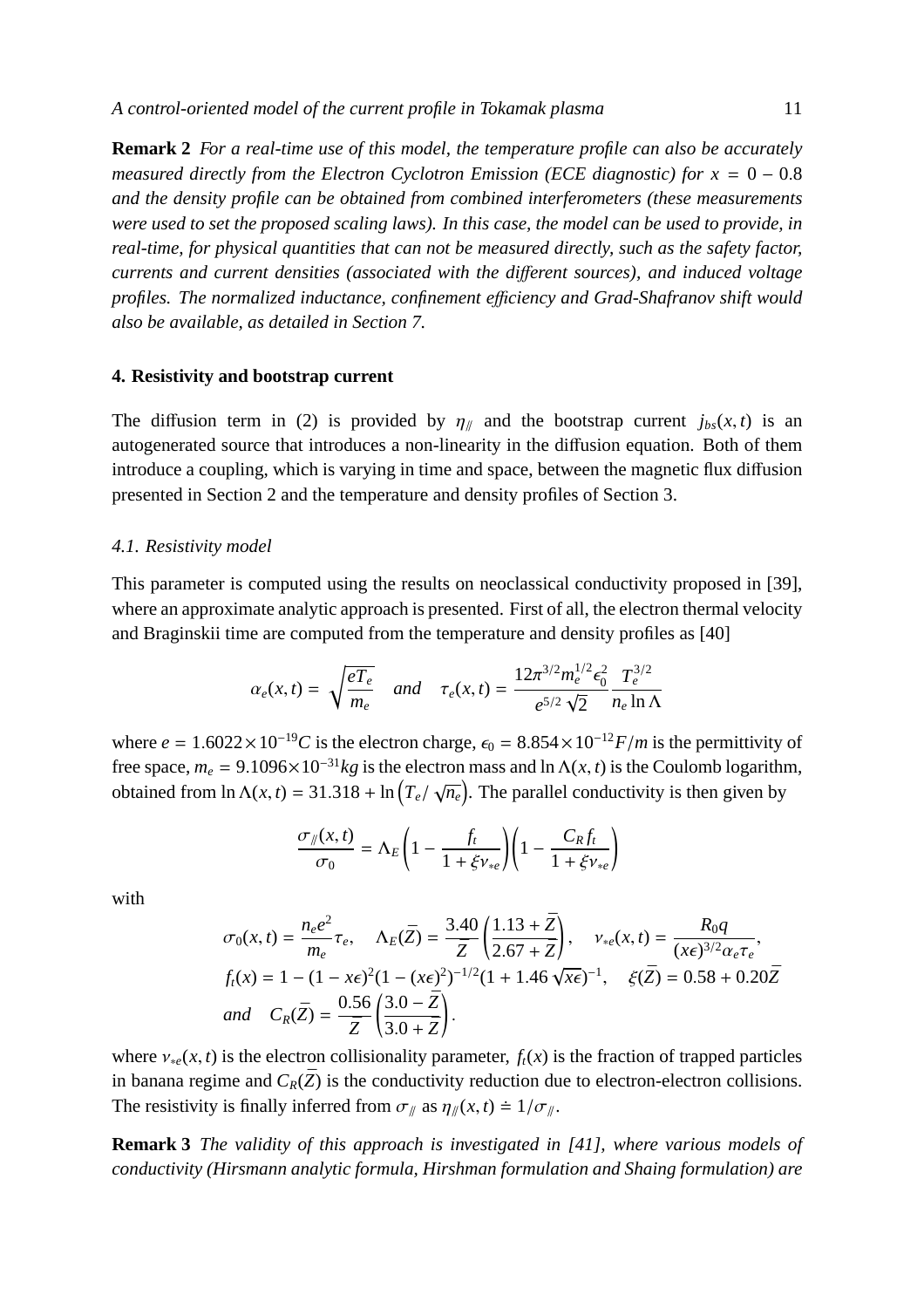**Remark 2** *For a real-time use of this model, the temperature profile can also be accurately measured directly from the Electron Cyclotron Emission (ECE diagnostic) for*  $x = 0 - 0.8$ *and the density profile can be obtained from combined interferometers (these measurements were used to set the proposed scaling laws). In this case, the model can be used to provide, in real-time, for physical quantities that can not be measured directly, such as the safety factor, currents and current densities (associated with the di*ff*erent sources), and induced voltage profiles. The normalized inductance, confinement e*ffi*ciency and Grad-Shafranov shift would also be available, as detailed in Section 7.*

#### **4. Resistivity and bootstrap current**

The diffusion term in (2) is provided by  $\eta_{\parallel}$  and the bootstrap current  $j_{bs}(x, t)$  is an autogenerated source that introduces a non-linearity in the diffusion equation. Both of them introduce a coupling, which is varying in time and space, between the magnetic flux diffusion presented in Section 2 and the temperature and density profiles of Section 3.

#### *4.1. Resistivity model*

This parameter is computed using the results on neoclassical conductivity proposed in [39], where an approximate analytic approach is presented. First of all, the electron thermal velocity and Braginskii time are computed from the temperature and density profiles as [40]

$$
\alpha_e(x,t) = \sqrt{\frac{eT_e}{m_e}} \quad \text{and} \quad \tau_e(x,t) = \frac{12\pi^{3/2}m_e^{1/2}\epsilon_0^2}{e^{5/2}\sqrt{2}}\frac{T_e^{3/2}}{n_e\ln\Lambda}
$$

where  $e = 1.6022 \times 10^{-19}C$  is the electron charge,  $\epsilon_0 = 8.854 \times 10^{-12}F/m$  is the permittivity of free space,  $m_e = 9.1096 \times 10^{-31}$  kg is the electron mass and ln  $\Lambda(x, t)$  is the Coulomb logarithm, obtained from  $\ln \Lambda(x, t) = 31.318 + \ln (T_e / \sqrt{n_e})$ . The parallel conductivity is then given by

$$
\frac{\sigma_y(x,t)}{\sigma_0} = \Lambda_E \left( 1 - \frac{f_t}{1 + \xi v_{\ast e}} \right) \left( 1 - \frac{C_R f_t}{1 + \xi v_{\ast e}} \right)
$$

with

$$
\sigma_0(x,t) = \frac{n_e e^2}{m_e} \tau_e, \quad \Lambda_E(\bar{Z}) = \frac{3.40}{\bar{Z}} \left( \frac{1.13 + \bar{Z}}{2.67 + \bar{Z}} \right), \quad v_{*e}(x,t) = \frac{R_0 q}{(x\epsilon)^{3/2} \alpha_e \tau_e},
$$
\n
$$
f_t(x) = 1 - (1 - x\epsilon)^2 (1 - (x\epsilon)^2)^{-1/2} (1 + 1.46 \sqrt{x\epsilon})^{-1}, \quad \xi(\bar{Z}) = 0.58 + 0.20\bar{Z}
$$
\n
$$
and \quad C_R(\bar{Z}) = \frac{0.56}{\bar{Z}} \left( \frac{3.0 - \bar{Z}}{3.0 + \bar{Z}} \right).
$$

where  $v_{*e}(x, t)$  is the electron collisionality parameter,  $f_t(x)$  is the fraction of trapped particles in banana regime and  $C_R(\bar{Z})$  is the conductivity reduction due to electron-electron collisions. The resistivity is finally inferred from  $\sigma_{\parallel}$  as  $\eta_{\parallel}(x, t) \doteq 1/\sigma_{\parallel}$ .

**Remark 3** *The validity of this approach is investigated in [41], where various models of conductivity (Hirsmann analytic formula, Hirshman formulation and Shaing formulation) are*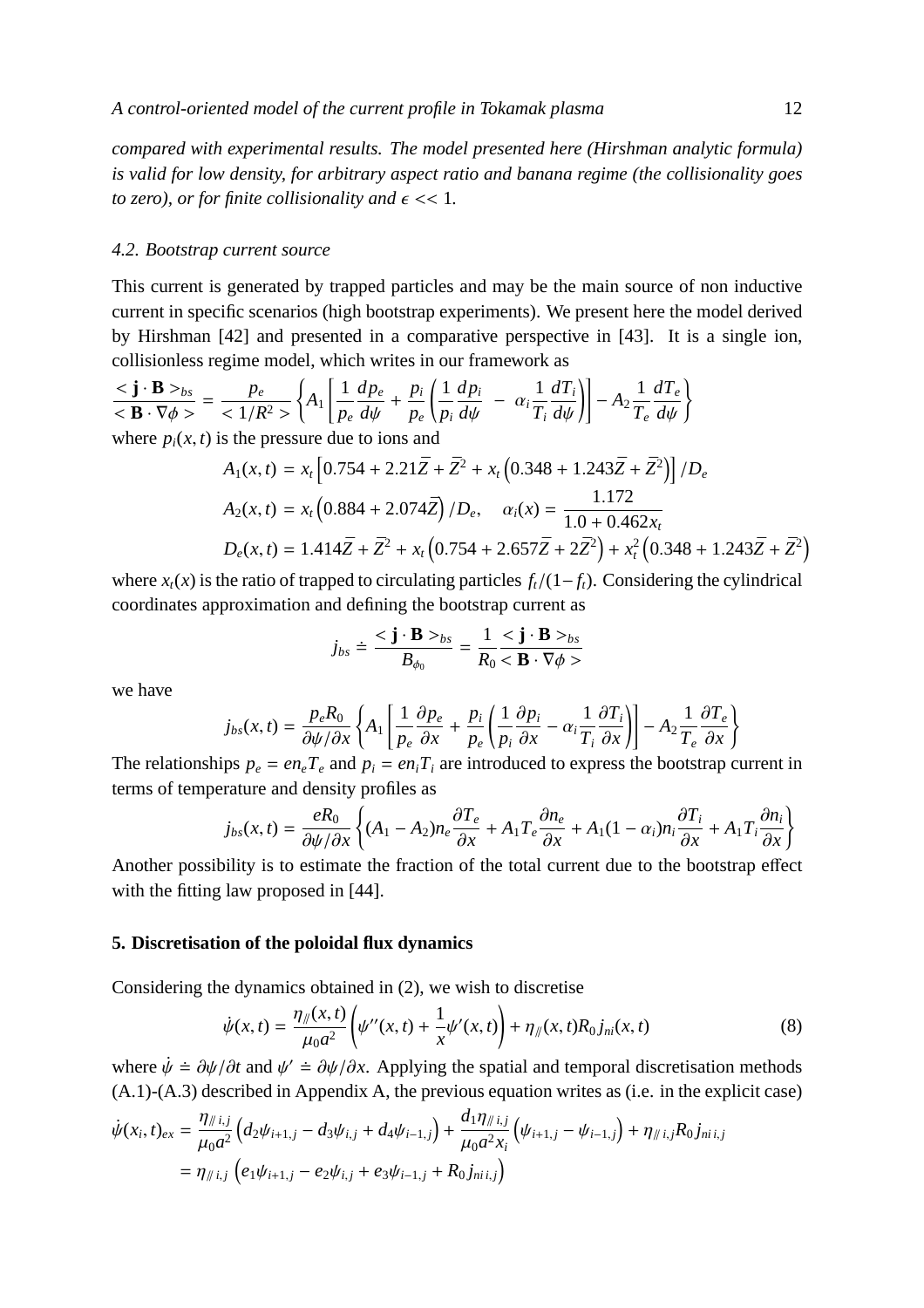*compared with experimental results. The model presented here (Hirshman analytic formula) is valid for low density, for arbitrary aspect ratio and banana regime (the collisionality goes to zero), or for finite collisionality and*  $\epsilon \ll 1$ *.* 

## *4.2. Bootstrap current source*

This current is generated by trapped particles and may be the main source of non inductive current in specific scenarios (high bootstrap experiments). We present here the model derived by Hirshman [42] and presented in a comparative perspective in [43]. It is a single ion, collisionless regime model, which writes in our framework as

$$
\frac{\langle \mathbf{j} \cdot \mathbf{B} \rangle_{bs}}{\langle \mathbf{B} \cdot \nabla \phi \rangle} = \frac{p_e}{\langle 1/R^2 \rangle} \left\{ A_1 \left[ \frac{1}{p_e} \frac{d p_e}{d \psi} + \frac{p_i}{p_e} \left( \frac{1}{p_i} \frac{d p_i}{d \psi} - \alpha_i \frac{1}{T_i} \frac{d T_i}{d \psi} \right) \right] - A_2 \frac{1}{T_e} \frac{d T_e}{d \psi} \right\}
$$
  
where  $p_i(x, t)$  is the pressure due to ions and

$$
A_1(x,t) = x_t \left[ 0.754 + 2.21 \bar{Z} + \bar{Z}^2 + x_t \left( 0.348 + 1.243 \bar{Z} + \bar{Z}^2 \right) \right] / D_e
$$
  
\n
$$
A_2(x,t) = x_t \left( 0.884 + 2.074 \bar{Z} \right) / D_e, \quad \alpha_i(x) = \frac{1.172}{1.0 + 0.462 x_t}
$$
  
\n
$$
D_e(x,t) = 1.414 \bar{Z} + \bar{Z}^2 + x_t \left( 0.754 + 2.657 \bar{Z} + 2\bar{Z}^2 \right) + x_t^2 \left( 0.348 + 1.243 \bar{Z} + \bar{Z}^2 \right)
$$

where  $x_t(x)$  is the ratio of trapped to circulating particles  $f_t/(1-f_t)$ . Considering the cylindrical coordinates approximation and defining the bootstrap current as

$$
j_{bs} \doteq \frac{\langle \mathbf{j} \cdot \mathbf{B} \rangle_{bs}}{B_{\phi_0}} = \frac{1}{R_0} \frac{\langle \mathbf{j} \cdot \mathbf{B} \rangle_{bs}}{\langle \mathbf{B} \cdot \nabla \phi \rangle}
$$

we have

$$
j_{bs}(x,t) = \frac{p_e R_0}{\partial \psi / \partial x} \left\{ A_1 \left[ \frac{1}{p_e} \frac{\partial p_e}{\partial x} + \frac{p_i}{p_e} \left( \frac{1}{p_i} \frac{\partial p_i}{\partial x} - \alpha_i \frac{1}{T_i} \frac{\partial T_i}{\partial x} \right) \right] - A_2 \frac{1}{T_e} \frac{\partial T_e}{\partial x} \right\}
$$

The relationships  $p_e = en_e T_e$  and  $p_i = en_i T_i$  are introduced to express the bootstrap current in terms of temperature and density profiles as

$$
j_{bs}(x,t) = \frac{eR_0}{\partial \psi/\partial x} \left\{ (A_1 - A_2)n_e \frac{\partial T_e}{\partial x} + A_1 T_e \frac{\partial n_e}{\partial x} + A_1 (1 - \alpha_i)n_i \frac{\partial T_i}{\partial x} + A_1 T_i \frac{\partial n_i}{\partial x} \right\}
$$

Another possibility is to estimate the fraction of the total current due to the bootstrap effect with the fitting law proposed in [44].

#### **5. Discretisation of the poloidal flux dynamics**

Considering the dynamics obtained in (2), we wish to discretise

$$
\dot{\psi}(x,t) = \frac{\eta_{\parallel}(x,t)}{\mu_0 a^2} \left( \psi''(x,t) + \frac{1}{x} \psi'(x,t) \right) + \eta_{\parallel}(x,t) R_0 j_{ni}(x,t)
$$
\n(8)

where  $\dot{\psi} = \partial \psi / \partial t$  and  $\psi' = \partial \psi / \partial x$ . Applying the spatial and temporal discretisation methods (A.1)-(A.3) described in Appendix A, the previous equation writes as (i.e. in the explicit case)

$$
\dot{\psi}(x_i, t)_{ex} = \frac{\eta_{\#i,j}}{\mu_0 a^2} \left( d_2 \psi_{i+1,j} - d_3 \psi_{i,j} + d_4 \psi_{i-1,j} \right) + \frac{d_1 \eta_{\#i,j}}{\mu_0 a^2 x_i} \left( \psi_{i+1,j} - \psi_{i-1,j} \right) + \eta_{\#i,j} R_0 j_{mi,j} \n= \eta_{\#i,j} \left( e_1 \psi_{i+1,j} - e_2 \psi_{i,j} + e_3 \psi_{i-1,j} + R_0 j_{mi,j} \right)
$$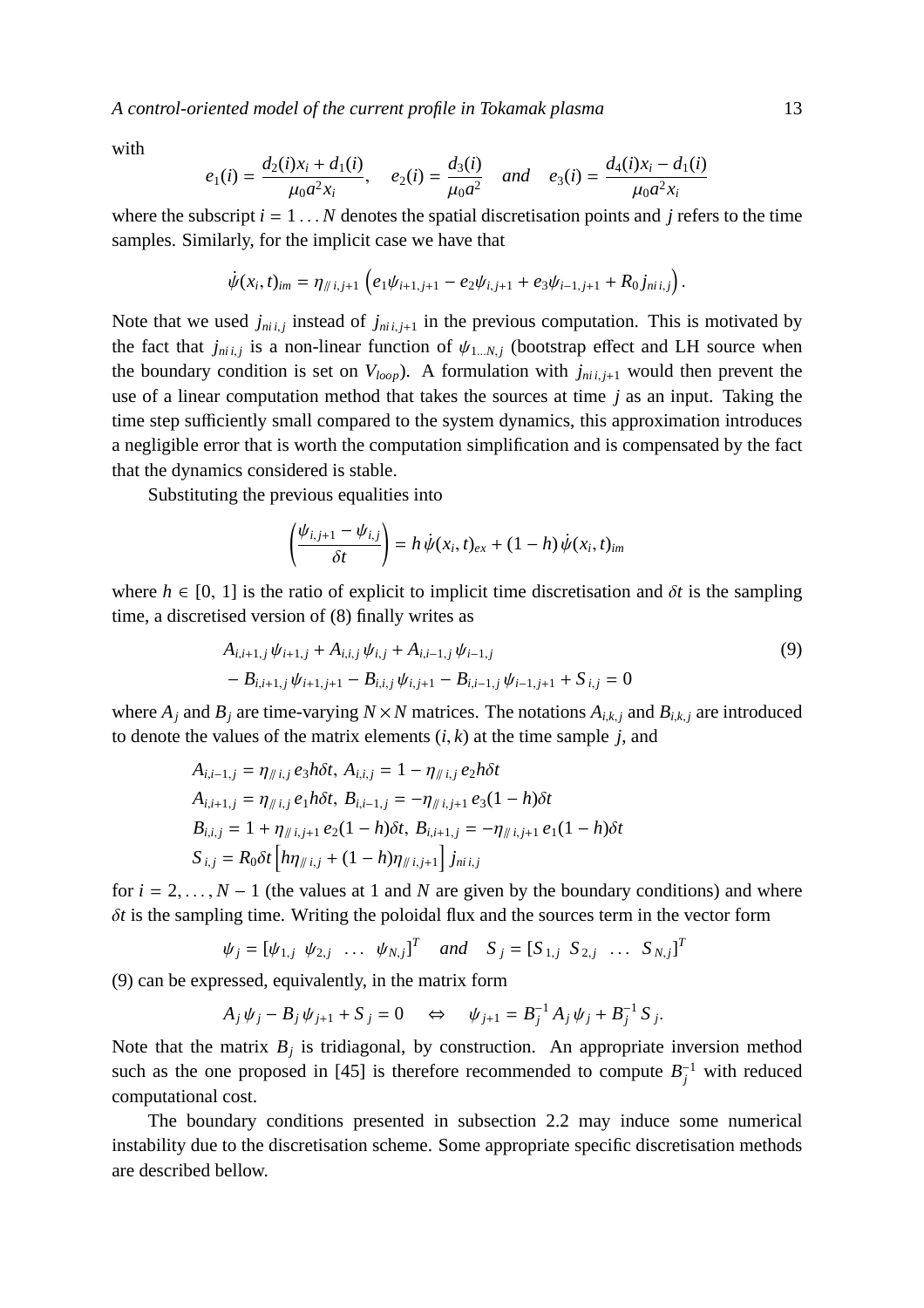*A control-oriented model of the current profile in Tokamak plasma* 13

with

$$
e_1(i) = \frac{d_2(i)x_i + d_1(i)}{\mu_0 a^2 x_i}
$$
,  $e_2(i) = \frac{d_3(i)}{\mu_0 a^2}$  and  $e_3(i) = \frac{d_4(i)x_i - d_1(i)}{\mu_0 a^2 x_i}$ 

where the subscript  $i = 1...N$  denotes the spatial discretisation points and  $j$  refers to the time samples. Similarly, for the implicit case we have that

$$
\dot{\psi}(x_i,t)_{im} = \eta_{/\!/ i,j+1} \left( e_1 \psi_{i+1,j+1} - e_2 \psi_{i,j+1} + e_3 \psi_{i-1,j+1} + R_0 j_{ni,i,j} \right).
$$

Note that we used  $j_{ni,j}$  instead of  $j_{ni,j+1}$  in the previous computation. This is motivated by the fact that  $j_{ni,j}$  is a non-linear function of  $\psi_{1...N,j}$  (bootstrap effect and LH source when the boundary condition is set on  $V_{loop}$ ). A formulation with  $j_{ni,i+1}$  would then prevent the use of a linear computation method that takes the sources at time *j* as an input. Taking the time step sufficiently small compared to the system dynamics, this approximation introduces a negligible error that is worth the computation simplification and is compensated by the fact that the dynamics considered is stable.

Substituting the previous equalities into

$$
\left(\frac{\psi_{i,j+1} - \psi_{i,j}}{\delta t}\right) = h\,\dot{\psi}(x_i,t)_{ex} + (1-h)\,\dot{\psi}(x_i,t)_{im}
$$

where  $h \in [0, 1]$  is the ratio of explicit to implicit time discretisation and  $\delta t$  is the sampling time, a discretised version of (8) finally writes as

$$
A_{i,i+1,j} \psi_{i+1,j} + A_{i,i,j} \psi_{i,j} + A_{i,i-1,j} \psi_{i-1,j}
$$
  
- 
$$
B_{i,i+1,j} \psi_{i+1,j+1} - B_{i,i,j} \psi_{i,j+1} - B_{i,i-1,j} \psi_{i-1,j+1} + S_{i,j} = 0
$$
 (9)

where  $A_i$  and  $B_j$  are time-varying  $N \times N$  matrices. The notations  $A_{i,k,j}$  and  $B_{i,k,j}$  are introduced to denote the values of the matrix elements  $(i, k)$  at the time sample  $j$ , and

$$
A_{i,i-1,j} = \eta_{\# i,j} e_3 h \delta t, A_{i,i,j} = 1 - \eta_{\# i,j} e_2 h \delta t
$$
  
\n
$$
A_{i,i+1,j} = \eta_{\# i,j} e_1 h \delta t, B_{i,i-1,j} = -\eta_{\# i,j+1} e_3 (1 - h) \delta t
$$
  
\n
$$
B_{i,i,j} = 1 + \eta_{\# i,j+1} e_2 (1 - h) \delta t, B_{i,i+1,j} = -\eta_{\# i,j+1} e_1 (1 - h) \delta t
$$
  
\n
$$
S_{i,j} = R_0 \delta t \left[ h \eta_{\# i,j} + (1 - h) \eta_{\# i,j+1} \right] j_{\# i,j}
$$

for  $i = 2, \ldots, N - 1$  (the values at 1 and *N* are given by the boundary conditions) and where δ*t* is the sampling time. Writing the poloidal flux and the sources term in the vector form

$$
\psi_j = [\psi_{1,j} \ \psi_{2,j} \ \dots \ \psi_{N,j}]^T
$$
 and  $S_j = [S_{1,j} \ S_{2,j} \ \dots \ S_{N,j}]^T$ 

(9) can be expressed, equivalently, in the matrix form

$$
A_j \psi_j - B_j \psi_{j+1} + S_j = 0 \quad \Leftrightarrow \quad \psi_{j+1} = B_j^{-1} A_j \psi_j + B_j^{-1} S_j.
$$

Note that the matrix  $B_j$  is tridiagonal, by construction. An appropriate inversion method such as the one proposed in [45] is therefore recommended to compute  $B_j^{-1}$  with reduced computational cost.

The boundary conditions presented in subsection 2.2 may induce some numerical instability due to the discretisation scheme. Some appropriate specific discretisation methods are described bellow.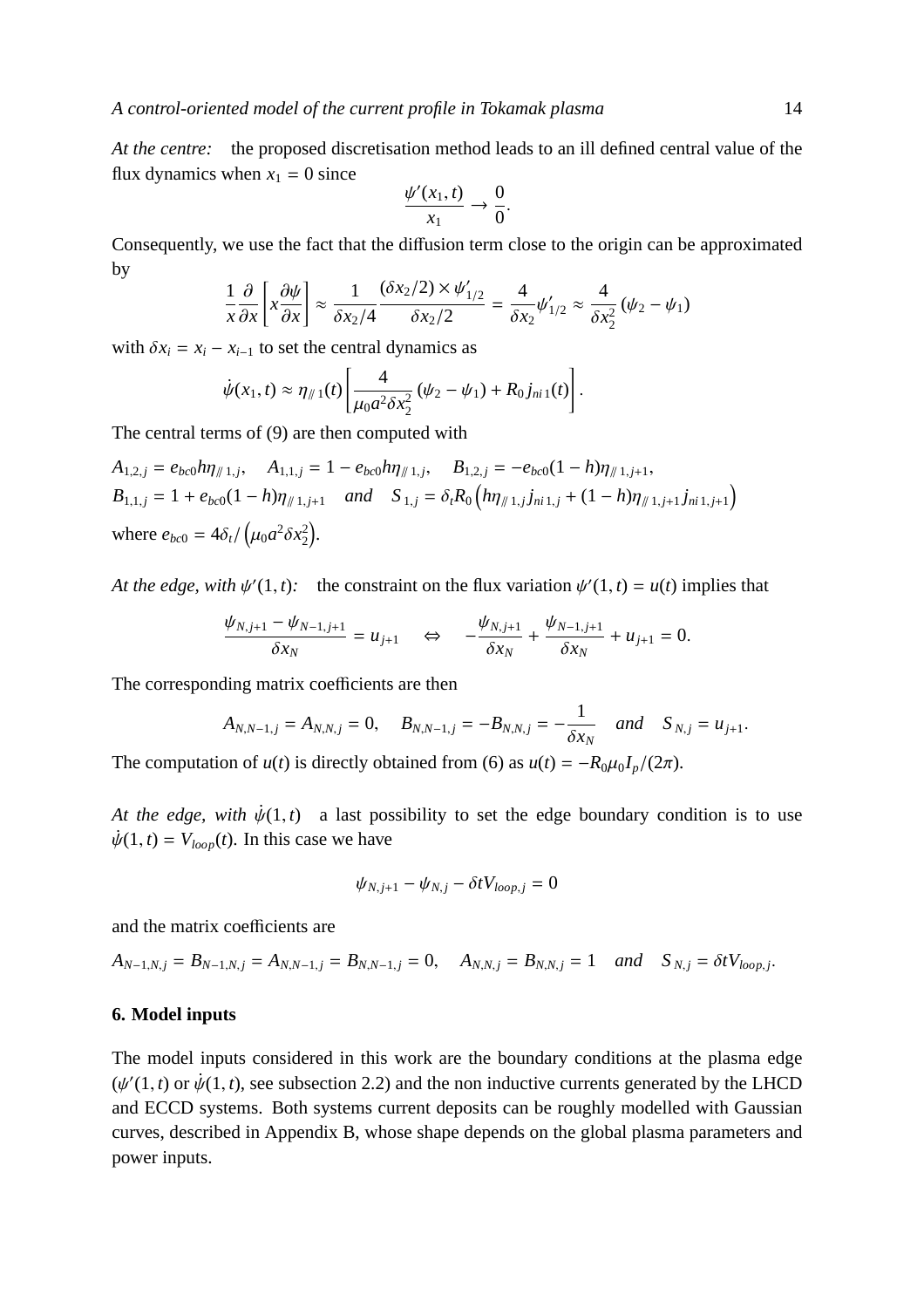*At the centre:* the proposed discretisation method leads to an ill defined central value of the flux dynamics when  $x_1 = 0$  since

$$
\frac{\psi'(x_1,t)}{x_1}\to\frac{0}{0}.
$$

Consequently, we use the fact that the diffusion term close to the origin can be approximated by

$$
\frac{1}{x}\frac{\partial}{\partial x}\left[x\frac{\partial \psi}{\partial x}\right] \approx \frac{1}{\delta x_2/4} \frac{(\delta x_2/2) \times \psi'_{1/2}}{\delta x_2/2} = \frac{4}{\delta x_2} \psi'_{1/2} \approx \frac{4}{\delta x_2^2} (\psi_2 - \psi_1)
$$

with  $\delta x_i = x_i - x_{i-1}$  to set the central dynamics as

$$
\dot{\psi}(x_1,t) \approx \eta_{\#1}(t) \left[ \frac{4}{\mu_0 a^2 \delta x_2^2} (\psi_2 - \psi_1) + R_0 j_{ni1}(t) \right].
$$

The central terms of (9) are then computed with

$$
A_{1,2,j} = e_{bc0} h \eta_{\parallel 1,j}, \quad A_{1,1,j} = 1 - e_{bc0} h \eta_{\parallel 1,j}, \quad B_{1,2,j} = -e_{bc0} (1 - h) \eta_{\parallel 1,j+1},
$$
  
\n
$$
B_{1,1,j} = 1 + e_{bc0} (1 - h) \eta_{\parallel 1,j+1} \quad and \quad S_{1,j} = \delta_t R_0 \left( h \eta_{\parallel 1,j} j_{ni 1,j} + (1 - h) \eta_{\parallel 1,j+1} j_{ni 1,j+1} \right)
$$
  
\nwhere  $e_{bc0} = 4\delta_t / (\mu_0 a^2 \delta x_2^2)$ .

*At the edge, with*  $\psi'(1, t)$ : the constraint on the flux variation  $\psi'(1, t) = u(t)$  implies that

$$
\frac{\psi_{N,j+1} - \psi_{N-1,j+1}}{\delta x_N} = u_{j+1} \quad \Leftrightarrow \quad -\frac{\psi_{N,j+1}}{\delta x_N} + \frac{\psi_{N-1,j+1}}{\delta x_N} + u_{j+1} = 0.
$$

The corresponding matrix coefficients are then

$$
A_{N,N-1,j} = A_{N,N,j} = 0
$$
,  $B_{N,N-1,j} = -B_{N,N,j} = -\frac{1}{\delta x_N}$  and  $S_{N,j} = u_{j+1}$ .

The computation of *u*(*t*) is directly obtained from (6) as  $u(t) = -R_0\mu_0I_p/(2\pi)$ .

*At the edge, with*  $\dot{\psi}(1,t)$  a last possibility to set the edge boundary condition is to use  $\dot{\psi}(1, t) = V_{loop}(t)$ . In this case we have

$$
\psi_{N,j+1} - \psi_{N,j} - \delta t V_{loop,j} = 0
$$

and the matrix coefficients are

$$
A_{N-1,N,j} = B_{N-1,N,j} = A_{N,N-1,j} = B_{N,N-1,j} = 0, \quad A_{N,N,j} = B_{N,N,j} = 1 \quad and \quad S_{N,j} = \delta t V_{loop,j}.
$$

## **6. Model inputs**

The model inputs considered in this work are the boundary conditions at the plasma edge  $(\psi'(1, t)$  or  $\dot{\psi}(1, t)$ , see subsection 2.2) and the non inductive currents generated by the LHCD and ECCD systems. Both systems current deposits can be roughly modelled with Gaussian curves, described in Appendix B, whose shape depends on the global plasma parameters and power inputs.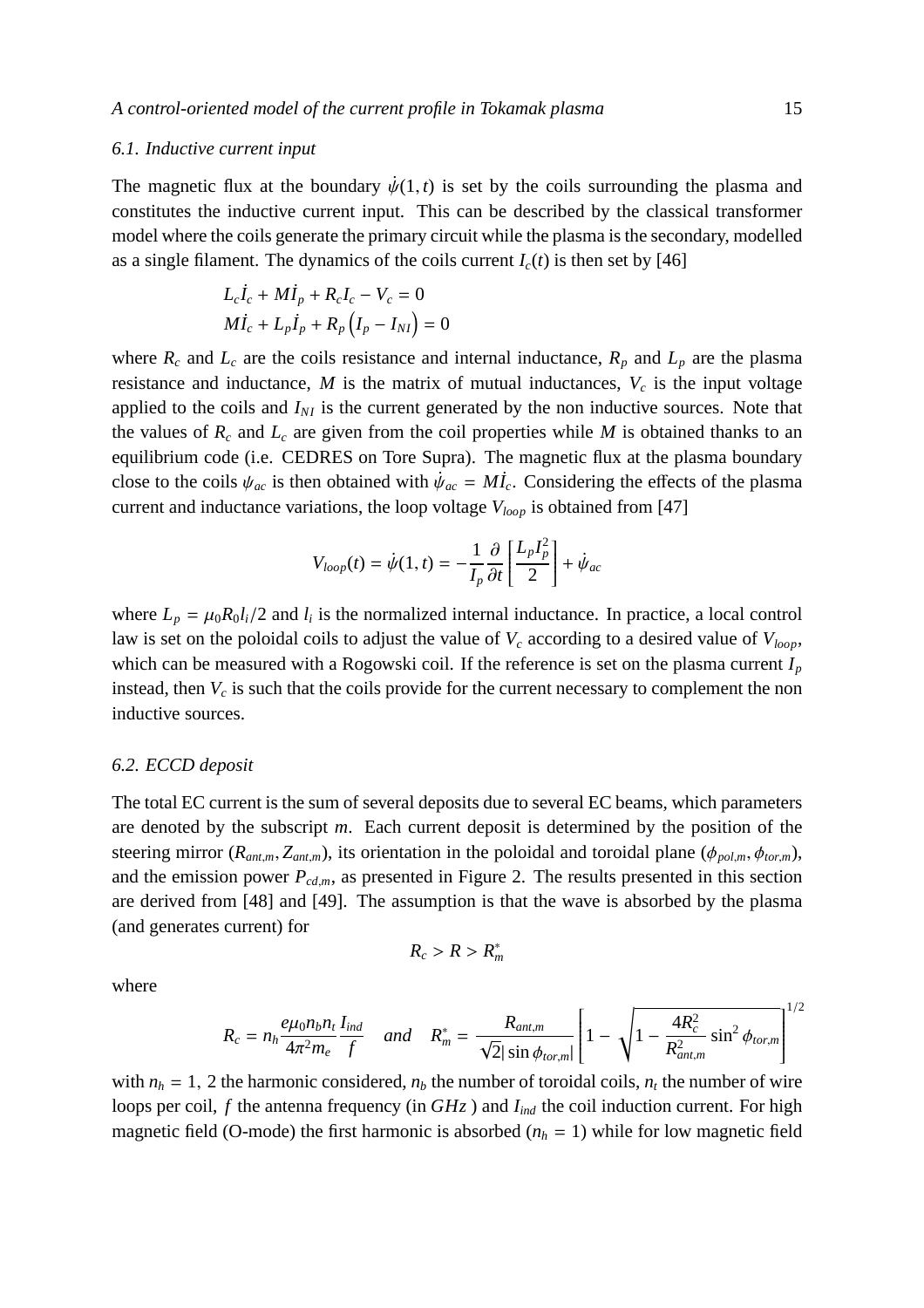## *6.1. Inductive current input*

The magnetic flux at the boundary  $\dot{\psi}(1, t)$  is set by the coils surrounding the plasma and constitutes the inductive current input. This can be described by the classical transformer model where the coils generate the primary circuit while the plasma is the secondary, modelled as a single filament. The dynamics of the coils current  $I_c(t)$  is then set by [46]

$$
L_c \dot{I}_c + M \dot{I}_p + R_c I_c - V_c = 0
$$
  

$$
M \dot{I}_c + L_p \dot{I}_p + R_p (I_p - I_{NI}) = 0
$$

where  $R_c$  and  $L_c$  are the coils resistance and internal inductance,  $R_p$  and  $L_p$  are the plasma resistance and inductance,  $M$  is the matrix of mutual inductances,  $V_c$  is the input voltage applied to the coils and  $I_{NI}$  is the current generated by the non inductive sources. Note that the values of  $R_c$  and  $L_c$  are given from the coil properties while *M* is obtained thanks to an equilibrium code (i.e. CEDRES on Tore Supra). The magnetic flux at the plasma boundary close to the coils  $\psi_{ac}$  is then obtained with  $\dot{\psi}_{ac} = M\dot{I}_c$ . Considering the effects of the plasma current and inductance variations, the loop voltage *Vloop* is obtained from [47]

$$
V_{loop}(t) = \dot{\psi}(1, t) = -\frac{1}{I_p} \frac{\partial}{\partial t} \left[ \frac{L_p I_p^2}{2} \right] + \dot{\psi}_{ac}
$$

where  $L_p = \mu_0 R_0 l_i / 2$  and  $l_i$  is the normalized internal inductance. In practice, a local control law is set on the poloidal coils to adjust the value of *V<sup>c</sup>* according to a desired value of *Vloop*, which can be measured with a Rogowski coil. If the reference is set on the plasma current *I<sup>p</sup>* instead, then  $V_c$  is such that the coils provide for the current necessary to complement the non inductive sources.

#### *6.2. ECCD deposit*

The total EC current is the sum of several deposits due to several EC beams, which parameters are denoted by the subscript *m*. Each current deposit is determined by the position of the steering mirror  $(R_{ant,m}, Z_{ant,m})$ , its orientation in the poloidal and toroidal plane  $(\phi_{pol,m}, \phi_{tor,m})$ , and the emission power  $P_{cd,m}$ , as presented in Figure 2. The results presented in this section are derived from [48] and [49]. The assumption is that the wave is absorbed by the plasma (and generates current) for

$$
R_c > R > R_m^*
$$

where

$$
R_c = n_h \frac{e\mu_0 n_b n_t}{4\pi^2 m_e} \frac{I_{ind}}{f} \quad and \quad R_m^* = \frac{R_{ant,m}}{\sqrt{2} |\sin \phi_{tor,m}|} \left[ 1 - \sqrt{1 - \frac{4R_c^2}{R_{ant,m}^2} \sin^2 \phi_{tor,m}} \right]^{1/2}
$$

with  $n_h = 1$ , 2 the harmonic considered,  $n_b$  the number of toroidal coils,  $n_t$  the number of wire loops per coil, *f* the antenna frequency (in *GHz*) and *I*<sub>ind</sub> the coil induction current. For high magnetic field (O-mode) the first harmonic is absorbed  $(n_h = 1)$  while for low magnetic field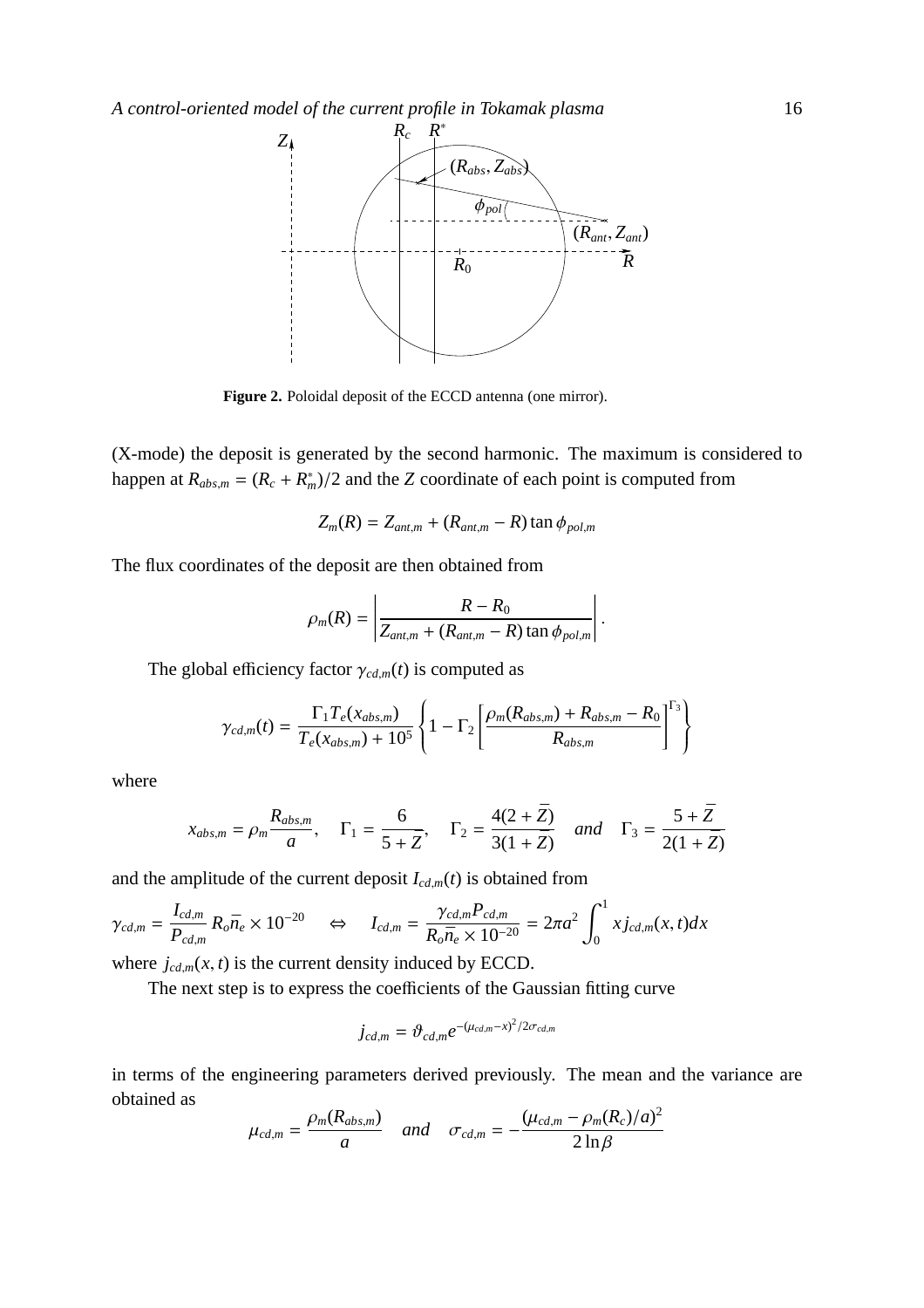

**Figure 2.** Poloidal deposit of the ECCD antenna (one mirror).

(X-mode) the deposit is generated by the second harmonic. The maximum is considered to happen at  $R_{abs,m} = (R_c + R_m^*)/2$  and the *Z* coordinate of each point is computed from

$$
Z_m(R) = Z_{ant,m} + (R_{ant,m} - R) \tan \phi_{pol,m}
$$

The flux coordinates of the deposit are then obtained from

$$
\rho_m(R) = \left| \frac{R - R_0}{Z_{ant,m} + (R_{ant,m} - R) \tan \phi_{pol,m}} \right|.
$$

The global efficiency factor  $\gamma_{cd,m}(t)$  is computed as

$$
\gamma_{cd,m}(t) = \frac{\Gamma_1 T_e(x_{abs,m})}{T_e(x_{abs,m}) + 10^5} \left\{ 1 - \Gamma_2 \left[ \frac{\rho_m(R_{abs,m}) + R_{abs,m} - R_0}{R_{abs,m}} \right]^{T_3} \right\}
$$

where

$$
x_{abs,m} = \rho_m \frac{R_{abs,m}}{a}, \quad \Gamma_1 = \frac{6}{5 + \bar{Z}}, \quad \Gamma_2 = \frac{4(2 + \bar{Z})}{3(1 + \bar{Z})} \quad and \quad \Gamma_3 = \frac{5 + \bar{Z}}{2(1 + \bar{Z})}
$$

and the amplitude of the current deposit  $I_{cd,m}(t)$  is obtained from

$$
\gamma_{cd,m} = \frac{I_{cd,m}}{P_{cd,m}} R_o \bar{n}_e \times 10^{-20} \quad \Leftrightarrow \quad I_{cd,m} = \frac{\gamma_{cd,m} P_{cd,m}}{R_o \bar{n}_e \times 10^{-20}} = 2\pi a^2 \int_0^1 x j_{cd,m}(x,t) dx
$$

where  $j_{cd,m}(x, t)$  is the current density induced by ECCD.

The next step is to express the coefficients of the Gaussian fitting curve

$$
j_{cd,m} = \vartheta_{cd,m} e^{-(\mu_{cd,m} - x)^2/2\sigma_{cd,m}}
$$

in terms of the engineering parameters derived previously. The mean and the variance are obtained as  $\overline{1}$ 

$$
\mu_{cd,m} = \frac{\rho_m(R_{abs,m})}{a} \quad and \quad \sigma_{cd,m} = -\frac{(\mu_{cd,m} - \rho_m(R_c)/a)^2}{2\ln\beta}
$$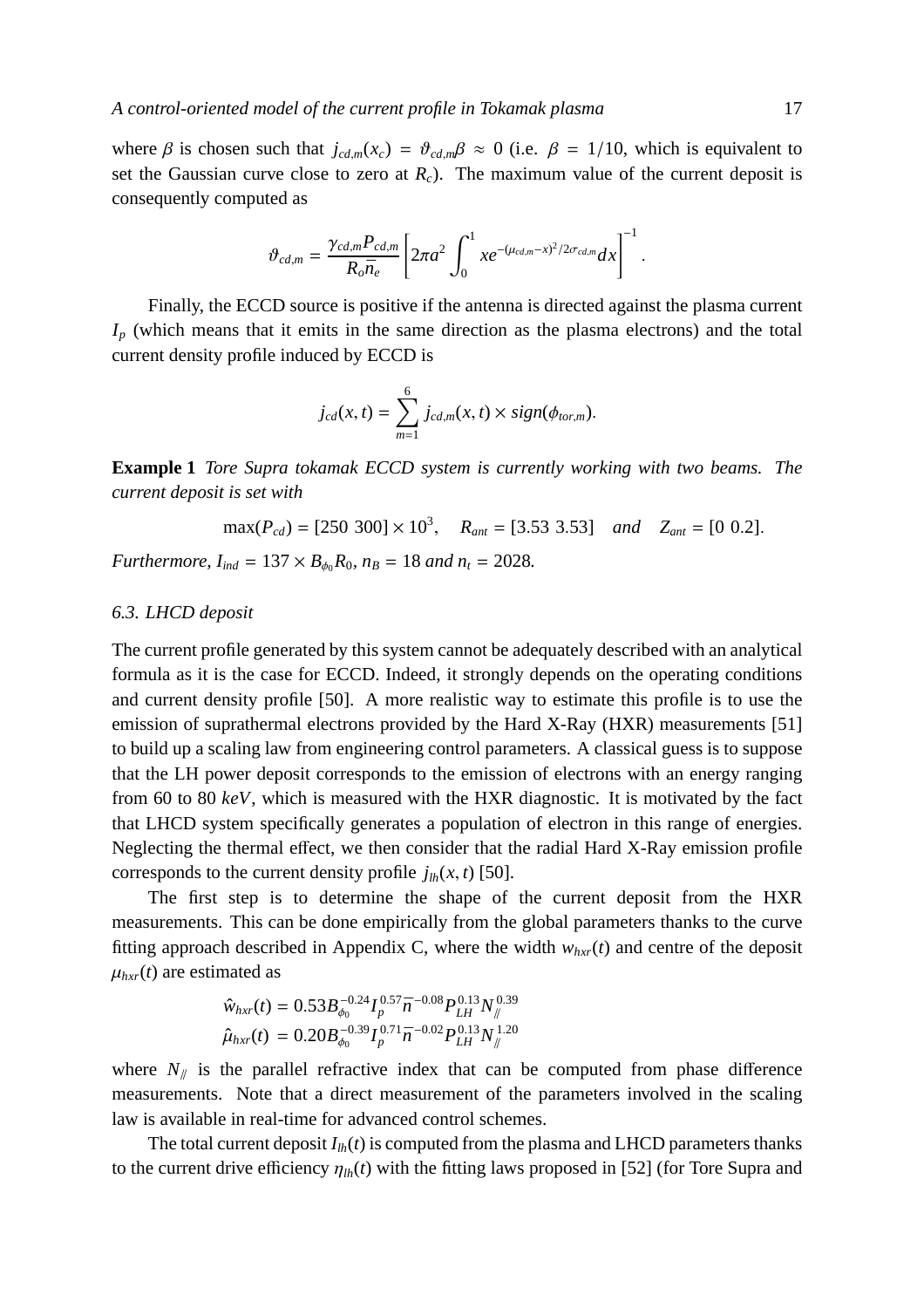where  $\beta$  is chosen such that  $j_{cd,m}(x_c) = \vartheta_{cd,m}\beta \approx 0$  (i.e.  $\beta = 1/10$ , which is equivalent to set the Gaussian curve close to zero at  $R_c$ ). The maximum value of the current deposit is consequently computed as

$$
\vartheta_{cd,m} = \frac{\gamma_{cd,m} P_{cd,m}}{R_o \bar{n}_e} \left[ 2\pi a^2 \int_0^1 xe^{-(\mu_{cd,m}-x)^2/2\sigma_{cd,m}} dx \right]^{-1}.
$$

Finally, the ECCD source is positive if the antenna is directed against the plasma current  $I_p$  (which means that it emits in the same direction as the plasma electrons) and the total current density profile induced by ECCD is

$$
j_{cd}(x,t)=\sum_{m=1}^6 j_{cd,m}(x,t)\times sign(\phi_{tor,m}).
$$

**Example 1** *Tore Supra tokamak ECCD system is currently working with two beams. The current deposit is set with*

$$
\max(P_{cd}) = [250\ 300] \times 10^3, \quad R_{ant} = [3.53\ 3.53] \quad and \quad Z_{ant} = [0\ 0.2].
$$

*Furthermore,*  $I_{ind} = 137 \times B_{\phi_0} R_0$ ,  $n_B = 18$  *and*  $n_t = 2028$ .

## *6.3. LHCD deposit*

The current profile generated by this system cannot be adequately described with an analytical formula as it is the case for ECCD. Indeed, it strongly depends on the operating conditions and current density profile [50]. A more realistic way to estimate this profile is to use the emission of suprathermal electrons provided by the Hard X-Ray (HXR) measurements [51] to build up a scaling law from engineering control parameters. A classical guess is to suppose that the LH power deposit corresponds to the emission of electrons with an energy ranging from 60 to 80 *keV*, which is measured with the HXR diagnostic. It is motivated by the fact that LHCD system specifically generates a population of electron in this range of energies. Neglecting the thermal effect, we then consider that the radial Hard X-Ray emission profile corresponds to the current density profile  $j_{lh}(x, t)$  [50].

The first step is to determine the shape of the current deposit from the HXR measurements. This can be done empirically from the global parameters thanks to the curve fitting approach described in Appendix C, where the width  $w_{hxr}(t)$  and centre of the deposit  $\mu_{hxr}(t)$  are estimated as

$$
\hat{w}_{hxr}(t) = 0.53B_{\phi_0}^{-0.24}I_p^{0.57}\bar{n}^{-0.08}P_{LH}^{0.13}N_{\parallel}^{0.39}
$$
  

$$
\hat{\mu}_{hxr}(t) = 0.20B_{\phi_0}^{-0.39}I_p^{0.71}\bar{n}^{-0.02}P_{LH}^{0.13}N_{\parallel}^{1.20}
$$

where  $N_{\parallel}$  is the parallel refractive index that can be computed from phase difference measurements. Note that a direct measurement of the parameters involved in the scaling law is available in real-time for advanced control schemes.

The total current deposit  $I_{lh}(t)$  is computed from the plasma and LHCD parameters thanks to the current drive efficiency  $\eta_{lh}(t)$  with the fitting laws proposed in [52] (for Tore Supra and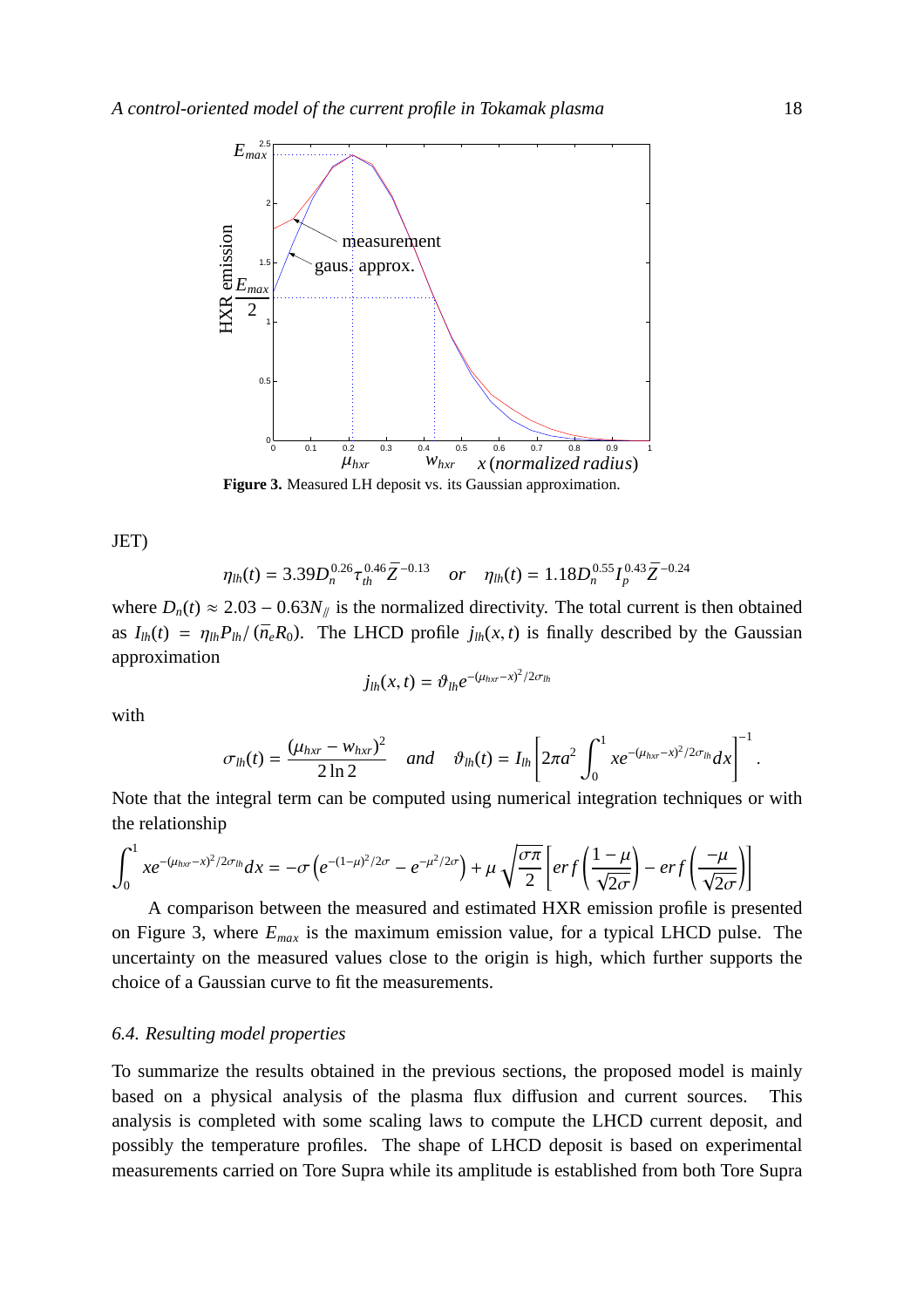

**Figure 3.** Measured LH deposit vs. its Gaussian approximation.

JET)

$$
\eta_{lh}(t) = 3.39 D_n^{0.26} \tau_{th}^{0.46} \bar{Z}^{-0.13} \quad or \quad \eta_{lh}(t) = 1.18 D_n^{0.55} I_p^{0.43} \bar{Z}^{-0.24}
$$

where  $D_n(t) \approx 2.03 - 0.63 N_{\parallel}$  is the normalized directivity. The total current is then obtained as  $I_{lh}(t) = \eta_{lh} P_{lh}/(\bar{n}_e R_0)$ . The LHCD profile  $j_{lh}(x, t)$  is finally described by the Gaussian approximation

$$
j_{lh}(x,t)=\vartheta_{lh}e^{-(\mu_{hxr}-x)^2/2\sigma_{lh}}
$$

with

$$
\sigma_{lh}(t) = \frac{(\mu_{hxr} - w_{hxr})^2}{2 \ln 2} \quad \text{and} \quad \vartheta_{lh}(t) = I_{lh} \left[ 2\pi a^2 \int_0^1 x e^{-(\mu_{hxr} - x)^2/2\sigma_{lh}} dx \right]^{-1}.
$$

Note that the integral term can be computed using numerical integration techniques or with the relationship

$$
\int_0^1 xe^{-(\mu_{hxr}-x)^2/2\sigma_{lh}}dx = -\sigma\left(e^{-(1-\mu)^2/2\sigma} - e^{-\mu^2/2\sigma}\right) + \mu\sqrt{\frac{\sigma\pi}{2}}\left[erf\left(\frac{1-\mu}{\sqrt{2\sigma}}\right) - erf\left(\frac{-\mu}{\sqrt{2\sigma}}\right)\right]
$$

A comparison between the measured and estimated HXR emission profile is presented on Figure 3, where *Emax* is the maximum emission value, for a typical LHCD pulse. The uncertainty on the measured values close to the origin is high, which further supports the choice of a Gaussian curve to fit the measurements.

## *6.4. Resulting model properties*

To summarize the results obtained in the previous sections, the proposed model is mainly based on a physical analysis of the plasma flux diffusion and current sources. This analysis is completed with some scaling laws to compute the LHCD current deposit, and possibly the temperature profiles. The shape of LHCD deposit is based on experimental measurements carried on Tore Supra while its amplitude is established from both Tore Supra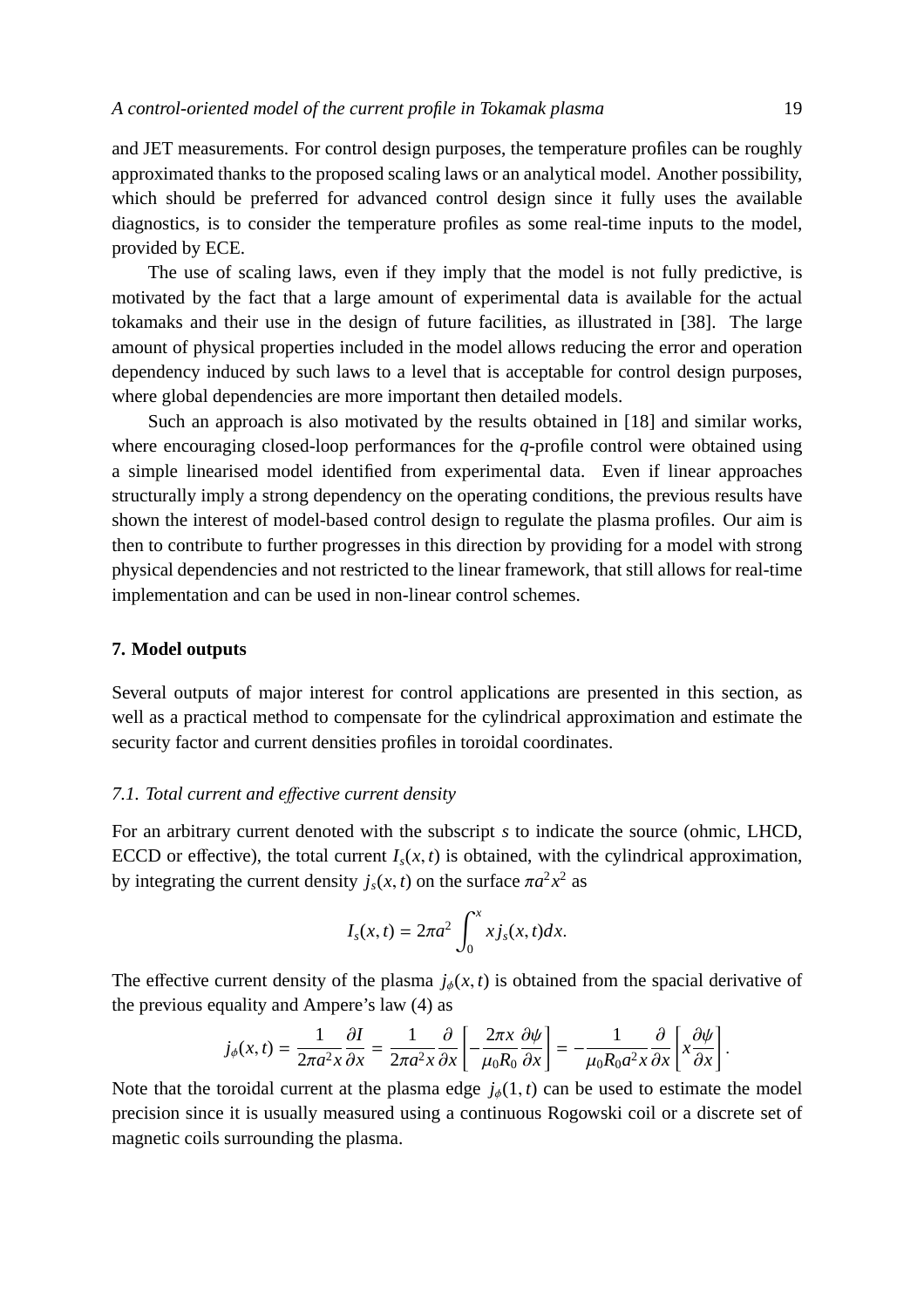and JET measurements. For control design purposes, the temperature profiles can be roughly approximated thanks to the proposed scaling laws or an analytical model. Another possibility, which should be preferred for advanced control design since it fully uses the available diagnostics, is to consider the temperature profiles as some real-time inputs to the model, provided by ECE.

The use of scaling laws, even if they imply that the model is not fully predictive, is motivated by the fact that a large amount of experimental data is available for the actual tokamaks and their use in the design of future facilities, as illustrated in [38]. The large amount of physical properties included in the model allows reducing the error and operation dependency induced by such laws to a level that is acceptable for control design purposes, where global dependencies are more important then detailed models.

Such an approach is also motivated by the results obtained in [18] and similar works, where encouraging closed-loop performances for the *q*-profile control were obtained using a simple linearised model identified from experimental data. Even if linear approaches structurally imply a strong dependency on the operating conditions, the previous results have shown the interest of model-based control design to regulate the plasma profiles. Our aim is then to contribute to further progresses in this direction by providing for a model with strong physical dependencies and not restricted to the linear framework, that still allows for real-time implementation and can be used in non-linear control schemes.

#### **7. Model outputs**

Several outputs of major interest for control applications are presented in this section, as well as a practical method to compensate for the cylindrical approximation and estimate the security factor and current densities profiles in toroidal coordinates.

## *7.1. Total current and e*ff*ective current density*

For an arbitrary current denoted with the subscript *s* to indicate the source (ohmic, LHCD, ECCD or effective), the total current  $I_s(x, t)$  is obtained, with the cylindrical approximation, by integrating the current density  $j_s(x, t)$  on the surface  $\pi a^2 x^2$  as

$$
I_s(x,t) = 2\pi a^2 \int_0^x x j_s(x,t) dx.
$$

The effective current density of the plasma  $j_{\phi}(x, t)$  is obtained from the spacial derivative of the previous equality and Ampere's law (4) as

$$
j_{\phi}(x,t) = \frac{1}{2\pi a^2 x} \frac{\partial I}{\partial x} = \frac{1}{2\pi a^2 x} \frac{\partial}{\partial x} \left[ -\frac{2\pi x}{\mu_0 R_0} \frac{\partial \psi}{\partial x} \right] = -\frac{1}{\mu_0 R_0 a^2 x} \frac{\partial}{\partial x} \left[ x \frac{\partial \psi}{\partial x} \right].
$$

Note that the toroidal current at the plasma edge  $j_{\phi}(1, t)$  can be used to estimate the model precision since it is usually measured using a continuous Rogowski coil or a discrete set of magnetic coils surrounding the plasma.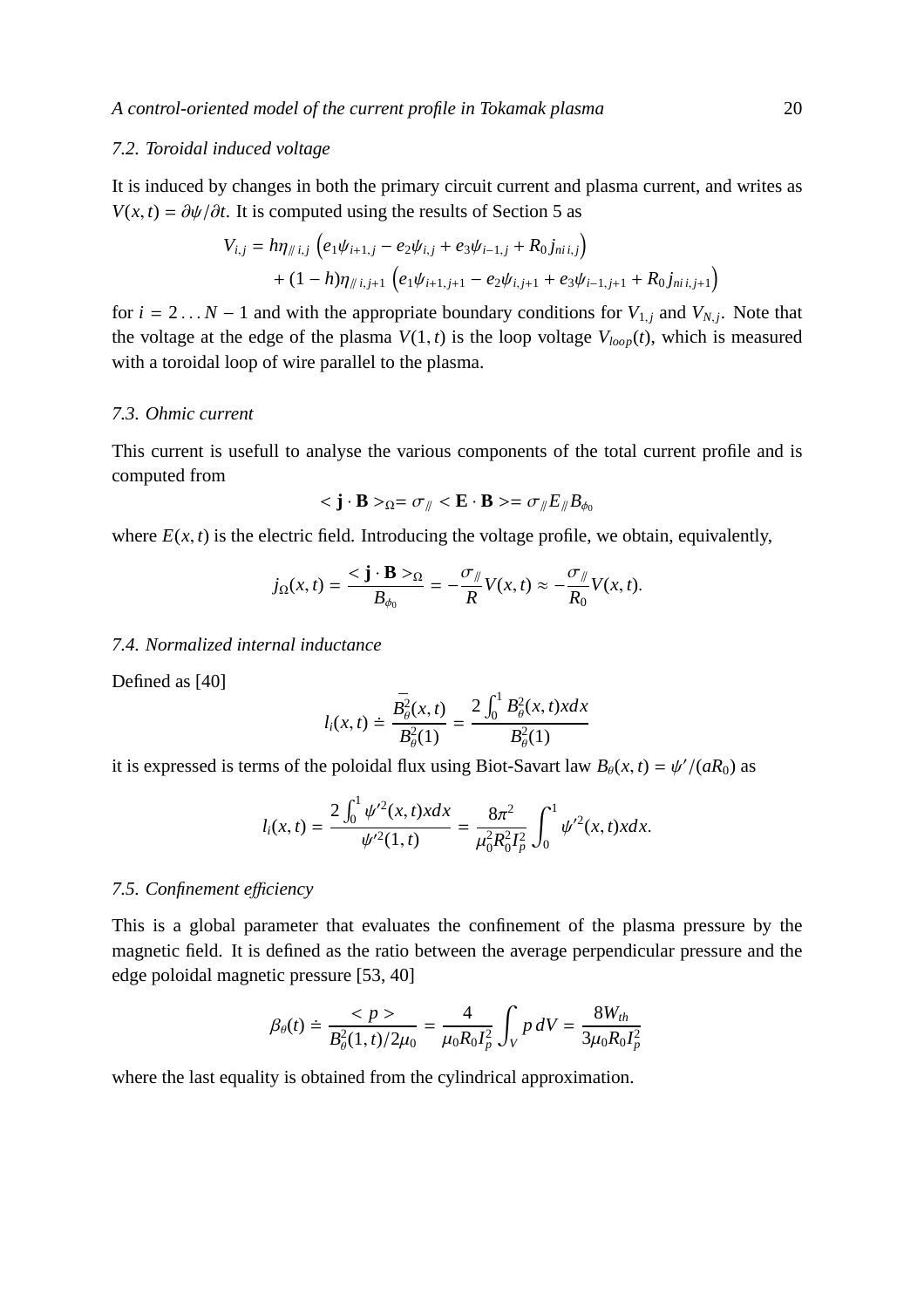## *7.2. Toroidal induced voltage*

It is induced by changes in both the primary circuit current and plasma current, and writes as *V*(*x*, *t*) =  $\partial \psi / \partial t$ . It is computed using the results of Section 5 as

$$
V_{i,j} = h\eta_{\#i,j} \left( e_1 \psi_{i+1,j} - e_2 \psi_{i,j} + e_3 \psi_{i-1,j} + R_0 j_{\#i,j} \right) + (1-h)\eta_{\#i,j+1} \left( e_1 \psi_{i+1,j+1} - e_2 \psi_{i,j+1} + e_3 \psi_{i-1,j+1} + R_0 j_{\#i,j+1} \right)
$$

for  $i = 2...N - 1$  and with the appropriate boundary conditions for  $V_{1,j}$  and  $V_{N,j}$ . Note that the voltage at the edge of the plasma  $V(1, t)$  is the loop voltage  $V_{loop}(t)$ , which is measured with a toroidal loop of wire parallel to the plasma.

#### *7.3. Ohmic current*

This current is usefull to analyse the various components of the total current profile and is computed from

$$
<\mathbf{j}\cdot\mathbf{B}>_{\Omega}=\sigma_{\parallel}<\mathbf{E}\cdot\mathbf{B}>=\sigma_{\parallel}E_{\parallel}B_{\phi_0}
$$

where  $E(x, t)$  is the electric field. Introducing the voltage profile, we obtain, equivalently,

$$
j_{\Omega}(x,t)=\frac{<\mathbf{j}\cdot\mathbf{B}>_{\Omega}}{B_{\phi_0}}=-\frac{\sigma_{\parallel}}{R}V(x,t)\approx-\frac{\sigma_{\parallel}}{R_0}V(x,t).
$$

#### *7.4. Normalized internal inductance*

Defined as [40]

$$
l_i(x,t) \doteq \frac{\bar{B}_{\theta}^2(x,t)}{B_{\theta}^2(1)} = \frac{2 \int_0^1 B_{\theta}^2(x,t) x dx}{B_{\theta}^2(1)}
$$

it is expressed is terms of the poloidal flux using Biot-Savart law  $B_\theta(x, t) = \frac{\psi'}{aR_0}$  as

$$
l_i(x,t) = \frac{2 \int_0^1 \psi'^2(x,t) x dx}{\psi'^2(1,t)} = \frac{8\pi^2}{\mu_0^2 R_0^2 I_p^2} \int_0^1 \psi'^2(x,t) x dx.
$$

## *7.5. Confinement e*ffi*ciency*

This is a global parameter that evaluates the confinement of the plasma pressure by the magnetic field. It is defined as the ratio between the average perpendicular pressure and the edge poloidal magnetic pressure [53, 40]

$$
\beta_{\theta}(t) \doteq \frac{Q}{B_{\theta}^{2}(1,t)/2\mu_{0}} = \frac{4}{\mu_{0}R_{0}I_{p}^{2}} \int_{V} p \,dV = \frac{8W_{th}}{3\mu_{0}R_{0}I_{p}^{2}}
$$

where the last equality is obtained from the cylindrical approximation.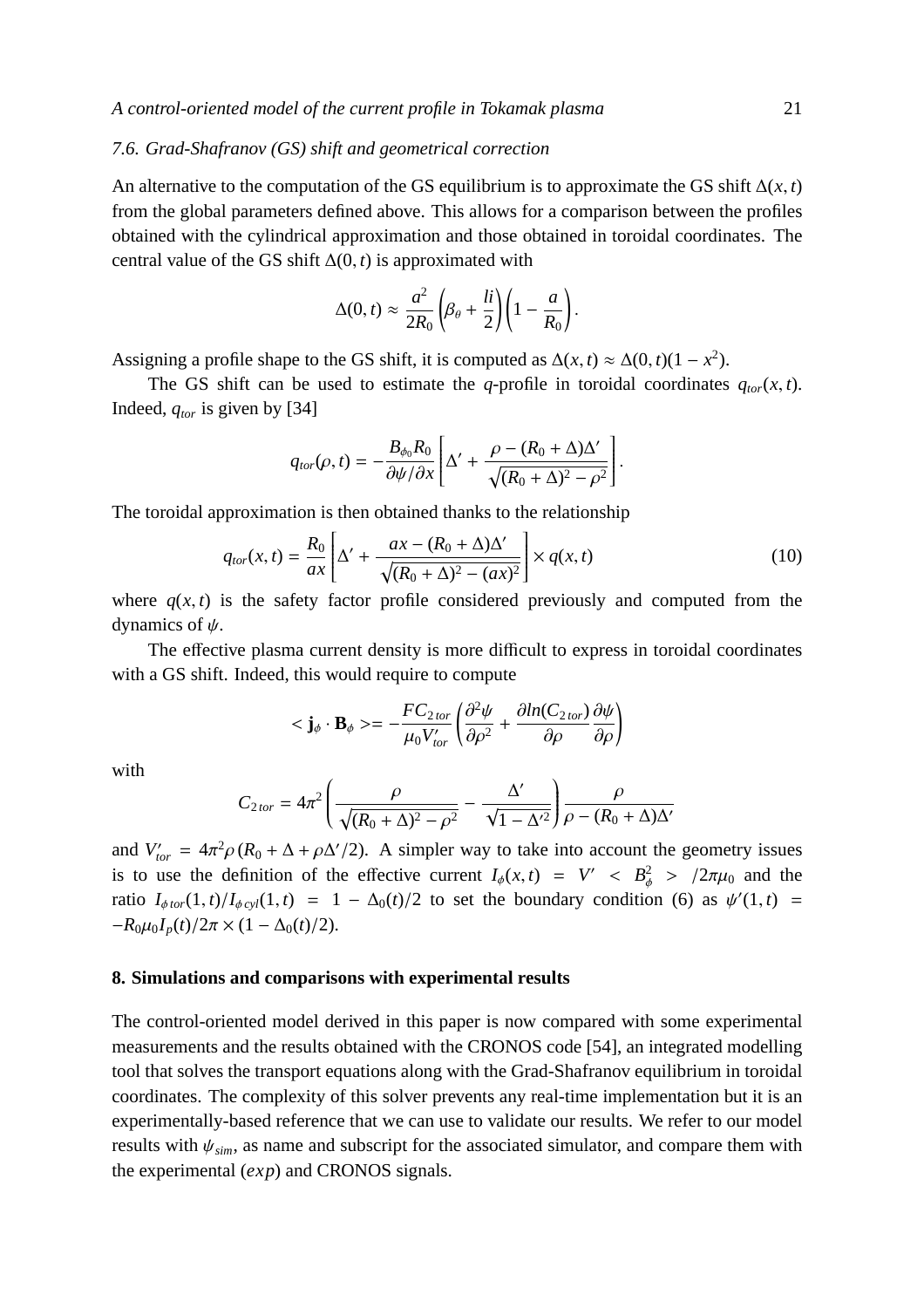## *7.6. Grad-Shafranov (GS) shift and geometrical correction*

An alternative to the computation of the GS equilibrium is to approximate the GS shift  $\Delta(x, t)$ from the global parameters defined above. This allows for a comparison between the profiles obtained with the cylindrical approximation and those obtained in toroidal coordinates. The central value of the GS shift ∆(0, *t*) is approximated with

$$
\Delta(0, t) \approx \frac{a^2}{2R_0} \left( \beta_\theta + \frac{li}{2} \right) \left( 1 - \frac{a}{R_0} \right).
$$

Assigning a profile shape to the GS shift, it is computed as  $\Delta(x, t) \approx \Delta(0, t)(1 - x^2)$ .

The GS shift can be used to estimate the *q*-profile in toroidal coordinates  $q_{tor}(x, t)$ . Indeed, *qtor* is given by [34]

$$
q_{tor}(\rho, t) = -\frac{B_{\phi_0}R_0}{\partial \psi/\partial x} \left[ \Delta' + \frac{\rho - (R_0 + \Delta)\Delta'}{\sqrt{(R_0 + \Delta)^2 - \rho^2}} \right].
$$

The toroidal approximation is then obtained thanks to the relationship

$$
q_{tor}(x,t) = \frac{R_0}{ax} \left[ \Delta' + \frac{ax - (R_0 + \Delta)\Delta'}{\sqrt{(R_0 + \Delta)^2 - (ax)^2}} \right] \times q(x,t)
$$
\n(10)

where  $q(x, t)$  is the safety factor profile considered previously and computed from the dynamics of  $\psi$ .

The effective plasma current density is more difficult to express in toroidal coordinates with a GS shift. Indeed, this would require to compute

$$
<\mathbf{j}_{\phi} \cdot \mathbf{B}_{\phi} > = -\frac{FC_{2\text{tor}}}{\mu_0 V'_{\text{tor}}} \left( \frac{\partial^2 \psi}{\partial \rho^2} + \frac{\partial \ln(C_{2\text{tor}})}{\partial \rho} \frac{\partial \psi}{\partial \rho} \right)
$$

with

$$
C_{2\text{tor}} = 4\pi^2 \left( \frac{\rho}{\sqrt{(R_0 + \Delta)^2 - \rho^2}} - \frac{\Delta'}{\sqrt{1 - {\Delta'}^2}} \right) \frac{\rho}{\rho - (R_0 + \Delta)\Delta'}
$$

and  $V'_{tor} = 4\pi^2 \rho (R_0 + \Delta + \rho \Delta'/2)$ . A simpler way to take into account the geometry issues is to use the definition of the effective current  $I_{\phi}(x, t) = V' < B_{\phi}^2 > /2\pi\mu_0$  and the ratio  $I_{\phi\text{tor}}(1,t)/I_{\phi\text{ cyl}}(1,t) = 1 - \Delta_0(t)/2$  to set the boundary condition (6) as  $\psi'(1,t) =$  $-R_0\mu_0I_p(t)/2\pi \times (1-\Delta_0(t)/2).$ 

#### **8. Simulations and comparisons with experimental results**

The control-oriented model derived in this paper is now compared with some experimental measurements and the results obtained with the CRONOS code [54], an integrated modelling tool that solves the transport equations along with the Grad-Shafranov equilibrium in toroidal coordinates. The complexity of this solver prevents any real-time implementation but it is an experimentally-based reference that we can use to validate our results. We refer to our model results with  $\psi_{sim}$ , as name and subscript for the associated simulator, and compare them with the experimental (*exp*) and CRONOS signals.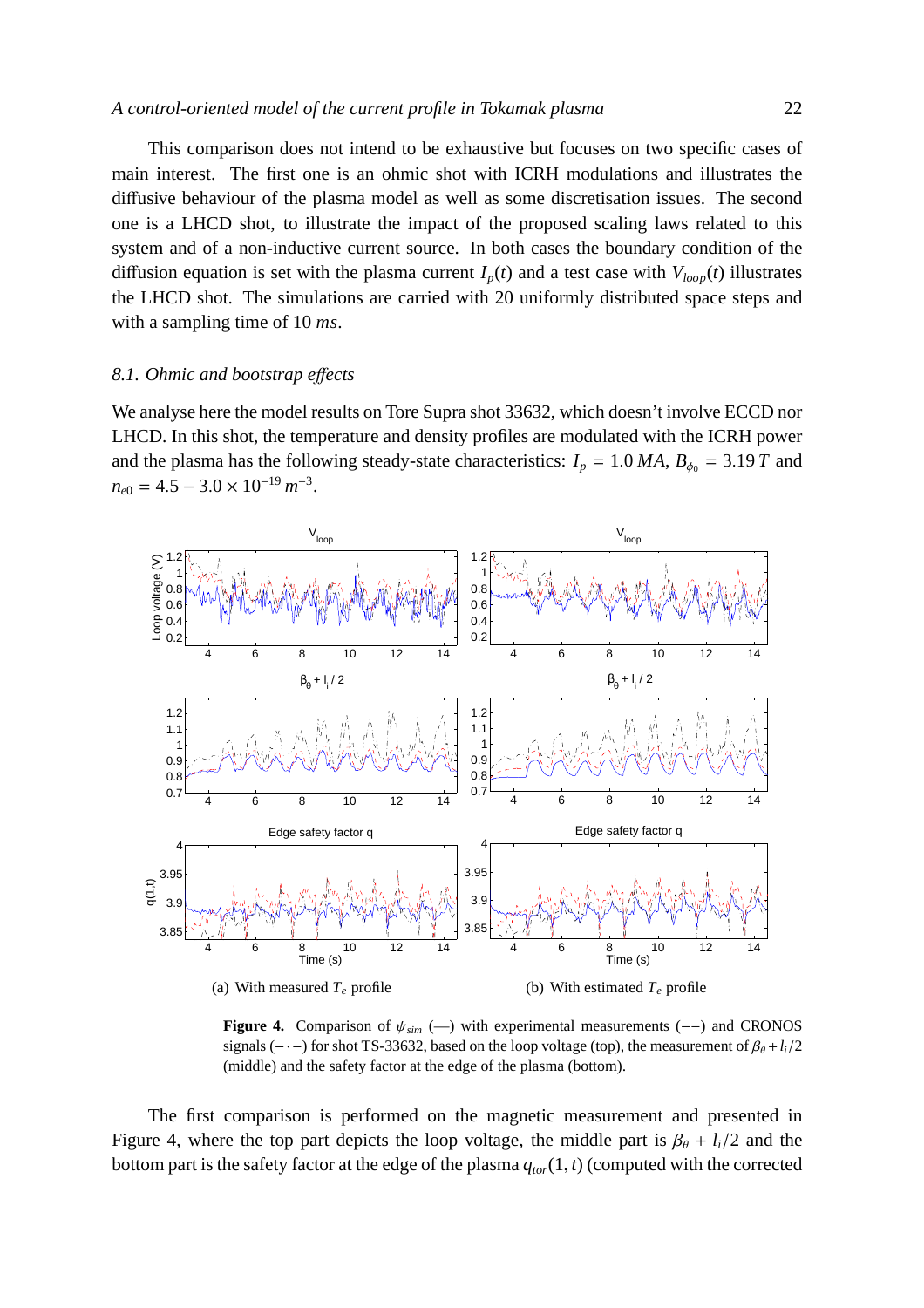This comparison does not intend to be exhaustive but focuses on two specific cases of main interest. The first one is an ohmic shot with ICRH modulations and illustrates the diffusive behaviour of the plasma model as well as some discretisation issues. The second one is a LHCD shot, to illustrate the impact of the proposed scaling laws related to this system and of a non-inductive current source. In both cases the boundary condition of the diffusion equation is set with the plasma current  $I_p(t)$  and a test case with  $V_{loop}(t)$  illustrates the LHCD shot. The simulations are carried with 20 uniformly distributed space steps and with a sampling time of 10 *ms*.

#### *8.1. Ohmic and bootstrap e*ff*ects*

We analyse here the model results on Tore Supra shot 33632, which doesn't involve ECCD nor LHCD. In this shot, the temperature and density profiles are modulated with the ICRH power and the plasma has the following steady-state characteristics:  $I_p = 1.0 MA$ ,  $B_{\phi_0} = 3.19 T$  and  $n_{e0} = 4.5 - 3.0 \times 10^{-19} m^{-3}.$ 



**Figure 4.** Comparison of ψ*sim* (—) with experimental measurements (−−) and CRONOS signals (-·-) for shot TS-33632, based on the loop voltage (top), the measurement of  $\beta_{\theta} + l_i/2$ (middle) and the safety factor at the edge of the plasma (bottom).

The first comparison is performed on the magnetic measurement and presented in Figure 4, where the top part depicts the loop voltage, the middle part is  $\beta_{\theta} + l_i/2$  and the bottom part is the safety factor at the edge of the plasma  $q_{tor}(1, t)$  (computed with the corrected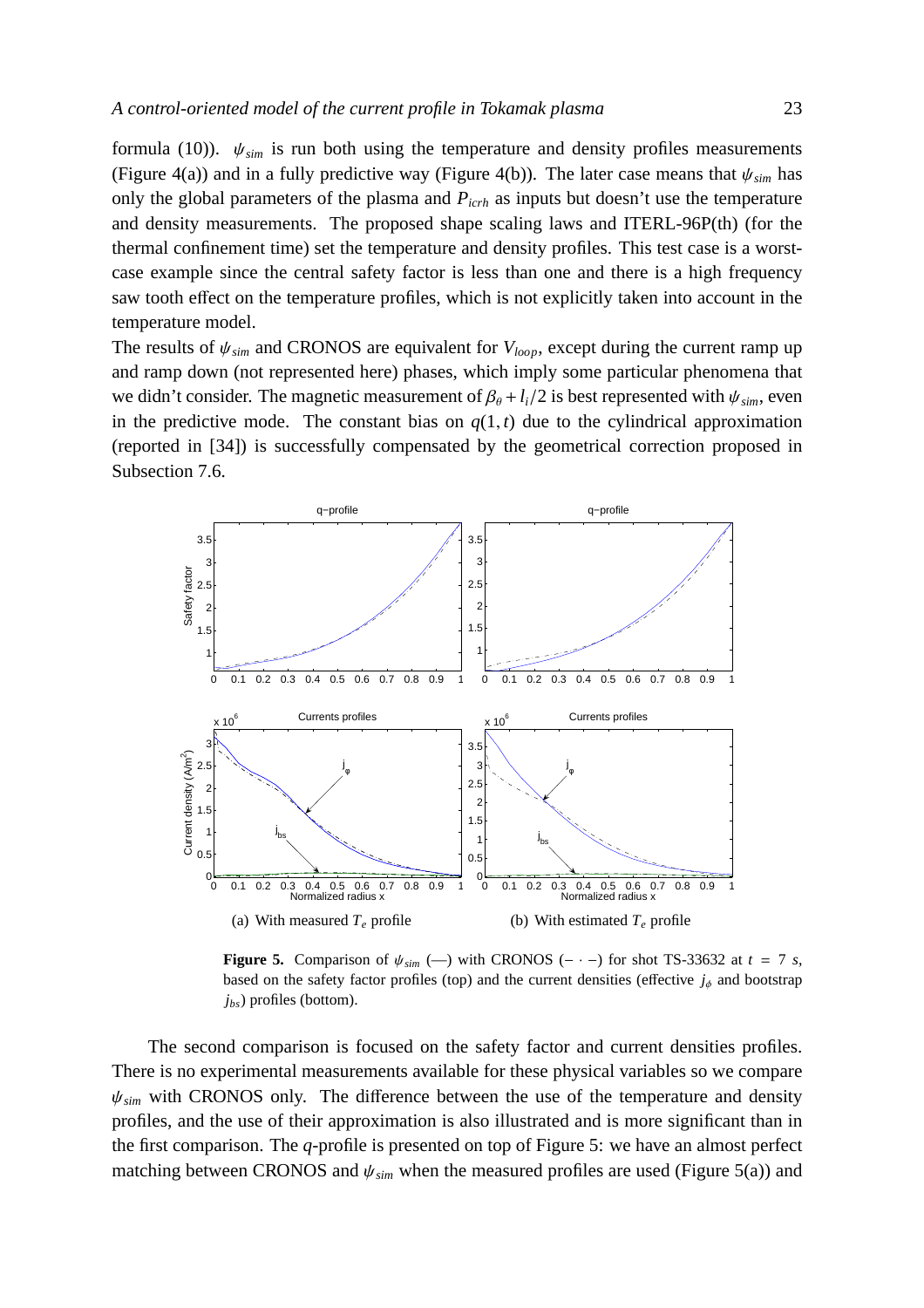formula (10)).  $\psi_{sim}$  is run both using the temperature and density profiles measurements (Figure 4(a)) and in a fully predictive way (Figure 4(b)). The later case means that  $\psi_{sim}$  has only the global parameters of the plasma and *Picrh* as inputs but doesn't use the temperature and density measurements. The proposed shape scaling laws and ITERL-96P(th) (for the thermal confinement time) set the temperature and density profiles. This test case is a worstcase example since the central safety factor is less than one and there is a high frequency saw tooth effect on the temperature profiles, which is not explicitly taken into account in the temperature model.

The results of  $\psi_{sim}$  and CRONOS are equivalent for  $V_{loop}$ , except during the current ramp up and ramp down (not represented here) phases, which imply some particular phenomena that we didn't consider. The magnetic measurement of  $\beta_{\theta} + l_i/2$  is best represented with  $\psi_{sim}$ , even in the predictive mode. The constant bias on  $q(1, t)$  due to the cylindrical approximation (reported in [34]) is successfully compensated by the geometrical correction proposed in Subsection 7.6.



**Figure 5.** Comparison of  $\psi_{sim}$  (-) with CRONOS (- · -) for shot TS-33632 at  $t = 7$  *s*, based on the safety factor profiles (top) and the current densities (effective  $j_{\phi}$  and bootstrap *jbs*) profiles (bottom).

The second comparison is focused on the safety factor and current densities profiles. There is no experimental measurements available for these physical variables so we compare  $\psi_{sim}$  with CRONOS only. The difference between the use of the temperature and density profiles, and the use of their approximation is also illustrated and is more significant than in the first comparison. The *q*-profile is presented on top of Figure 5: we have an almost perfect matching between CRONOS and  $\psi_{sim}$  when the measured profiles are used (Figure 5(a)) and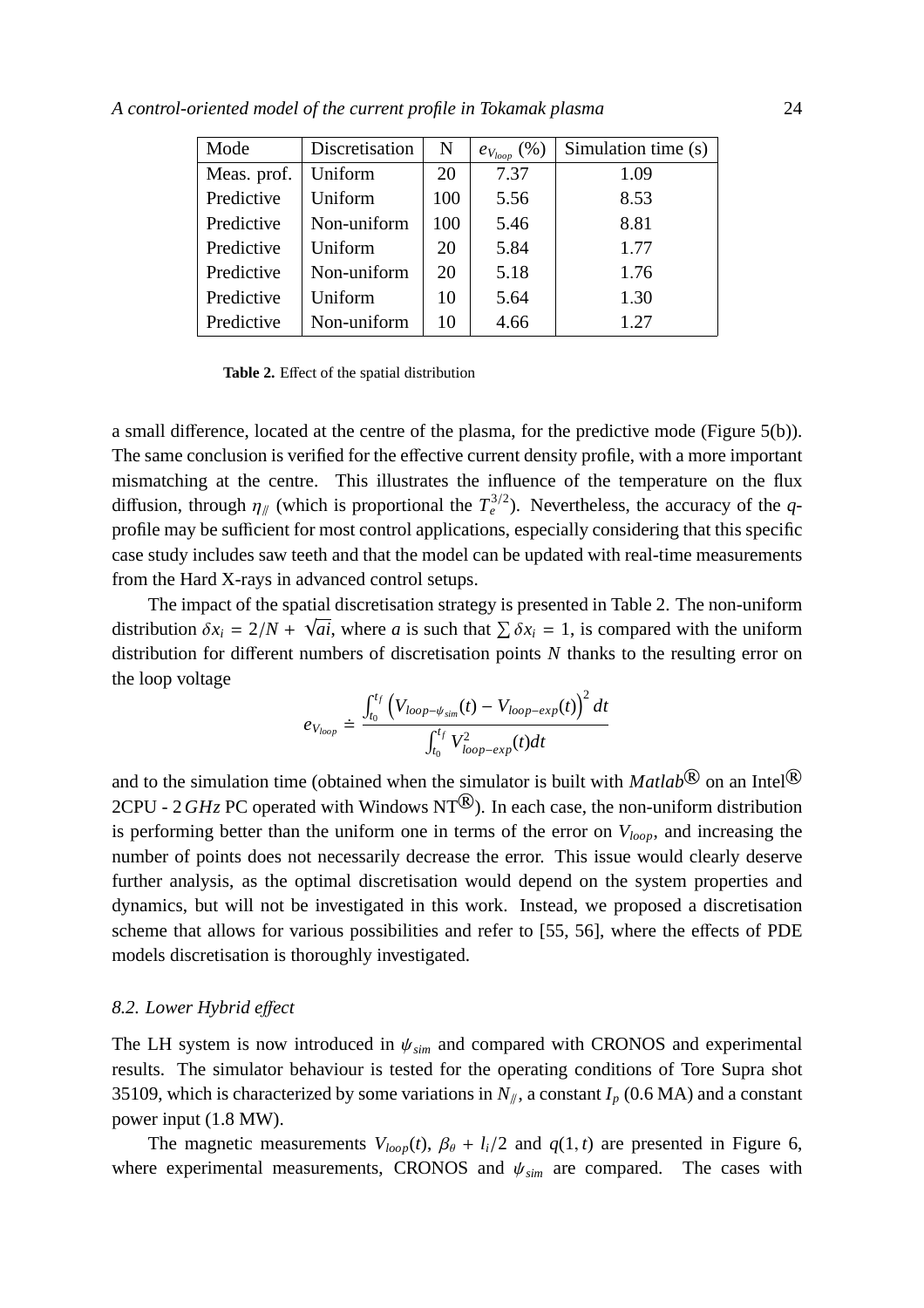| Mode        | Discretisation | N   | (% )<br>$e_{V_{loop}}$ ' | Simulation time (s) |
|-------------|----------------|-----|--------------------------|---------------------|
| Meas. prof. | Uniform        | 20  | 7.37                     | 1.09                |
| Predictive  | Uniform        | 100 | 5.56                     | 8.53                |
| Predictive  | Non-uniform    | 100 | 5.46                     | 8.81                |
| Predictive  | Uniform        | 20  | 5.84                     | 1.77                |
| Predictive  | Non-uniform    | 20  | 5.18                     | 1.76                |
| Predictive  | Uniform        | 10  | 5.64                     | 1.30                |
| Predictive  | Non-uniform    | 10  | 4.66                     | 1.27                |

**Table 2.** Effect of the spatial distribution

a small difference, located at the centre of the plasma, for the predictive mode (Figure 5(b)). The same conclusion is verified for the effective current density profile, with a more important mismatching at the centre. This illustrates the influence of the temperature on the flux diffusion, through  $\eta_{\parallel}$  (which is proportional the  $T_e^{3/2}$ ). Nevertheless, the accuracy of the *q*profile may be sufficient for most control applications, especially considering that this specific case study includes saw teeth and that the model can be updated with real-time measurements from the Hard X-rays in advanced control setups.

The impact of the spatial discretisation strategy is presented in Table 2. The non-uniform distribution  $\delta x_i = 2/N + \sqrt{ai}$ , where *a* is such that  $\sum \delta x_i = 1$ , is compared with the uniform distribution for different numbers of discretisation points *N* thanks to the resulting error on the loop voltage

$$
e_{V_{loop}} \doteq \frac{\int_{t_0}^{t_f} \left( V_{loop-\psi_{sim}}(t) - V_{loop-exp}(t) \right)^2 dt}{\int_{t_0}^{t_f} V_{loop-exp}^2(t) dt}
$$

and to the simulation time (obtained when the simulator is built with  $\text{Matlab}^{\textcircled{\text{R}}}$  on an Intel<sup>®</sup> 2CPU - 2*GHz* PC operated with Windows NT<sup>®</sup>). In each case, the non-uniform distribution is performing better than the uniform one in terms of the error on *Vloop*, and increasing the number of points does not necessarily decrease the error. This issue would clearly deserve further analysis, as the optimal discretisation would depend on the system properties and dynamics, but will not be investigated in this work. Instead, we proposed a discretisation scheme that allows for various possibilities and refer to [55, 56], where the effects of PDE models discretisation is thoroughly investigated.

#### *8.2. Lower Hybrid e*ff*ect*

The LH system is now introduced in  $\psi_{sim}$  and compared with CRONOS and experimental results. The simulator behaviour is tested for the operating conditions of Tore Supra shot 35109, which is characterized by some variations in  $N_{\parallel}$ , a constant  $I_p$  (0.6 MA) and a constant power input (1.8 MW).

The magnetic measurements  $V_{loop}(t)$ ,  $\beta_{\theta} + l_i/2$  and  $q(1, t)$  are presented in Figure 6, where experimental measurements, CRONOS and  $\psi_{sim}$  are compared. The cases with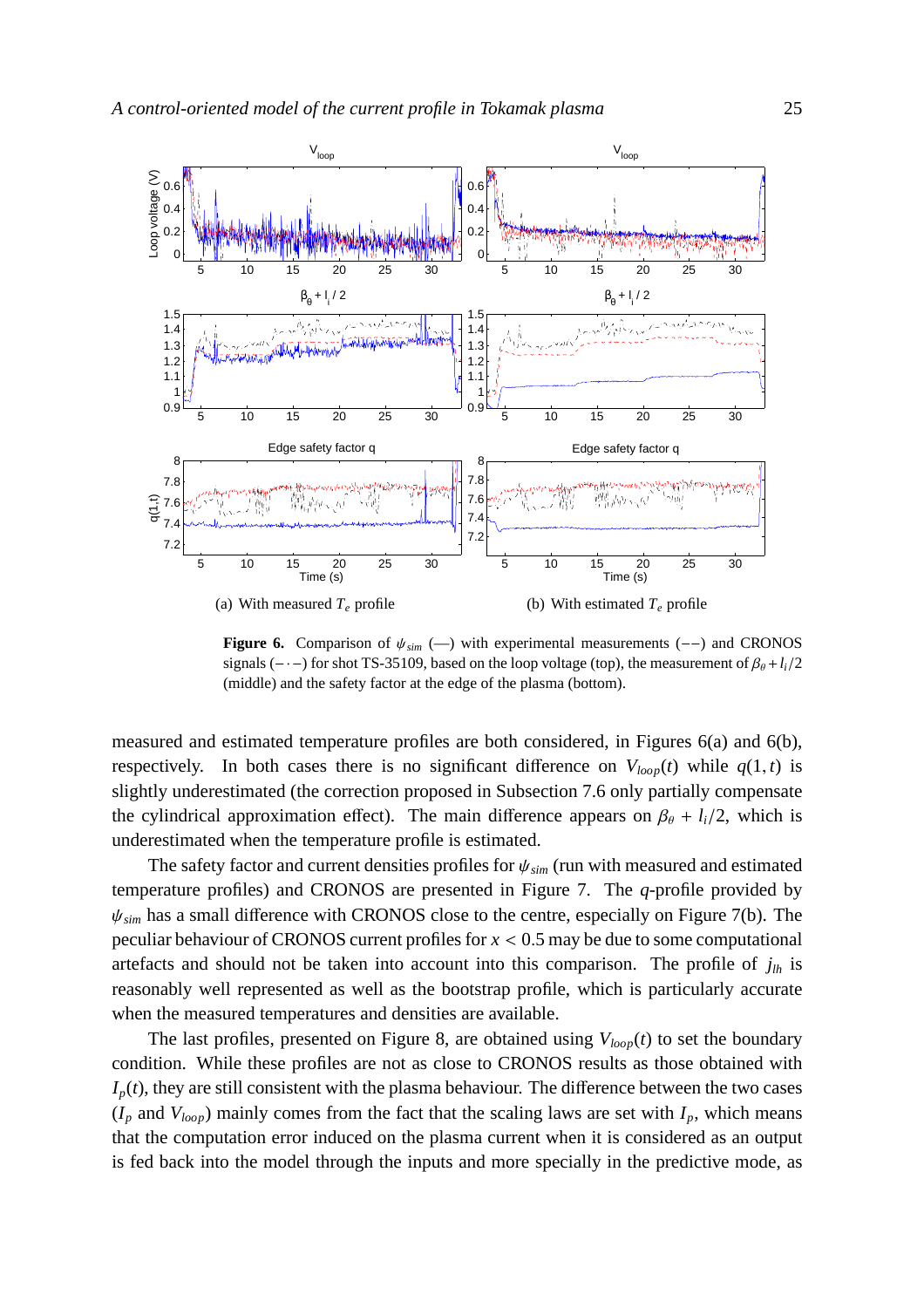

**Figure 6.** Comparison of ψ*sim* (—) with experimental measurements (−−) and CRONOS signals ( $-\cdot$ ) for shot TS-35109, based on the loop voltage (top), the measurement of  $\beta_{\theta} + l_i/2$ (middle) and the safety factor at the edge of the plasma (bottom).

measured and estimated temperature profiles are both considered, in Figures 6(a) and 6(b), respectively. In both cases there is no significant difference on  $V_{loop}(t)$  while  $q(1, t)$  is slightly underestimated (the correction proposed in Subsection 7.6 only partially compensate the cylindrical approximation effect). The main difference appears on  $\beta_{\theta} + l_i/2$ , which is underestimated when the temperature profile is estimated.

The safety factor and current densities profiles for ψ*sim* (run with measured and estimated temperature profiles) and CRONOS are presented in Figure 7. The *q*-profile provided by ψ*sim* has a small difference with CRONOS close to the centre, especially on Figure 7(b). The peculiar behaviour of CRONOS current profiles for *x* < 0.5 may be due to some computational artefacts and should not be taken into account into this comparison. The profile of  $j<sub>lh</sub>$  is reasonably well represented as well as the bootstrap profile, which is particularly accurate when the measured temperatures and densities are available.

The last profiles, presented on Figure 8, are obtained using *Vloop*(*t*) to set the boundary condition. While these profiles are not as close to CRONOS results as those obtained with  $I_p(t)$ , they are still consistent with the plasma behaviour. The difference between the two cases  $(I_p$  and  $V_{loop}$ ) mainly comes from the fact that the scaling laws are set with  $I_p$ , which means that the computation error induced on the plasma current when it is considered as an output is fed back into the model through the inputs and more specially in the predictive mode, as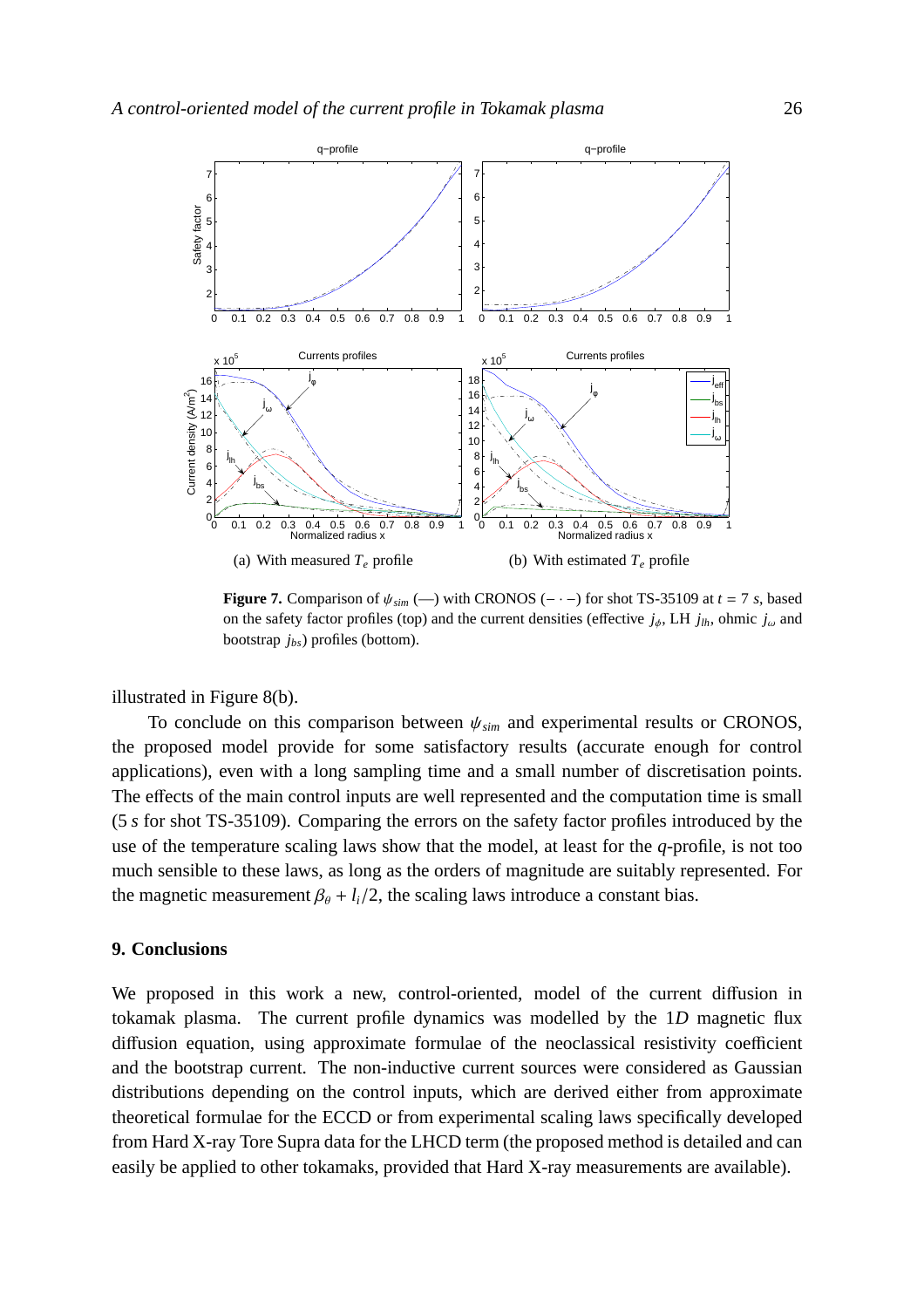

**Figure 7.** Comparison of  $\psi_{sim}$  (—) with CRONOS (- · -) for shot TS-35109 at  $t = 7$  *s*, based on the safety factor profiles (top) and the current densities (effective  $j_{\phi}$ , LH  $j_{lh}$ , ohmic  $j_{\omega}$  and bootstrap *jbs*) profiles (bottom).

illustrated in Figure 8(b).

To conclude on this comparison between  $\psi_{sim}$  and experimental results or CRONOS, the proposed model provide for some satisfactory results (accurate enough for control applications), even with a long sampling time and a small number of discretisation points. The effects of the main control inputs are well represented and the computation time is small (5 *s* for shot TS-35109). Comparing the errors on the safety factor profiles introduced by the use of the temperature scaling laws show that the model, at least for the *q*-profile, is not too much sensible to these laws, as long as the orders of magnitude are suitably represented. For the magnetic measurement  $\beta_{\theta} + l_i/2$ , the scaling laws introduce a constant bias.

## **9. Conclusions**

We proposed in this work a new, control-oriented, model of the current diffusion in tokamak plasma. The current profile dynamics was modelled by the 1*D* magnetic flux diffusion equation, using approximate formulae of the neoclassical resistivity coefficient and the bootstrap current. The non-inductive current sources were considered as Gaussian distributions depending on the control inputs, which are derived either from approximate theoretical formulae for the ECCD or from experimental scaling laws specifically developed from Hard X-ray Tore Supra data for the LHCD term (the proposed method is detailed and can easily be applied to other tokamaks, provided that Hard X-ray measurements are available).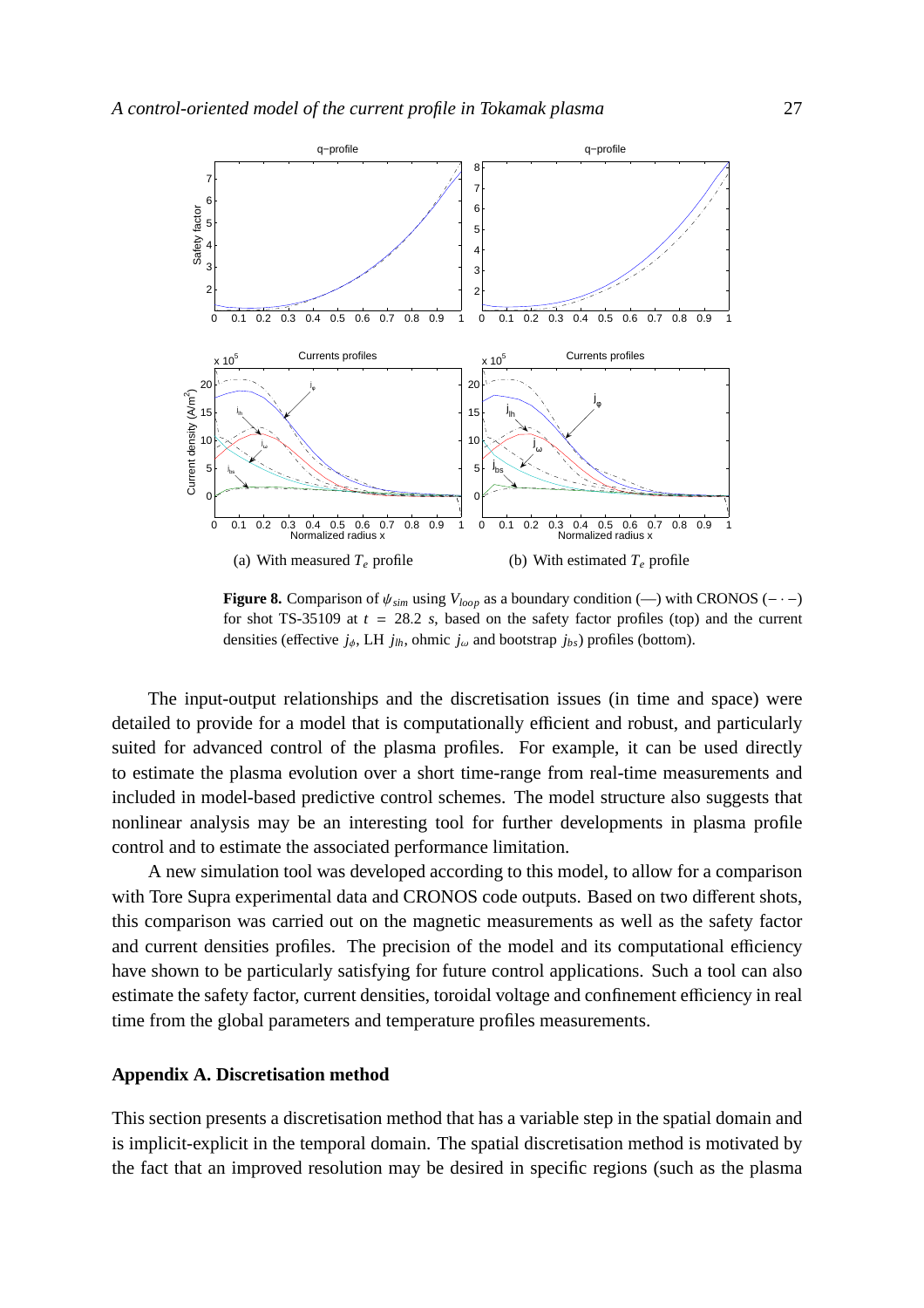

**Figure 8.** Comparison of  $\psi_{sim}$  using  $V_{loop}$  as a boundary condition (—) with CRONOS (- · −) for shot TS-35109 at  $t = 28.2$  *s*, based on the safety factor profiles (top) and the current densities (effective  $j_{\phi}$ , LH  $j_{lh}$ , ohmic  $j_{\omega}$  and bootstrap  $j_{bs}$ ) profiles (bottom).

The input-output relationships and the discretisation issues (in time and space) were detailed to provide for a model that is computationally efficient and robust, and particularly suited for advanced control of the plasma profiles. For example, it can be used directly to estimate the plasma evolution over a short time-range from real-time measurements and included in model-based predictive control schemes. The model structure also suggests that nonlinear analysis may be an interesting tool for further developments in plasma profile control and to estimate the associated performance limitation.

A new simulation tool was developed according to this model, to allow for a comparison with Tore Supra experimental data and CRONOS code outputs. Based on two different shots, this comparison was carried out on the magnetic measurements as well as the safety factor and current densities profiles. The precision of the model and its computational efficiency have shown to be particularly satisfying for future control applications. Such a tool can also estimate the safety factor, current densities, toroidal voltage and confinement efficiency in real time from the global parameters and temperature profiles measurements.

#### **Appendix A. Discretisation method**

This section presents a discretisation method that has a variable step in the spatial domain and is implicit-explicit in the temporal domain. The spatial discretisation method is motivated by the fact that an improved resolution may be desired in specific regions (such as the plasma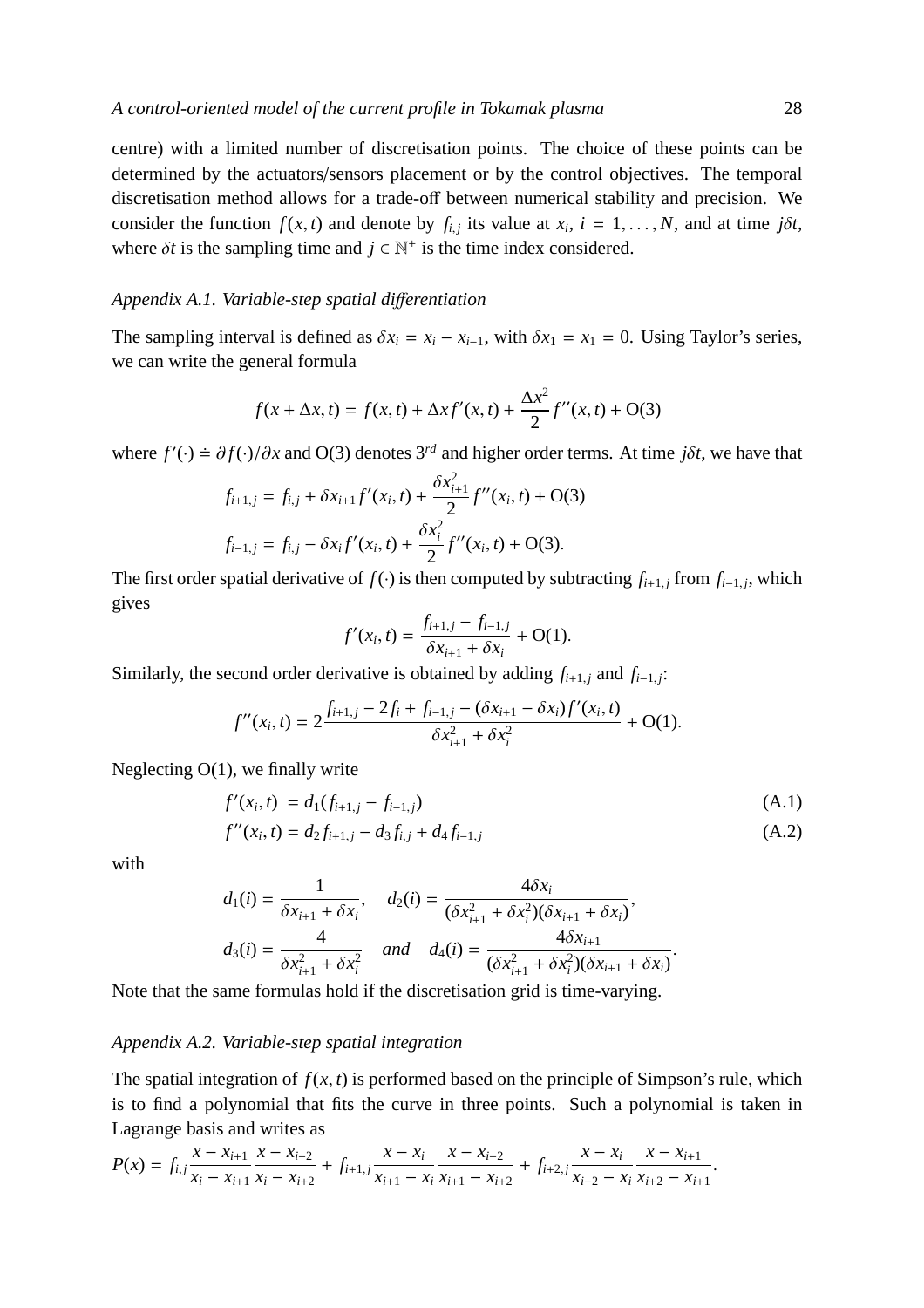centre) with a limited number of discretisation points. The choice of these points can be determined by the actuators/sensors placement or by the control objectives. The temporal discretisation method allows for a trade-off between numerical stability and precision. We consider the function  $f(x, t)$  and denote by  $f_{i,j}$  its value at  $x_i$ ,  $i = 1, \ldots, N$ , and at time  $j\delta t$ , where  $\delta t$  is the sampling time and  $j \in \mathbb{N}^+$  is the time index considered.

## *Appendix A.1. Variable-step spatial di*ff*erentiation*

The sampling interval is defined as  $\delta x_i = x_i - x_{i-1}$ , with  $\delta x_1 = x_1 = 0$ . Using Taylor's series, we can write the general formula

$$
f(x + \Delta x, t) = f(x, t) + \Delta x f'(x, t) + \frac{\Delta x^{2}}{2} f''(x, t) + O(3)
$$

where  $f'(\cdot) = \partial f(\cdot)/\partial x$  and O(3) denotes 3<sup>*rd*</sup> and higher order terms. At time *j* $\delta t$ , we have that

$$
f_{i+1,j} = f_{i,j} + \delta x_{i+1} f'(x_i, t) + \frac{\delta x_{i+1}^2}{2} f''(x_i, t) + O(3)
$$
  

$$
f_{i-1,j} = f_{i,j} - \delta x_i f'(x_i, t) + \frac{\delta x_i^2}{2} f''(x_i, t) + O(3).
$$

The first order spatial derivative of  $f(\cdot)$  is then computed by subtracting  $f_{i+1,j}$  from  $f_{i-1,j}$ , which gives

$$
f'(x_i, t) = \frac{f_{i+1,j} - f_{i-1,j}}{\delta x_{i+1} + \delta x_i} + O(1).
$$

Similarly, the second order derivative is obtained by adding  $f_{i+1,j}$  and  $f_{i-1,j}$ :

$$
f''(x_i, t) = 2 \frac{f_{i+1,j} - 2f_i + f_{i-1,j} - (\delta x_{i+1} - \delta x_i) f'(x_i, t)}{\delta x_{i+1}^2 + \delta x_i^2} + O(1).
$$

Neglecting O(1), we finally write

$$
f'(x_i, t) = d_1(f_{i+1,j} - f_{i-1,j})
$$
\n
$$
f''(x_i, t) = d_2 f_{i+1,j} - d_3 f_{i,j} + d_4 f_{i-1,j}
$$
\n(A.1)\n(A.2)

.

with

$$
d_1(i) = \frac{1}{\delta x_{i+1} + \delta x_i}, \quad d_2(i) = \frac{4\delta x_i}{(\delta x_{i+1}^2 + \delta x_i^2)(\delta x_{i+1} + \delta x_i)},
$$
  

$$
d_3(i) = \frac{4}{\delta x_{i+1}^2 + \delta x_i^2} \quad and \quad d_4(i) = \frac{4\delta x_{i+1}}{(\delta x_{i+1}^2 + \delta x_i^2)(\delta x_{i+1} + \delta x_i)}
$$

Note that the same formulas hold if the discretisation grid is time-varying.

#### *Appendix A.2. Variable-step spatial integration*

The spatial integration of  $f(x, t)$  is performed based on the principle of Simpson's rule, which is to find a polynomial that fits the curve in three points. Such a polynomial is taken in Lagrange basis and writes as

$$
P(x) = f_{i,j} \frac{x - x_{i+1}}{x_i - x_{i+1}} \frac{x - x_{i+2}}{x_i - x_{i+2}} + f_{i+1,j} \frac{x - x_i}{x_{i+1} - x_i} \frac{x - x_{i+2}}{x_{i+1} - x_{i+2}} + f_{i+2,j} \frac{x - x_i}{x_{i+2} - x_i} \frac{x - x_{i+1}}{x_{i+2} - x_{i+1}}.
$$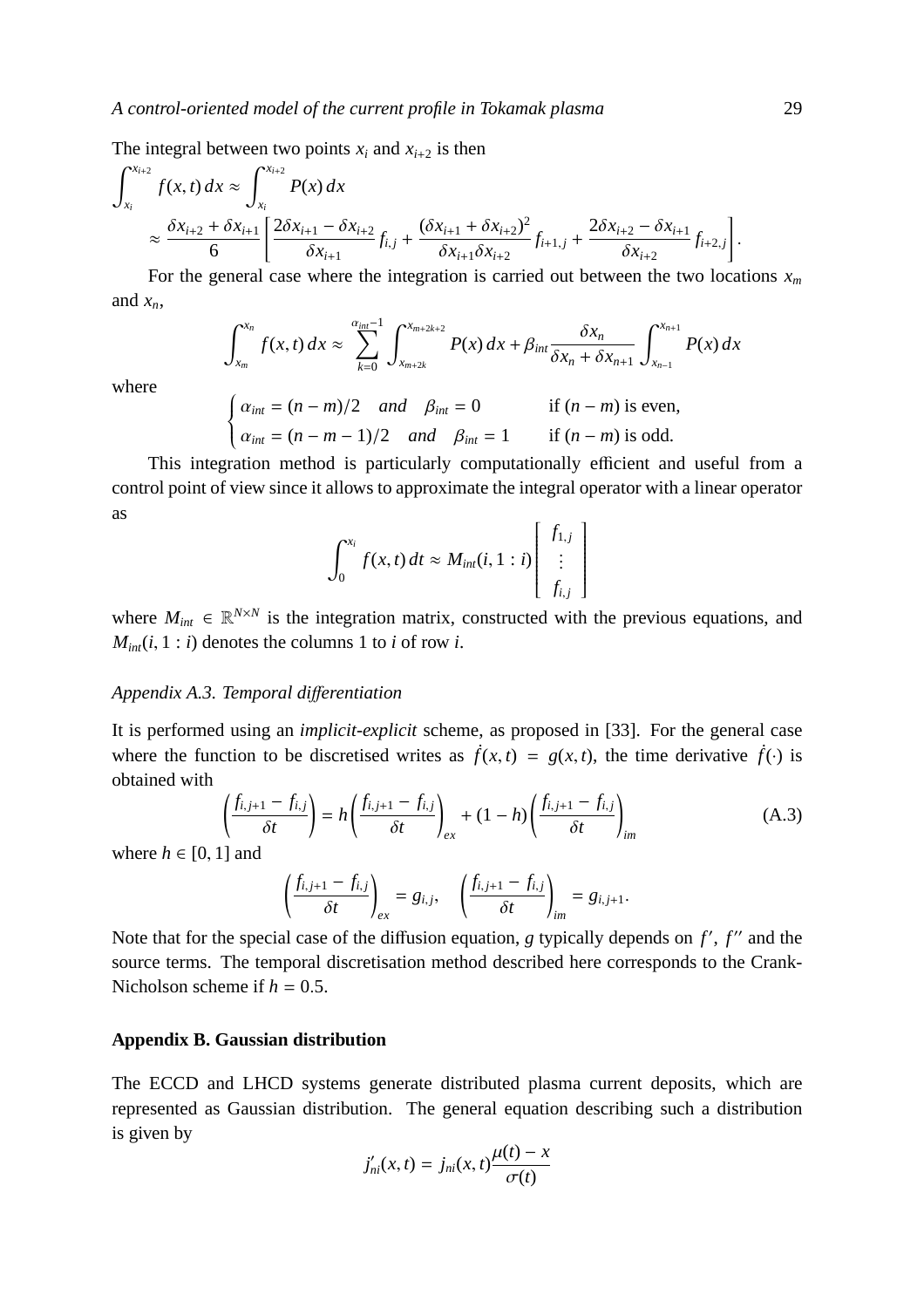The integral between two points  $x_i$  and  $x_{i+2}$  is then

$$
\int_{x_i}^{x_{i+2}} f(x, t) dx \approx \int_{x_i}^{x_{i+2}} P(x) dx
$$
  
 
$$
\approx \frac{\delta x_{i+2} + \delta x_{i+1}}{6} \left[ \frac{2\delta x_{i+1} - \delta x_{i+2}}{\delta x_{i+1}} f_{i,j} + \frac{(\delta x_{i+1} + \delta x_{i+2})^2}{\delta x_{i+1} \delta x_{i+2}} f_{i+1,j} + \frac{2\delta x_{i+2} - \delta x_{i+1}}{\delta x_{i+2}} f_{i+2,j} \right].
$$

For the general case where the integration is carried out between the two locations  $x_m$ and  $x_n$ ,

$$
\int_{x_m}^{x_n} f(x, t) dx \approx \sum_{k=0}^{\alpha_{int}-1} \int_{x_{m+2k}}^{x_{m+2k+2}} P(x) dx + \beta_{int} \frac{\delta x_n}{\delta x_n + \delta x_{n+1}} \int_{x_{n-1}}^{x_{n+1}} P(x) dx
$$

where

$$
\begin{cases} \alpha_{int} = (n-m)/2 \quad and \quad \beta_{int} = 0 & \text{if } (n-m) \text{ is even,} \\ \alpha_{int} = (n-m-1)/2 \quad and \quad \beta_{int} = 1 & \text{if } (n-m) \text{ is odd.} \end{cases}
$$

This integration method is particularly computationally efficient and useful from a control point of view since it allows to approximate the integral operator with a linear operator as

$$
\int_0^{x_i} f(x,t) dt \approx M_{int}(i, 1:i) \begin{bmatrix} f_{1,j} \\ \vdots \\ f_{i,j} \end{bmatrix}
$$

where  $M_{int} \in \mathbb{R}^{N \times N}$  is the integration matrix, constructed with the previous equations, and  $M_{int}(i, 1 : i)$  denotes the columns 1 to *i* of row *i*.

#### *Appendix A.3. Temporal di*ff*erentiation*

It is performed using an *implicit-explicit* scheme, as proposed in [33]. For the general case where the function to be discretised writes as  $\dot{f}(x, t) = g(x, t)$ , the time derivative  $\dot{f}(\cdot)$  is obtained with

$$
\left(\frac{f_{i,j+1} - f_{i,j}}{\delta t}\right) = h\left(\frac{f_{i,j+1} - f_{i,j}}{\delta t}\right)_{ex} + (1 - h)\left(\frac{f_{i,j+1} - f_{i,j}}{\delta t}\right)_{im} \tag{A.3}
$$

where  $h \in [0, 1]$  and

$$
\left(\frac{f_{i,j+1}-f_{i,j}}{\delta t}\right)_{ex}=g_{i,j},\quad \left(\frac{f_{i,j+1}-f_{i,j}}{\delta t}\right)_{im}=g_{i,j+1}.
$$

Note that for the special case of the diffusion equation, *g* typically depends on *f'*, *f''* and the source terms. The temporal discretisation method described here corresponds to the Crank-Nicholson scheme if  $h = 0.5$ .

## **Appendix B. Gaussian distribution**

The ECCD and LHCD systems generate distributed plasma current deposits, which are represented as Gaussian distribution. The general equation describing such a distribution is given by

$$
j'_{ni}(x,t) = j_{ni}(x,t) \frac{\mu(t) - x}{\sigma(t)}
$$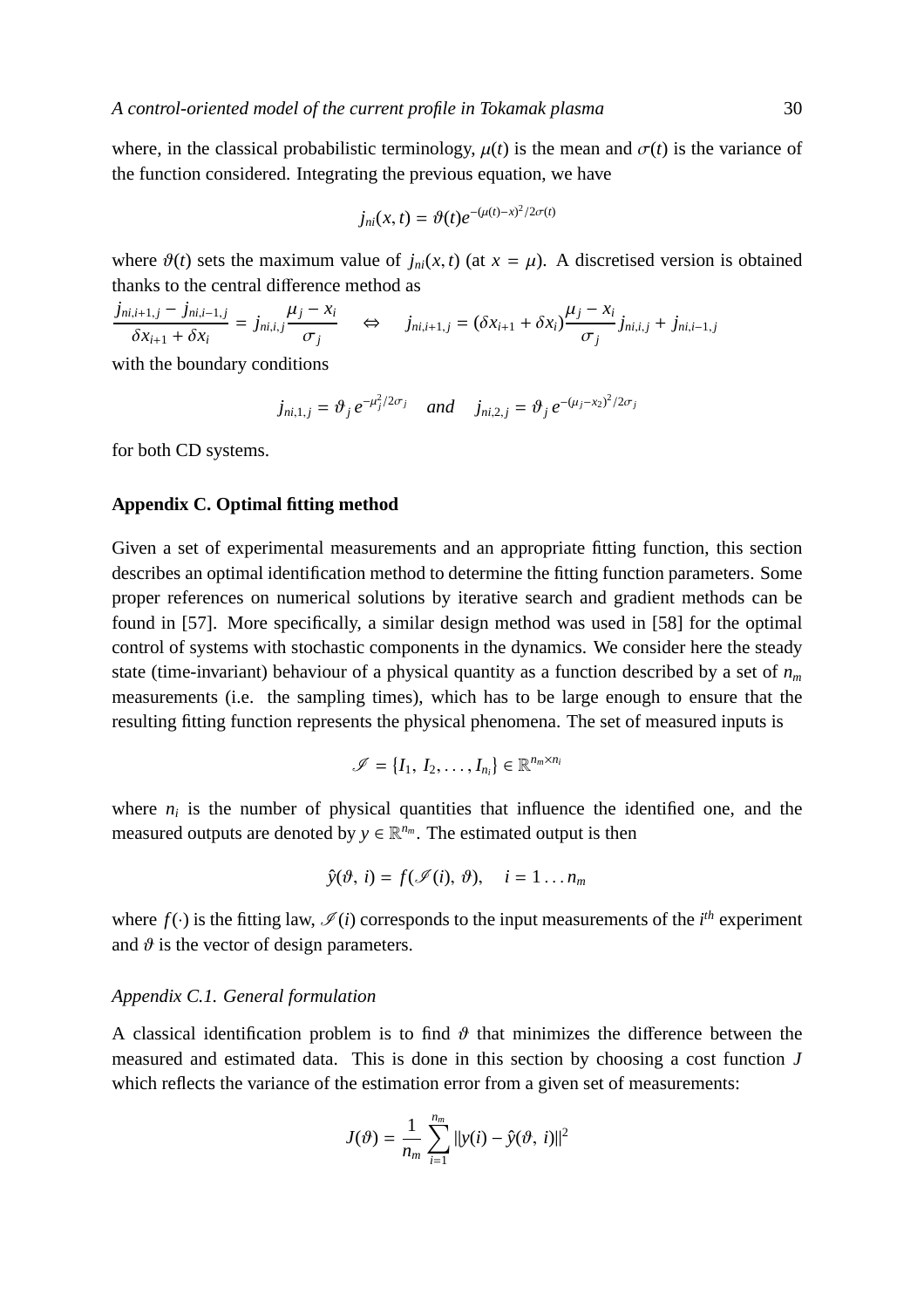where, in the classical probabilistic terminology,  $\mu(t)$  is the mean and  $\sigma(t)$  is the variance of the function considered. Integrating the previous equation, we have

$$
j_{ni}(x,t) = \vartheta(t)e^{-(\mu(t)-x)^2/2\sigma(t)}
$$

where  $\vartheta(t)$  sets the maximum value of  $j_{ni}(x, t)$  (at  $x = \mu$ ). A discretised version is obtained thanks to the central difference method as

$$
\frac{j_{ni,i+1,j} - j_{ni,i-1,j}}{\delta x_{i+1} + \delta x_i} = j_{ni,i,j} \frac{\mu_j - x_i}{\sigma_j} \quad \Leftrightarrow \quad j_{ni,i+1,j} = (\delta x_{i+1} + \delta x_i) \frac{\mu_j - x_i}{\sigma_j} j_{ni,i,j} + j_{ni,i-1,j}
$$

with the boundary conditions

$$
j_{ni,1,j} = \vartheta_j e^{-\mu_j^2/2\sigma_j}
$$
 and  $j_{ni,2,j} = \vartheta_j e^{-(\mu_j - x_2)^2/2\sigma_j}$ 

for both CD systems.

## **Appendix C. Optimal fitting method**

Given a set of experimental measurements and an appropriate fitting function, this section describes an optimal identification method to determine the fitting function parameters. Some proper references on numerical solutions by iterative search and gradient methods can be found in [57]. More specifically, a similar design method was used in [58] for the optimal control of systems with stochastic components in the dynamics. We consider here the steady state (time-invariant) behaviour of a physical quantity as a function described by a set of *n<sup>m</sup>* measurements (i.e. the sampling times), which has to be large enough to ensure that the resulting fitting function represents the physical phenomena. The set of measured inputs is

$$
\mathscr{I} = \{I_1, I_2, \ldots, I_{n_i}\} \in \mathbb{R}^{n_m \times n_i}
$$

where  $n_i$  is the number of physical quantities that influence the identified one, and the measured outputs are denoted by  $y \in \mathbb{R}^{n_m}$ . The estimated output is then

$$
\hat{y}(\vartheta, i) = f(\mathscr{I}(i), \vartheta), \quad i = 1 \dots n_m
$$

where  $f(\cdot)$  is the fitting law,  $\mathcal{I}(i)$  corresponds to the input measurements of the *i*<sup>th</sup> experiment and  $\vartheta$  is the vector of design parameters.

## *Appendix C.1. General formulation*

A classical identification problem is to find  $\vartheta$  that minimizes the difference between the measured and estimated data. This is done in this section by choosing a cost function *J* which reflects the variance of the estimation error from a given set of measurements:

$$
J(\theta) = \frac{1}{n_m} \sum_{i=1}^{n_m} ||y(i) - \hat{y}(\theta, i)||^2
$$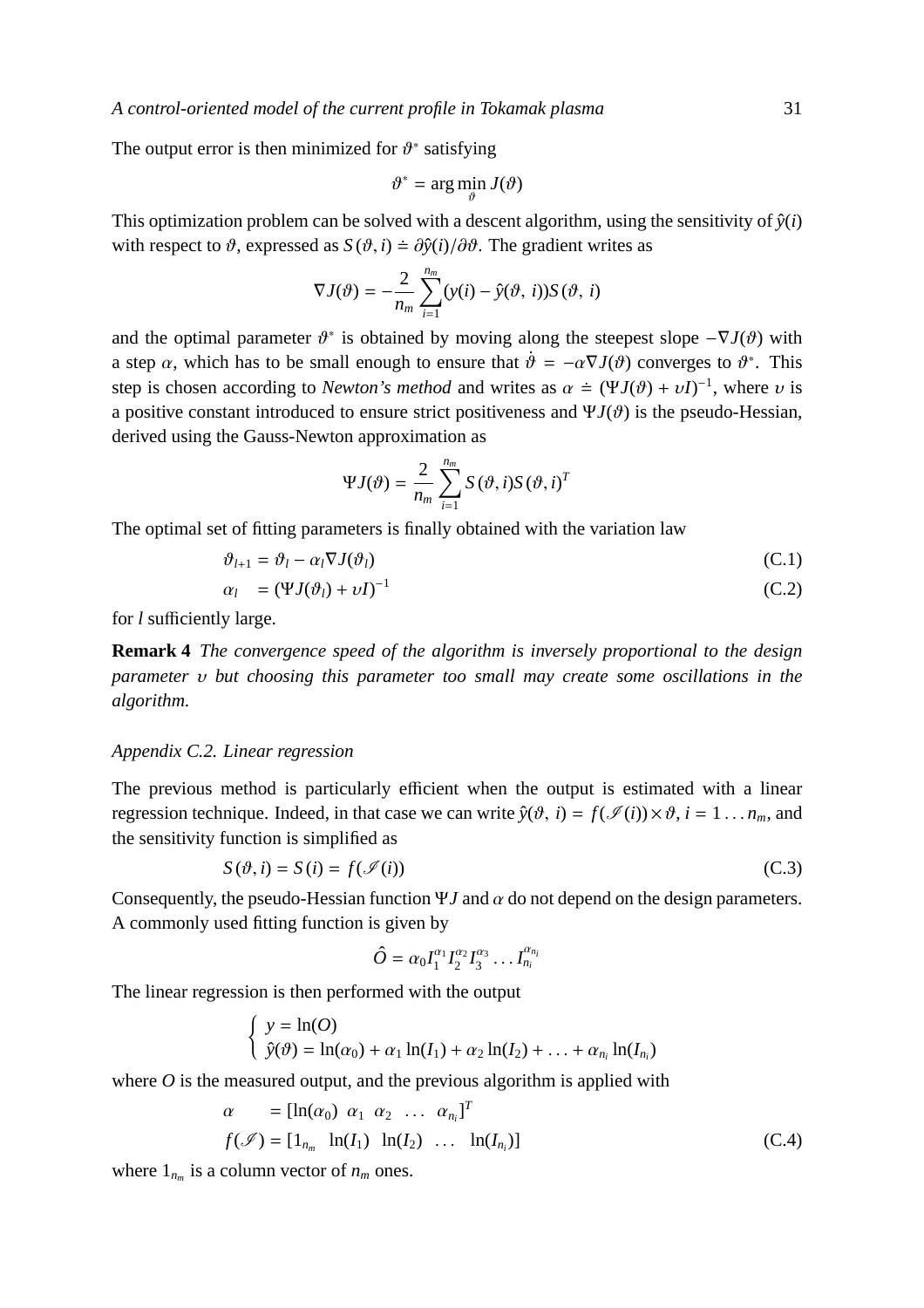*A control-oriented model of the current profile in Tokamak plasma* 31

The output error is then minimized for  $\vartheta^*$  satisfying

$$
\vartheta^* = \arg\min_{\vartheta} J(\vartheta)
$$

This optimization problem can be solved with a descent algorithm, using the sensitivity of  $\hat{y}(i)$ with respect to  $\vartheta$ , expressed as  $S(\vartheta, i) = \frac{\partial \hat{y}(i)}{\partial \vartheta}$ . The gradient writes as

$$
\nabla J(\vartheta) = -\frac{2}{n_m} \sum_{i=1}^{n_m} (y(i) - \hat{y}(\vartheta, i)) S(\vartheta, i)
$$

and the optimal parameter  $\vartheta^*$  is obtained by moving along the steepest slope  $-\nabla J(\vartheta)$  with a step  $\alpha$ , which has to be small enough to ensure that  $\dot{\theta} = -\alpha \nabla J(\theta)$  converges to  $\theta^*$ . This step is chosen according to *Newton's method* and writes as  $\alpha \doteq (\Psi J(\vartheta) + \nu I)^{-1}$ , where  $\nu$  is a positive constant introduced to ensure strict positiveness and  $\Psi J(\vartheta)$  is the pseudo-Hessian, derived using the Gauss-Newton approximation as

$$
\Psi J(\vartheta) = \frac{2}{n_m} \sum_{i=1}^{n_m} S(\vartheta, i) S(\vartheta, i)^T
$$

The optimal set of fitting parameters is finally obtained with the variation law

$$
\vartheta_{l+1} = \vartheta_l - \alpha_l \nabla J(\vartheta_l) \tag{C.1}
$$

$$
\alpha_l = (\Psi J(\vartheta_l) + \nu I)^{-1} \tag{C.2}
$$

for *l* sufficiently large.

**Remark 4** *The convergence speed of the algorithm is inversely proportional to the design parameter* υ *but choosing this parameter too small may create some oscillations in the algorithm.*

## *Appendix C.2. Linear regression*

The previous method is particularly efficient when the output is estimated with a linear regression technique. Indeed, in that case we can write  $\hat{y}(\vartheta, i) = f(\mathcal{I}(i)) \times \vartheta$ ,  $i = 1 \dots n_m$ , and the sensitivity function is simplified as

$$
S(\vartheta, i) = S(i) = f(\mathcal{I}(i))
$$
\n(C.3)

Consequently, the pseudo-Hessian function  $\Psi J$  and  $\alpha$  do not depend on the design parameters. A commonly used fitting function is given by

$$
\hat{O} = \alpha_0 I_1^{\alpha_1} I_2^{\alpha_2} I_3^{\alpha_3} \dots I_{n_i}^{\alpha_{n_i}}
$$

The linear regression is then performed with the output

$$
\begin{cases}\ny = \ln(O) \\
\hat{y}(\vartheta) = \ln(\alpha_0) + \alpha_1 \ln(I_1) + \alpha_2 \ln(I_2) + \ldots + \alpha_{n_i} \ln(I_{n_i})\n\end{cases}
$$

where  $\hat{O}$  is the measured output, and the previous algorithm is applied with

$$
\alpha = [\ln(\alpha_0) \ \alpha_1 \ \alpha_2 \ \dots \ \alpha_{n_i}]^T
$$
  

$$
f(\mathcal{I}) = [1_{n_m} \ \ln(I_1) \ \ln(I_2) \ \dots \ \ln(I_{n_i})]
$$
 (C.4)

where  $1_{n_m}$  is a column vector of  $n_m$  ones.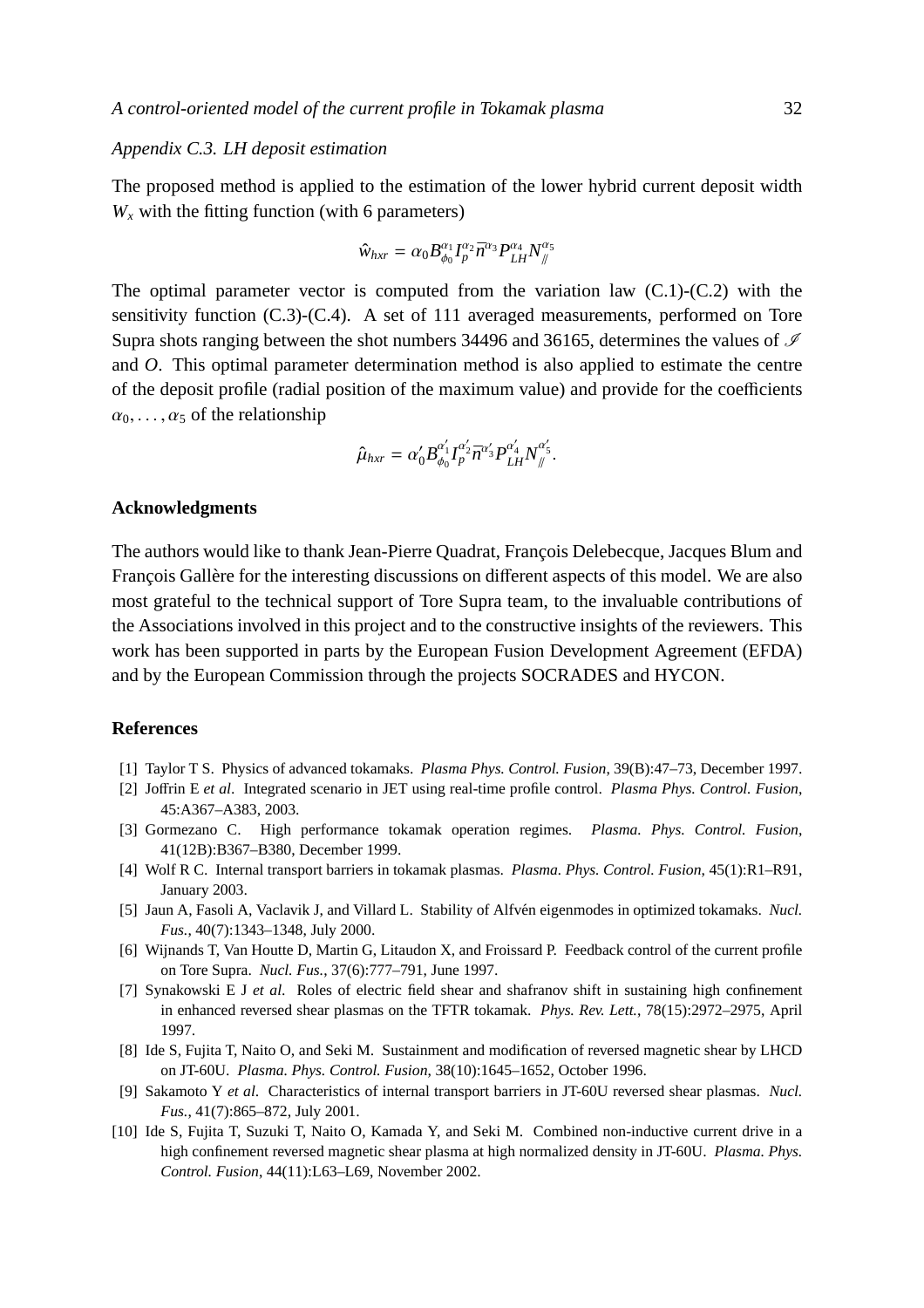#### *Appendix C.3. LH deposit estimation*

The proposed method is applied to the estimation of the lower hybrid current deposit width  $W_x$  with the fitting function (with 6 parameters)

$$
\hat{w}_{hxr} = \alpha_0 B_{\phi_0}^{\alpha_1} I_p^{\alpha_2} \bar{n}^{\alpha_3} P_{LH}^{\alpha_4} N_{\#}^{\alpha_5}
$$

The optimal parameter vector is computed from the variation law  $(C.1)-(C.2)$  with the sensitivity function (C.3)-(C.4). A set of 111 averaged measurements, performed on Tore Supra shots ranging between the shot numbers 34496 and 36165, determines the values of  $\mathscr I$ and *O*. This optimal parameter determination method is also applied to estimate the centre of the deposit profile (radial position of the maximum value) and provide for the coefficients  $\alpha_0, \ldots, \alpha_5$  of the relationship

$$
\hat{\mu}_{hxr} = \alpha'_0 B_{\phi_0}^{\alpha'_1} I_p^{\alpha'_2} \bar{n}^{\alpha'_3} P_{LH}^{\alpha'_4} N_{\#}^{\alpha'_5}.
$$

#### **Acknowledgments**

The authors would like to thank Jean-Pierre Quadrat, François Delebecque, Jacques Blum and François Gallère for the interesting discussions on different aspects of this model. We are also most grateful to the technical support of Tore Supra team, to the invaluable contributions of the Associations involved in this project and to the constructive insights of the reviewers. This work has been supported in parts by the European Fusion Development Agreement (EFDA) and by the European Commission through the projects SOCRADES and HYCON.

## **References**

- [1] Taylor T S. Physics of advanced tokamaks. *Plasma Phys. Control. Fusion*, 39(B):47–73, December 1997.
- [2] Joffrin E *et al*. Integrated scenario in JET using real-time profile control. *Plasma Phys. Control. Fusion*, 45:A367–A383, 2003.
- [3] Gormezano C. High performance tokamak operation regimes. *Plasma. Phys. Control. Fusion*, 41(12B):B367–B380, December 1999.
- [4] Wolf R C. Internal transport barriers in tokamak plasmas. *Plasma. Phys. Control. Fusion*, 45(1):R1–R91, January 2003.
- [5] Jaun A, Fasoli A, Vaclavik J, and Villard L. Stability of Alfvén eigenmodes in optimized tokamaks. *Nucl. Fus.*, 40(7):1343–1348, July 2000.
- [6] Wijnands T, Van Houtte D, Martin G, Litaudon X, and Froissard P. Feedback control of the current profile on Tore Supra. *Nucl. Fus.*, 37(6):777–791, June 1997.
- [7] Synakowski E J *et al*. Roles of electric field shear and shafranov shift in sustaining high confinement in enhanced reversed shear plasmas on the TFTR tokamak. *Phys. Rev. Lett.*, 78(15):2972–2975, April 1997.
- [8] Ide S, Fujita T, Naito O, and Seki M. Sustainment and modification of reversed magnetic shear by LHCD on JT-60U. *Plasma. Phys. Control. Fusion*, 38(10):1645–1652, October 1996.
- [9] Sakamoto Y *et al*. Characteristics of internal transport barriers in JT-60U reversed shear plasmas. *Nucl. Fus.*, 41(7):865–872, July 2001.
- [10] Ide S, Fujita T, Suzuki T, Naito O, Kamada Y, and Seki M. Combined non-inductive current drive in a high confinement reversed magnetic shear plasma at high normalized density in JT-60U. *Plasma. Phys. Control. Fusion*, 44(11):L63–L69, November 2002.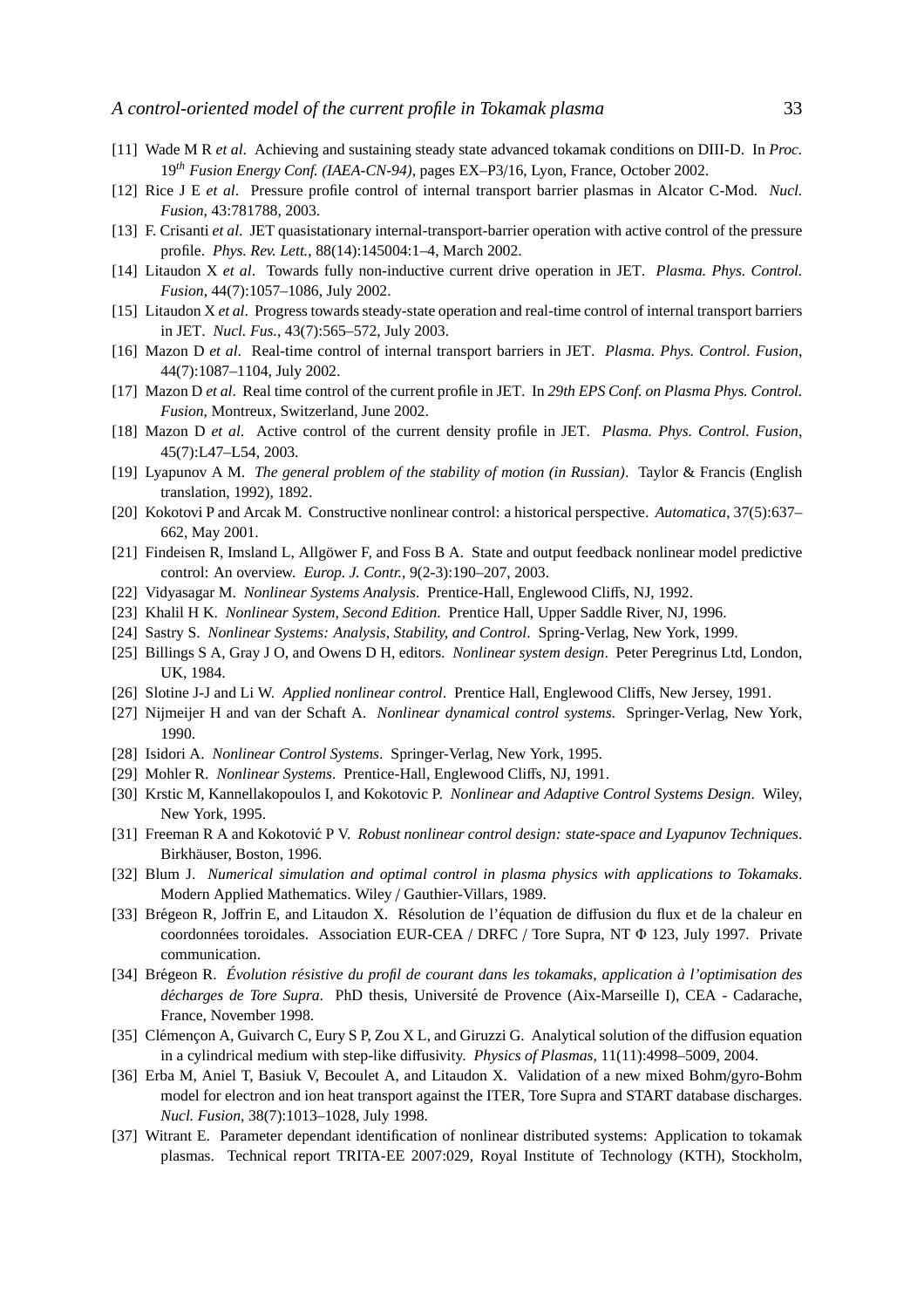- [11] Wade M R *et al*. Achieving and sustaining steady state advanced tokamak conditions on DIII-D. In *Proc.* 19*th Fusion Energy Conf. (IAEA-CN-94)*, pages EX–P3/16, Lyon, France, October 2002.
- [12] Rice J E *et al*. Pressure profile control of internal transport barrier plasmas in Alcator C-Mod. *Nucl. Fusion*, 43:781788, 2003.
- [13] F. Crisanti *et al*. JET quasistationary internal-transport-barrier operation with active control of the pressure profile. *Phys. Rev. Lett.*, 88(14):145004:1–4, March 2002.
- [14] Litaudon X *et al*. Towards fully non-inductive current drive operation in JET. *Plasma. Phys. Control. Fusion*, 44(7):1057–1086, July 2002.
- [15] Litaudon X *et al*. Progress towards steady-state operation and real-time control of internal transport barriers in JET. *Nucl. Fus.*, 43(7):565–572, July 2003.
- [16] Mazon D *et al*. Real-time control of internal transport barriers in JET. *Plasma. Phys. Control. Fusion*, 44(7):1087–1104, July 2002.
- [17] Mazon D *et al*. Real time control of the current profile in JET. In *29th EPS Conf. on Plasma Phys. Control. Fusion*, Montreux, Switzerland, June 2002.
- [18] Mazon D *et al*. Active control of the current density profile in JET. *Plasma. Phys. Control. Fusion*, 45(7):L47–L54, 2003.
- [19] Lyapunov A M. *The general problem of the stability of motion (in Russian)*. Taylor & Francis (English translation, 1992), 1892.
- [20] Kokotovi P and Arcak M. Constructive nonlinear control: a historical perspective. *Automatica*, 37(5):637– 662, May 2001.
- [21] Findeisen R, Imsland L, Allgöwer F, and Foss B A. State and output feedback nonlinear model predictive control: An overview. *Europ. J. Contr.*, 9(2-3):190–207, 2003.
- [22] Vidyasagar M. *Nonlinear Systems Analysis*. Prentice-Hall, Englewood Cliffs, NJ, 1992.
- [23] Khalil H K. *Nonlinear System, Second Edition*. Prentice Hall, Upper Saddle River, NJ, 1996.
- [24] Sastry S. *Nonlinear Systems: Analysis, Stability, and Control*. Spring-Verlag, New York, 1999.
- [25] Billings S A, Gray J O, and Owens D H, editors. *Nonlinear system design*. Peter Peregrinus Ltd, London, UK, 1984.
- [26] Slotine J-J and Li W. *Applied nonlinear control*. Prentice Hall, Englewood Cliffs, New Jersey, 1991.
- [27] Nijmeijer H and van der Schaft A. *Nonlinear dynamical control systems*. Springer-Verlag, New York, 1990.
- [28] Isidori A. *Nonlinear Control Systems*. Springer-Verlag, New York, 1995.
- [29] Mohler R. *Nonlinear Systems*. Prentice-Hall, Englewood Cliffs, NJ, 1991.
- [30] Krstic M, Kannellakopoulos I, and Kokotovic P. *Nonlinear and Adaptive Control Systems Design*. Wiley, New York, 1995.
- [31] Freeman R A and Kokotovic P V. *Robust nonlinear control design: state-space and Lyapunov Techniques*. Birkhäuser, Boston, 1996.
- [32] Blum J. *Numerical simulation and optimal control in plasma physics with applications to Tokamaks*. Modern Applied Mathematics. Wiley / Gauthier-Villars, 1989.
- [33] Brégeon R, Joffrin E, and Litaudon X. Résolution de l'équation de diffusion du flux et de la chaleur en coordonnées toroidales. Association EUR-CEA / DRFC / Tore Supra, NT Φ 123, July 1997. Private communication.
- [34] Bregeon R. ´ *Evolution r´esistive du profil de courant dans les tokamaks, ´ application `a l'optimisation des d´echarges de Tore Supra*. PhD thesis, Universite de Provence (Aix-Marseille I), CEA - Cadarache, ´ France, November 1998.
- [35] Clémencon A, Guivarch C, Eury S P, Zou X L, and Giruzzi G. Analytical solution of the diffusion equation in a cylindrical medium with step-like diffusivity. *Physics of Plasmas*, 11(11):4998–5009, 2004.
- [36] Erba M, Aniel T, Basiuk V, Becoulet A, and Litaudon X. Validation of a new mixed Bohm/gyro-Bohm model for electron and ion heat transport against the ITER, Tore Supra and START database discharges. *Nucl. Fusion*, 38(7):1013–1028, July 1998.
- [37] Witrant E. Parameter dependant identification of nonlinear distributed systems: Application to tokamak plasmas. Technical report TRITA-EE 2007:029, Royal Institute of Technology (KTH), Stockholm,